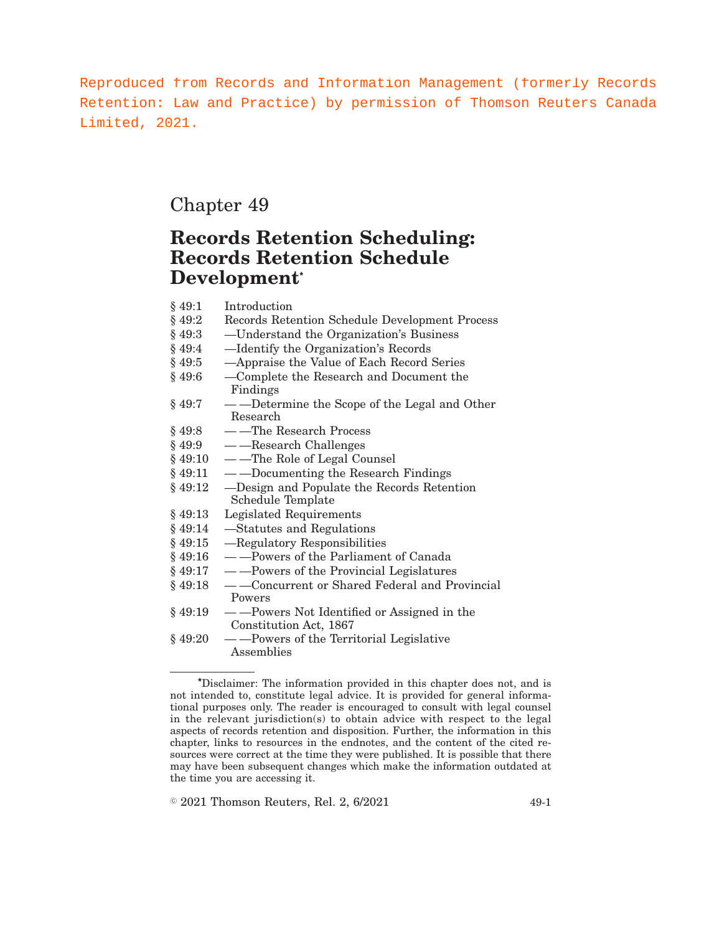Reproduced from Records and Information Management (formerly Records Retention: Law and Practice) by permission of Thomson Reuters Canada Limited, 2021.

# Chapter 49

# **Records Retention Scheduling: Records Retention Schedule Development\***

- § 49:1 Introduction
- § 49:2 Records Retention Schedule Development Process
- § 49:3 —Understand the Organization's Business
- § 49:4 —Identify the Organization's Records
- § 49:5 —Appraise the Value of Each Record Series
- § 49:6 —Complete the Research and Document the Findings
- § 49:7 —Determine the Scope of the Legal and Other Research
- § 49:8 —The Research Process
- § 49:9 —Research Challenges
- $§ 49:10$  —The Role of Legal Counsel
- $§ 49:11$  —Documenting the Research Findings
- § 49:12 —Design and Populate the Records Retention Schedule Template
- § 49:13 Legislated Requirements
- § 49:14 —Statutes and Regulations
- § 49:15 —Regulatory Responsibilities
- § 49:16 —Powers of the Parliament of Canada
- § 49:17 —Powers of the Provincial Legislatures
- § 49:18 —Concurrent or Shared Federal and Provincial Powers
- § 49:19 —Powers Not Identified or Assigned in the Constitution Act, 1867
- § 49:20 —Powers of the Territorial Legislative Assemblies

 $\textdegree$  2021 Thomson Reuters, Rel. 2, 6/2021 49-1

**<sup>\*</sup>**Disclaimer: The information provided in this chapter does not, and is not intended to, constitute legal advice. It is provided for general informational purposes only. The reader is encouraged to consult with legal counsel in the relevant jurisdiction(s) to obtain advice with respect to the legal aspects of records retention and disposition. Further, the information in this chapter, links to resources in the endnotes, and the content of the cited resources were correct at the time they were published. It is possible that there may have been subsequent changes which make the information outdated at the time you are accessing it.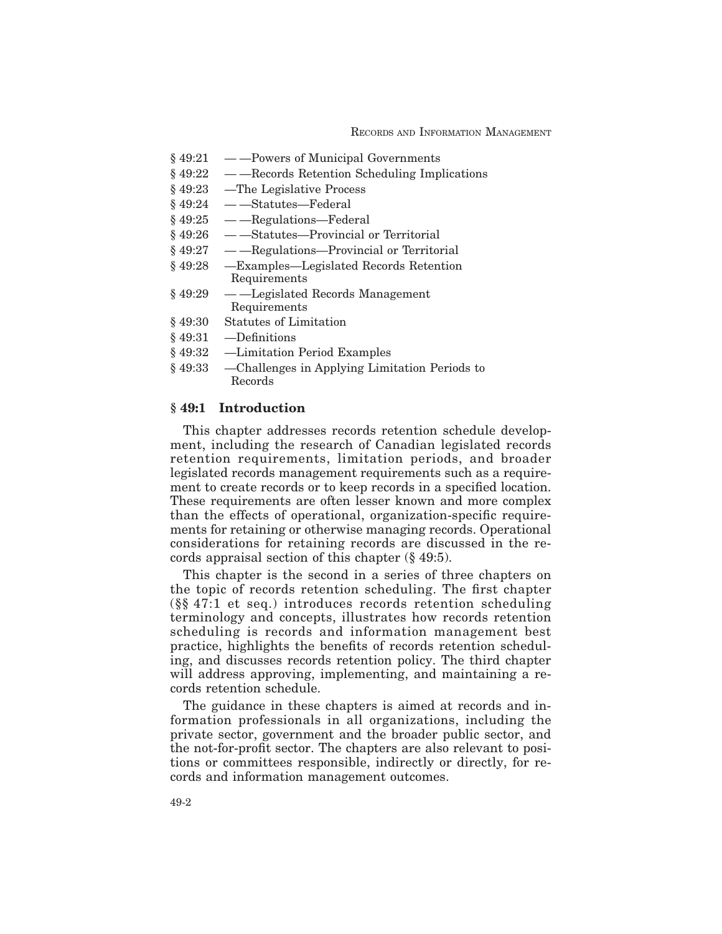RECORDS AND INFORMATION MANAGEMENT

- § 49:21 —Powers of Municipal Governments
- § 49:22 —Records Retention Scheduling Implications
- § 49:23 —The Legislative Process
- § 49:24 —Statutes—Federal
- § 49:25 —Regulations—Federal
- § 49:26 —Statutes—Provincial or Territorial
- § 49:27 —Regulations—Provincial or Territorial
- § 49:28 —Examples—Legislated Records Retention Requirements
- § 49:29 —Legislated Records Management Requirements
- § 49:30 Statutes of Limitation
- § 49:31 —Definitions
- § 49:32 —Limitation Period Examples
- § 49:33 —Challenges in Applying Limitation Periods to Records

# **§ 49:1 Introduction**

This chapter addresses records retention schedule development, including the research of Canadian legislated records retention requirements, limitation periods, and broader legislated records management requirements such as a requirement to create records or to keep records in a specified location. These requirements are often lesser known and more complex than the effects of operational, organization-specific requirements for retaining or otherwise managing records. Operational considerations for retaining records are discussed in the records appraisal section of this chapter (§ 49:5).

This chapter is the second in a series of three chapters on the topic of records retention scheduling. The first chapter (§§ 47:1 et seq.) introduces records retention scheduling terminology and concepts, illustrates how records retention scheduling is records and information management best practice, highlights the benefits of records retention scheduling, and discusses records retention policy. The third chapter will address approving, implementing, and maintaining a records retention schedule.

The guidance in these chapters is aimed at records and information professionals in all organizations, including the private sector, government and the broader public sector, and the not-for-profit sector. The chapters are also relevant to positions or committees responsible, indirectly or directly, for records and information management outcomes.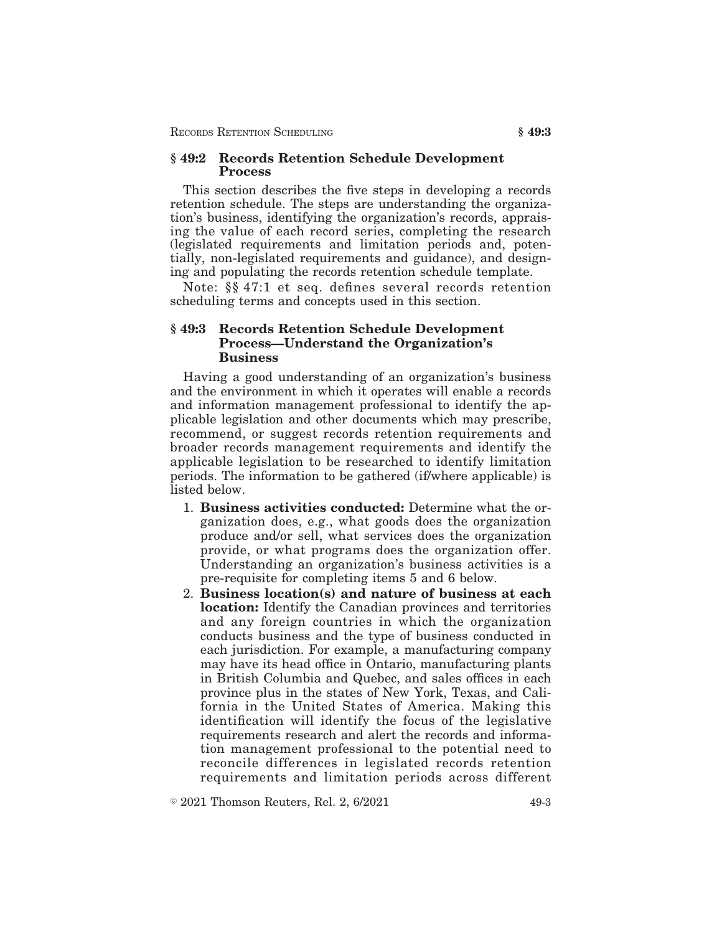#### **§ 49:2 Records Retention Schedule Development Process**

This section describes the five steps in developing a records retention schedule. The steps are understanding the organization's business, identifying the organization's records, appraising the value of each record series, completing the research (legislated requirements and limitation periods and, potentially, non-legislated requirements and guidance), and designing and populating the records retention schedule template.

Note: §§ 47:1 et seq. defines several records retention scheduling terms and concepts used in this section.

# **§ 49:3 Records Retention Schedule Development Process—Understand the Organization's Business**

Having a good understanding of an organization's business and the environment in which it operates will enable a records and information management professional to identify the applicable legislation and other documents which may prescribe, recommend, or suggest records retention requirements and broader records management requirements and identify the applicable legislation to be researched to identify limitation periods. The information to be gathered (if/where applicable) is listed below.

- 1. **Business activities conducted:** Determine what the organization does, e.g., what goods does the organization produce and/or sell, what services does the organization provide, or what programs does the organization offer. Understanding an organization's business activities is a pre-requisite for completing items 5 and 6 below.
- 2. **Business location(s) and nature of business at each location:** Identify the Canadian provinces and territories and any foreign countries in which the organization conducts business and the type of business conducted in each jurisdiction. For example, a manufacturing company may have its head office in Ontario, manufacturing plants in British Columbia and Quebec, and sales offices in each province plus in the states of New York, Texas, and California in the United States of America. Making this identification will identify the focus of the legislative requirements research and alert the records and information management professional to the potential need to reconcile differences in legislated records retention requirements and limitation periods across different

 $\degree$  2021 Thomson Reuters, Rel. 2, 6/2021 49-3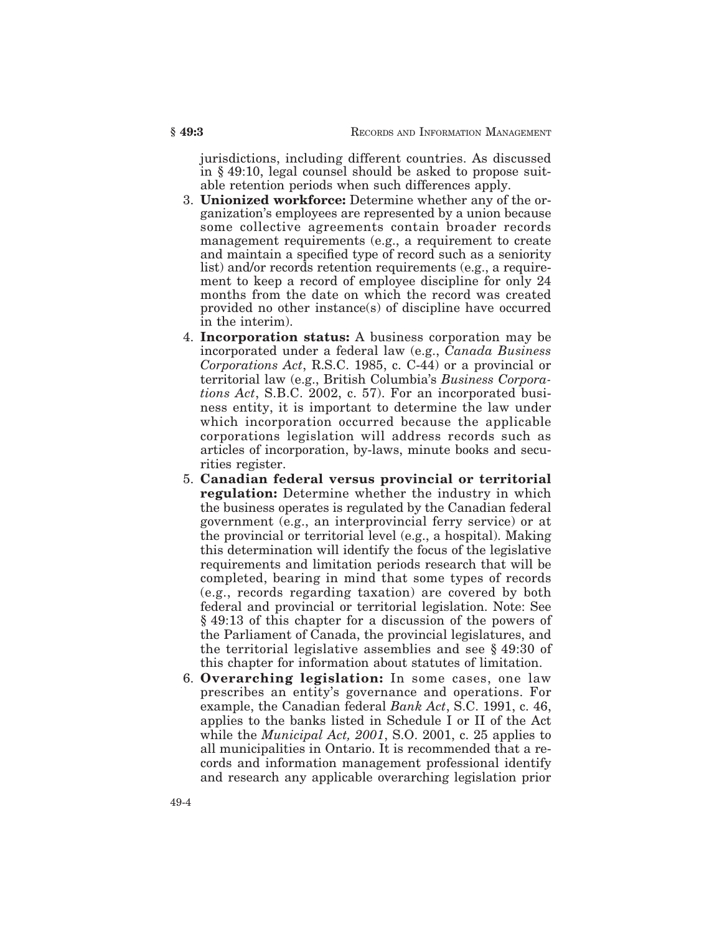jurisdictions, including different countries. As discussed in § 49:10, legal counsel should be asked to propose suitable retention periods when such differences apply.

- 3. **Unionized workforce:** Determine whether any of the organization's employees are represented by a union because some collective agreements contain broader records management requirements (e.g., a requirement to create and maintain a specified type of record such as a seniority list) and/or records retention requirements (e.g., a requirement to keep a record of employee discipline for only 24 months from the date on which the record was created provided no other instance(s) of discipline have occurred in the interim).
- 4. **Incorporation status:** A business corporation may be incorporated under a federal law (e.g., *Canada Business Corporations Act*, R.S.C. 1985, c. C-44) or a provincial or territorial law (e.g., British Columbia's *Business Corporations Act*, S.B.C. 2002, c. 57). For an incorporated business entity, it is important to determine the law under which incorporation occurred because the applicable corporations legislation will address records such as articles of incorporation, by-laws, minute books and securities register.
- 5. **Canadian federal versus provincial or territorial regulation:** Determine whether the industry in which the business operates is regulated by the Canadian federal government (e.g., an interprovincial ferry service) or at the provincial or territorial level (e.g., a hospital). Making this determination will identify the focus of the legislative requirements and limitation periods research that will be completed, bearing in mind that some types of records (e.g., records regarding taxation) are covered by both federal and provincial or territorial legislation. Note: See § 49:13 of this chapter for a discussion of the powers of the Parliament of Canada, the provincial legislatures, and the territorial legislative assemblies and see § 49:30 of this chapter for information about statutes of limitation.
- 6. **Overarching legislation:** In some cases, one law prescribes an entity's governance and operations. For example, the Canadian federal *Bank Act*, S.C. 1991, c. 46, applies to the banks listed in Schedule I or II of the Act while the *Municipal Act, 2001*, S.O. 2001, c. 25 applies to all municipalities in Ontario. It is recommended that a records and information management professional identify and research any applicable overarching legislation prior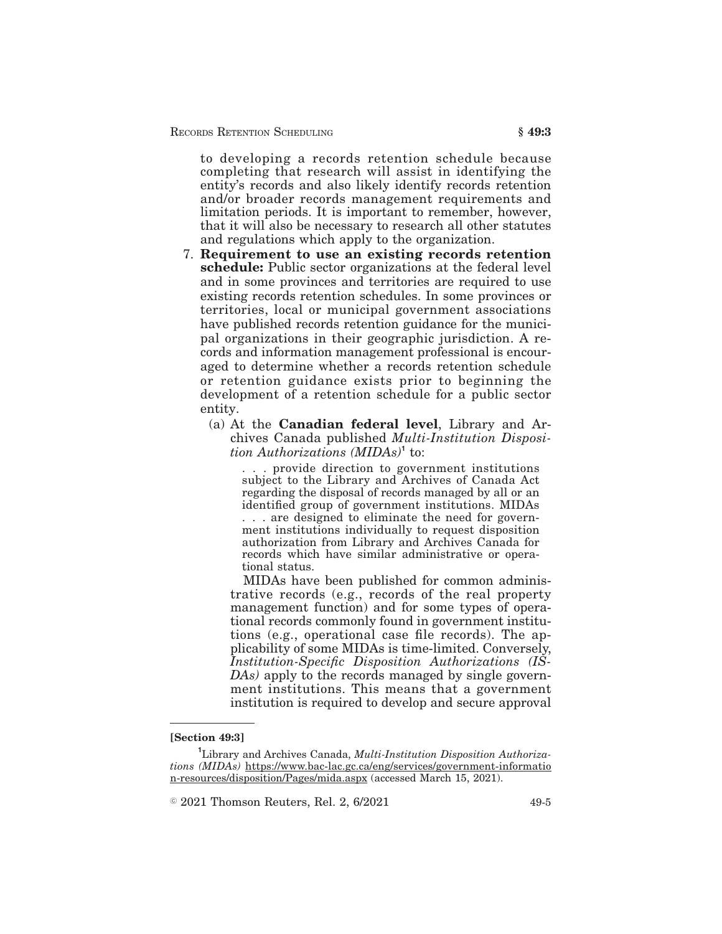to developing a records retention schedule because completing that research will assist in identifying the entity's records and also likely identify records retention and/or broader records management requirements and limitation periods. It is important to remember, however, that it will also be necessary to research all other statutes and regulations which apply to the organization.

- 7. **Requirement to use an existing records retention schedule:** Public sector organizations at the federal level and in some provinces and territories are required to use existing records retention schedules. In some provinces or territories, local or municipal government associations have published records retention guidance for the municipal organizations in their geographic jurisdiction. A records and information management professional is encouraged to determine whether a records retention schedule or retention guidance exists prior to beginning the development of a retention schedule for a public sector entity.
	- (a) At the **Canadian federal level**, Library and Archives Canada published *Multi-Institution Disposition Authorizations (MIDAs)***<sup>1</sup>** to:

. . . provide direction to government institutions subject to the Library and Archives of Canada Act regarding the disposal of records managed by all or an identified group of government institutions. MIDAs . . . are designed to eliminate the need for government institutions individually to request disposition authorization from Library and Archives Canada for records which have similar administrative or operational status.

MIDAs have been published for common administrative records (e.g., records of the real property management function) and for some types of operational records commonly found in government institutions (e.g., operational case file records). The applicability of some MIDAs is time-limited. Conversely, *Institution-Specific Disposition Authorizations (IS-DAs)* apply to the records managed by single government institutions. This means that a government institution is required to develop and secure approval

#### **[Section 49:3]**

 $\textcircled{\textdegree}$  2021 Thomson Reuters, Rel. 2, 6/2021  $\textcircled{\textdegree}$  49-5

**<sup>1</sup>** Library and Archives Canada, *Multi-Institution Disposition Authorizations (MIDAs)* https://www.bac-lac.gc.ca/eng/services/government-informatio n-resources/disposition/Pages/mida.aspx (accessed March 15, 2021).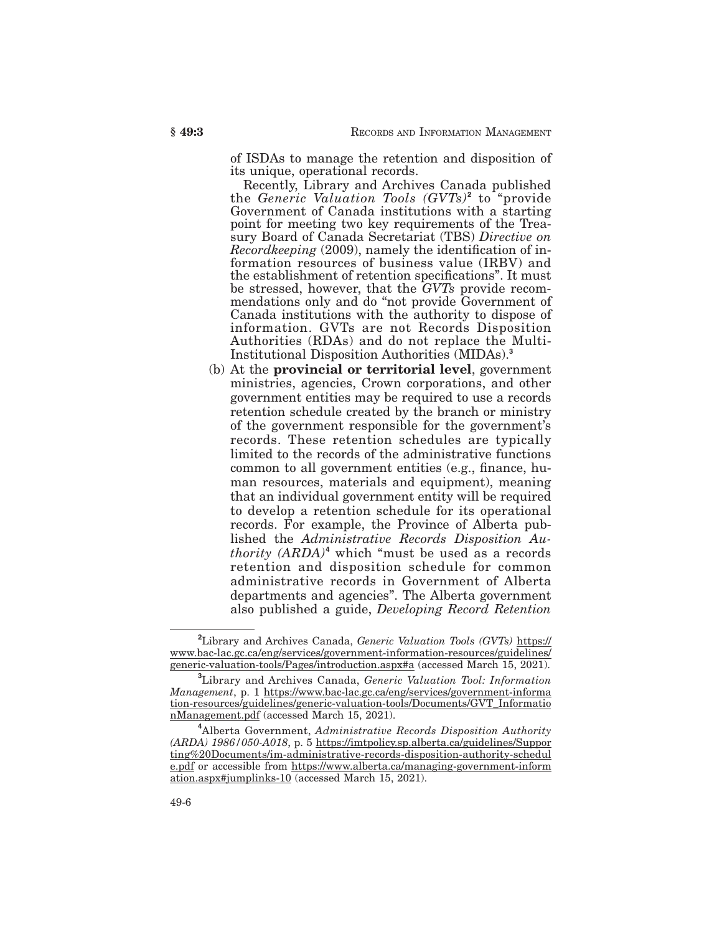of ISDAs to manage the retention and disposition of its unique, operational records.

Recently, Library and Archives Canada published the *Generic Valuation Tools (GVTs)***<sup>2</sup>** to "provide Government of Canada institutions with a starting point for meeting two key requirements of the Treasury Board of Canada Secretariat (TBS) *Directive on Recordkeeping* (2009), namely the identification of information resources of business value (IRBV) and the establishment of retention specifications". It must be stressed, however, that the *GVTs* provide recommendations only and do "not provide Government of Canada institutions with the authority to dispose of information. GVTs are not Records Disposition Authorities (RDAs) and do not replace the Multi-Institutional Disposition Authorities (MIDAs).**<sup>3</sup>**

(b) At the **provincial or territorial level**, government ministries, agencies, Crown corporations, and other government entities may be required to use a records retention schedule created by the branch or ministry of the government responsible for the government's records. These retention schedules are typically limited to the records of the administrative functions common to all government entities (e.g., finance, human resources, materials and equipment), meaning that an individual government entity will be required to develop a retention schedule for its operational records. For example, the Province of Alberta published the *Administrative Records Disposition Authority (ARDA)***<sup>4</sup>** which "must be used as a records retention and disposition schedule for common administrative records in Government of Alberta departments and agencies". The Alberta government also published a guide, *Developing Record Retention*

**<sup>2</sup>** Library and Archives Canada, *Generic Valuation Tools (GVTs)* https:// www.bac-lac.gc.ca/eng/services/government-information-resources/guidelines/ generic-valuation-tools/Pages/introduction.aspx#a (accessed March 15, 2021).

**<sup>3</sup>** Library and Archives Canada, *Generic Valuation Tool: Information Management*, p. 1 https://www.bac-lac.gc.ca/eng/services/government-informa tion-resources/guidelines/generic-valuation-tools/Documents/GVT\_Informatio nManagement.pdf (accessed March 15, 2021).

**<sup>4</sup>** Alberta Government, *Administrative Records Disposition Authority (ARDA) 1986/050-A018*, p. 5 https://imtpolicy.sp.alberta.ca/guidelines/Suppor ting%20Documents/im-administrative-records-disposition-authority-schedul e.pdf or accessible from https://www.alberta.ca/managing-government-inform ation.aspx#jumplinks-10 (accessed March 15, 2021).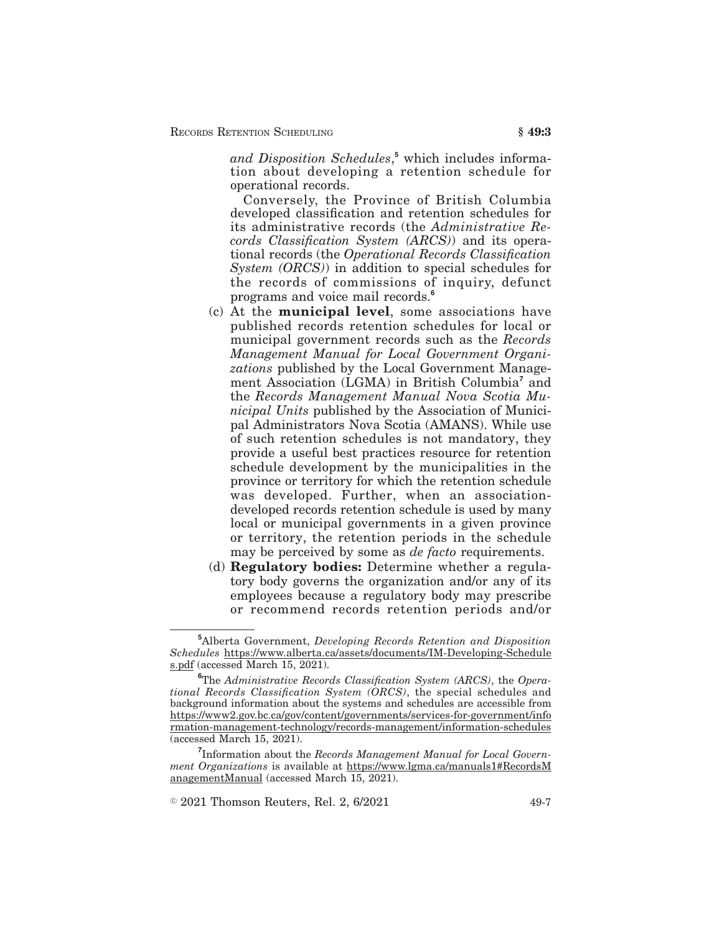*and Disposition Schedules*, **<sup>5</sup>** which includes information about developing a retention schedule for operational records.

Conversely, the Province of British Columbia developed classification and retention schedules for its administrative records (the *Administrative Records Classification System (ARCS)*) and its operational records (the *Operational Records Classification System (ORCS)*) in addition to special schedules for the records of commissions of inquiry, defunct programs and voice mail records.**<sup>6</sup>**

- (c) At the **municipal level**, some associations have published records retention schedules for local or municipal government records such as the *Records Management Manual for Local Government Organizations* published by the Local Government Management Association (LGMA) in British Columbia**<sup>7</sup>** and the *Records Management Manual Nova Scotia Municipal Units* published by the Association of Municipal Administrators Nova Scotia (AMANS). While use of such retention schedules is not mandatory, they provide a useful best practices resource for retention schedule development by the municipalities in the province or territory for which the retention schedule was developed. Further, when an associationdeveloped records retention schedule is used by many local or municipal governments in a given province or territory, the retention periods in the schedule may be perceived by some as *de facto* requirements.
- (d) **Regulatory bodies:** Determine whether a regulatory body governs the organization and/or any of its employees because a regulatory body may prescribe or recommend records retention periods and/or

 $\textcircled{2021}$  Thomson Reuters, Rel. 2, 6/2021 49-7

**<sup>5</sup>** Alberta Government, *Developing Records Retention and Disposition Schedules* https://www.alberta.ca/assets/documents/IM-Developing-Schedule s.pdf (accessed March 15, 2021).

**<sup>6</sup>** The *Administrative Records Classification System (ARCS)*, the *Operational Records Classification System (ORCS)*, the special schedules and background information about the systems and schedules are accessible from https://www2.gov.bc.ca/gov/content/governments/services-for-government/info rmation-management-technology/records-management/information-schedules (accessed March 15, 2021).

**<sup>7</sup>** Information about the *Records Management Manual for Local Government Organizations* is available at https://www.lgma.ca/manuals1#RecordsM anagementManual (accessed March 15, 2021).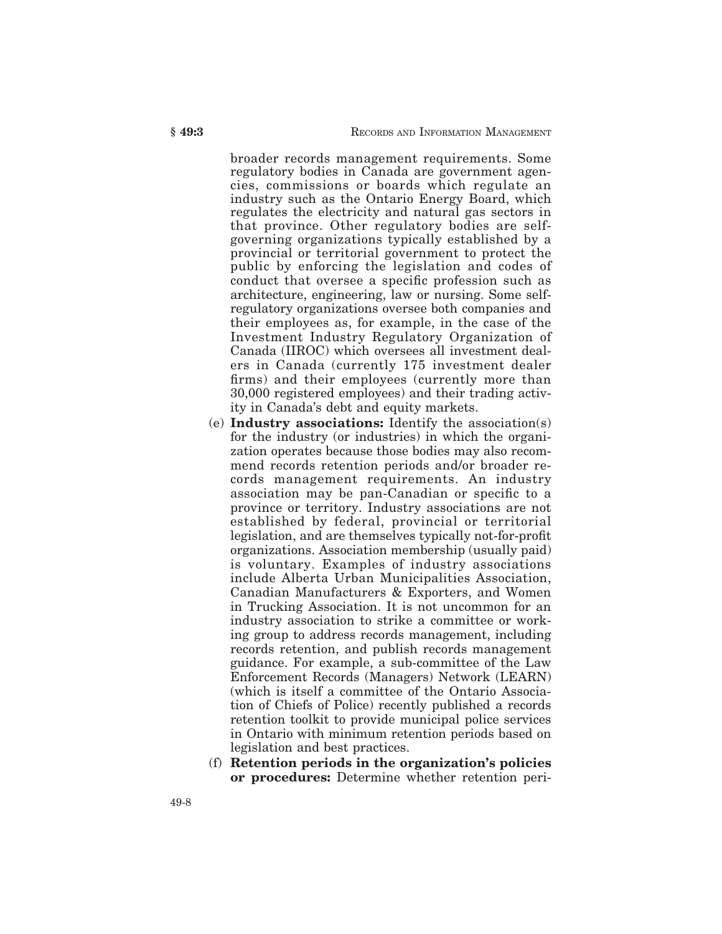broader records management requirements. Some regulatory bodies in Canada are government agencies, commissions or boards which regulate an industry such as the Ontario Energy Board, which regulates the electricity and natural gas sectors in that province. Other regulatory bodies are selfgoverning organizations typically established by a provincial or territorial government to protect the public by enforcing the legislation and codes of conduct that oversee a specific profession such as architecture, engineering, law or nursing. Some selfregulatory organizations oversee both companies and their employees as, for example, in the case of the Investment Industry Regulatory Organization of Canada (IIROC) which oversees all investment dealers in Canada (currently 175 investment dealer firms) and their employees (currently more than 30,000 registered employees) and their trading activity in Canada's debt and equity markets.

- (e) **Industry associations:** Identify the association(s) for the industry (or industries) in which the organization operates because those bodies may also recommend records retention periods and/or broader records management requirements. An industry association may be pan-Canadian or specific to a province or territory. Industry associations are not established by federal, provincial or territorial legislation, and are themselves typically not-for-profit organizations. Association membership (usually paid) is voluntary. Examples of industry associations include Alberta Urban Municipalities Association, Canadian Manufacturers & Exporters, and Women in Trucking Association. It is not uncommon for an industry association to strike a committee or working group to address records management, including records retention, and publish records management guidance. For example, a sub-committee of the Law Enforcement Records (Managers) Network (LEARN) (which is itself a committee of the Ontario Association of Chiefs of Police) recently published a records retention toolkit to provide municipal police services in Ontario with minimum retention periods based on legislation and best practices.
- (f) **Retention periods in the organization's policies or procedures:** Determine whether retention peri-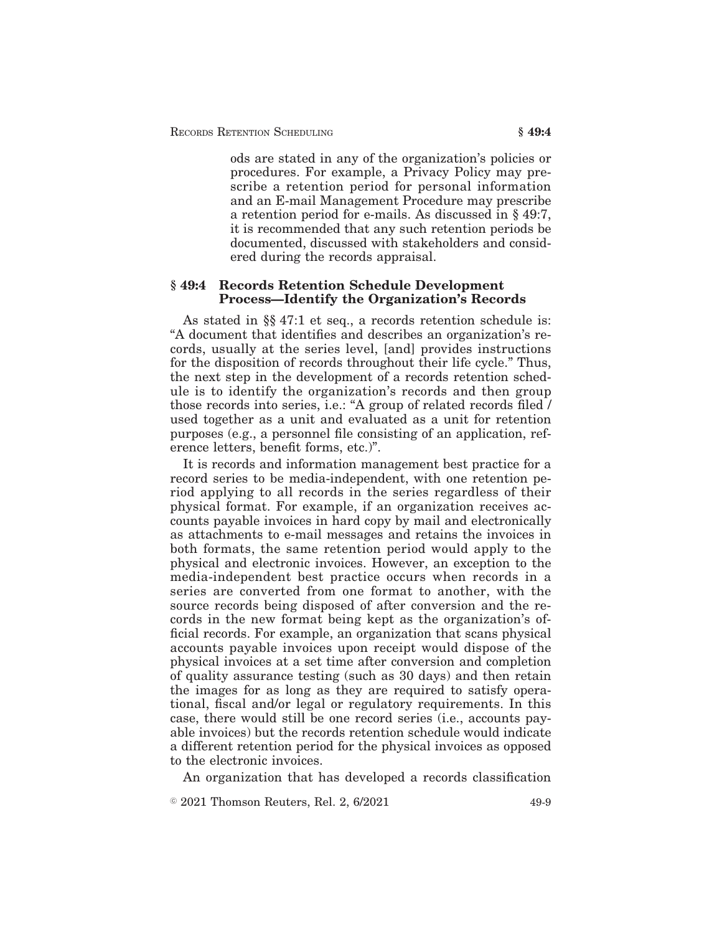ods are stated in any of the organization's policies or procedures. For example, a Privacy Policy may prescribe a retention period for personal information and an E-mail Management Procedure may prescribe a retention period for e-mails. As discussed in § 49:7, it is recommended that any such retention periods be documented, discussed with stakeholders and considered during the records appraisal.

## **§ 49:4 Records Retention Schedule Development Process—Identify the Organization's Records**

As stated in §§ 47:1 et seq., a records retention schedule is: "A document that identifies and describes an organization's records, usually at the series level, [and] provides instructions for the disposition of records throughout their life cycle." Thus, the next step in the development of a records retention schedule is to identify the organization's records and then group those records into series, i.e.: "A group of related records filed / used together as a unit and evaluated as a unit for retention purposes (e.g., a personnel file consisting of an application, reference letters, benefit forms, etc.)".

It is records and information management best practice for a record series to be media-independent, with one retention period applying to all records in the series regardless of their physical format. For example, if an organization receives accounts payable invoices in hard copy by mail and electronically as attachments to e-mail messages and retains the invoices in both formats, the same retention period would apply to the physical and electronic invoices. However, an exception to the media-independent best practice occurs when records in a series are converted from one format to another, with the source records being disposed of after conversion and the records in the new format being kept as the organization's official records. For example, an organization that scans physical accounts payable invoices upon receipt would dispose of the physical invoices at a set time after conversion and completion of quality assurance testing (such as 30 days) and then retain the images for as long as they are required to satisfy operational, fiscal and/or legal or regulatory requirements. In this case, there would still be one record series (i.e., accounts payable invoices) but the records retention schedule would indicate a different retention period for the physical invoices as opposed to the electronic invoices.

An organization that has developed a records classification

 $\degree$  2021 Thomson Reuters, Rel. 2, 6/2021 49-9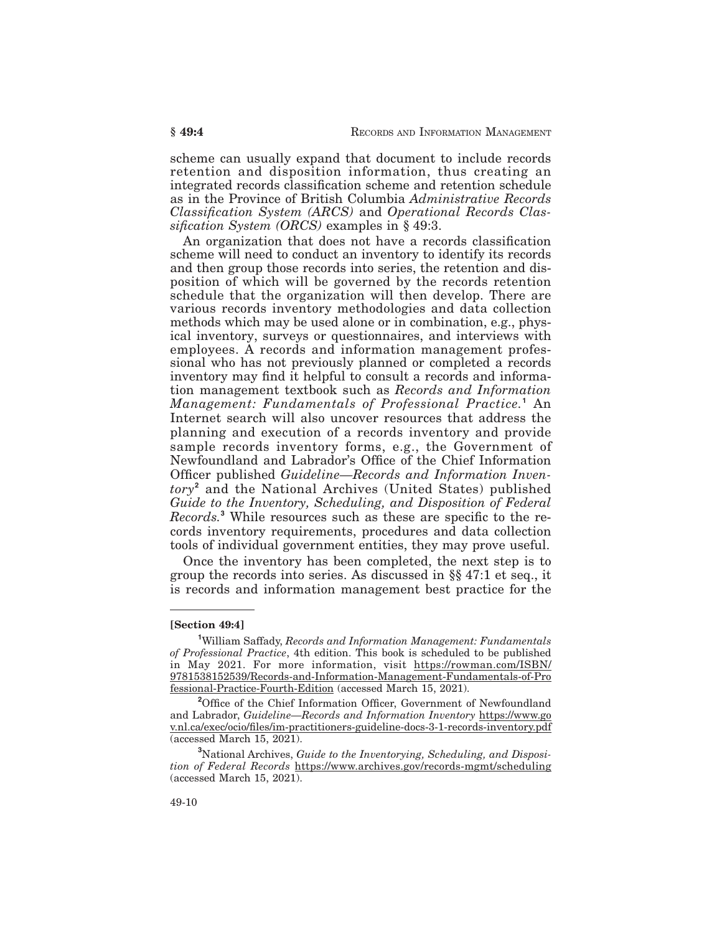scheme can usually expand that document to include records retention and disposition information, thus creating an integrated records classification scheme and retention schedule as in the Province of British Columbia *Administrative Records Classification System (ARCS)* and *Operational Records Classification System (ORCS)* examples in § 49:3.

An organization that does not have a records classification scheme will need to conduct an inventory to identify its records and then group those records into series, the retention and disposition of which will be governed by the records retention schedule that the organization will then develop. There are various records inventory methodologies and data collection methods which may be used alone or in combination, e.g., physical inventory, surveys or questionnaires, and interviews with employees. A records and information management professional who has not previously planned or completed a records inventory may find it helpful to consult a records and information management textbook such as *Records and Information Management: Fundamentals of Professional Practice.***<sup>1</sup>** An Internet search will also uncover resources that address the planning and execution of a records inventory and provide sample records inventory forms, e.g., the Government of Newfoundland and Labrador's Office of the Chief Information Officer published *Guideline—Records and Information Inventory***<sup>2</sup>** and the National Archives (United States) published *Guide to the Inventory, Scheduling, and Disposition of Federal Records.***<sup>3</sup>** While resources such as these are specific to the records inventory requirements, procedures and data collection tools of individual government entities, they may prove useful.

Once the inventory has been completed, the next step is to group the records into series. As discussed in §§ 47:1 et seq., it is records and information management best practice for the

#### **[Section 49:4]**

**<sup>1</sup>** William Saffady, *Records and Information Management: Fundamentals of Professional Practice*, 4th edition. This book is scheduled to be published in May 2021. For more information, visit https://rowman.com/ISBN/ 9781538152539/Records-and-Information-Management-Fundamentals-of-Pro fessional-Practice-Fourth-Edition (accessed March 15, 2021).

<sup>&</sup>lt;sup>2</sup>Office of the Chief Information Officer, Government of Newfoundland and Labrador, *Guideline—Records and Information Inventory* https://www.go v.nl.ca/exec/ocio/files/im-practitioners-guideline-docs-3-1-records-inventory.pdf (accessed March 15, 2021).

**<sup>3</sup>** National Archives, *Guide to the Inventorying, Scheduling, and Disposition of Federal Records* https://www.archives.gov/records-mgmt/scheduling (accessed March 15, 2021).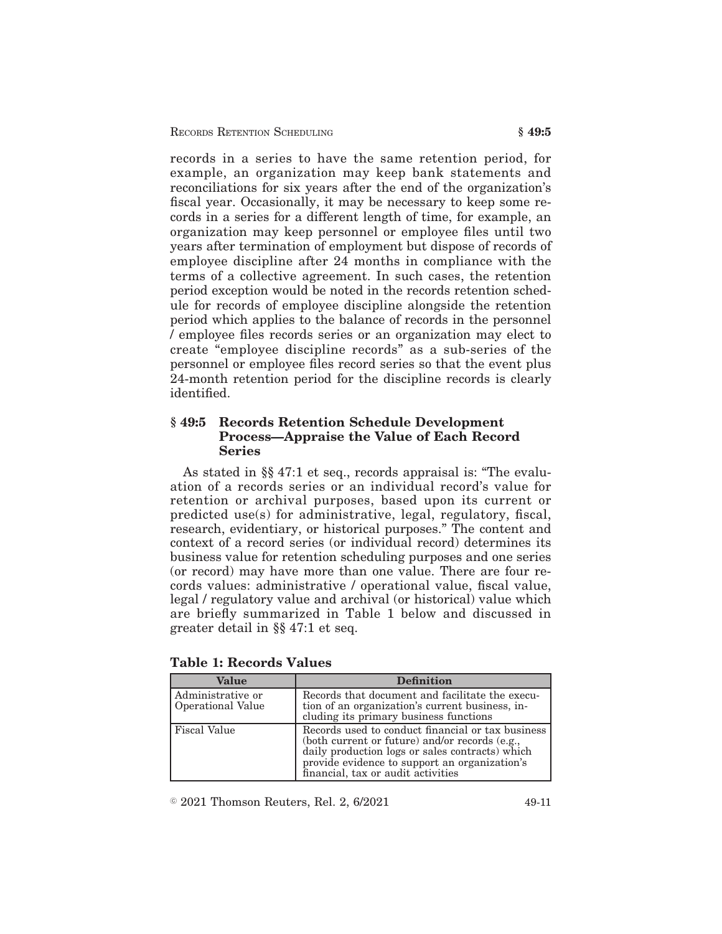records in a series to have the same retention period, for example, an organization may keep bank statements and reconciliations for six years after the end of the organization's fiscal year. Occasionally, it may be necessary to keep some records in a series for a different length of time, for example, an organization may keep personnel or employee files until two years after termination of employment but dispose of records of employee discipline after 24 months in compliance with the terms of a collective agreement. In such cases, the retention period exception would be noted in the records retention schedule for records of employee discipline alongside the retention period which applies to the balance of records in the personnel / employee files records series or an organization may elect to create "employee discipline records" as a sub-series of the personnel or employee files record series so that the event plus 24-month retention period for the discipline records is clearly identified.

# **§ 49:5 Records Retention Schedule Development Process—Appraise the Value of Each Record Series**

As stated in §§ 47:1 et seq., records appraisal is: "The evaluation of a records series or an individual record's value for retention or archival purposes, based upon its current or predicted use(s) for administrative, legal, regulatory, fiscal, research, evidentiary, or historical purposes." The content and context of a record series (or individual record) determines its business value for retention scheduling purposes and one series (or record) may have more than one value. There are four records values: administrative / operational value, fiscal value, legal / regulatory value and archival (or historical) value which are briefly summarized in Table 1 below and discussed in greater detail in §§ 47:1 et seq.

| <b>Table 1: Records Values</b> |  |
|--------------------------------|--|
|--------------------------------|--|

| <b>Value</b>                           | <b>Definition</b>                                                                                                                                                                                                                             |
|----------------------------------------|-----------------------------------------------------------------------------------------------------------------------------------------------------------------------------------------------------------------------------------------------|
| Administrative or<br>Operational Value | Records that document and facilitate the execu-<br>tion of an organization's current business, in-<br>cluding its primary business functions                                                                                                  |
| Fiscal Value                           | Records used to conduct financial or tax business<br>(both current or future) and/or records (e.g.,<br>daily production logs or sales contracts) which<br>provide evidence to support an organization's<br>financial, tax or audit activities |

 $\textcircled{\textdegree}$  2021 Thomson Reuters, Rel. 2, 6/2021  $\textcircled{\textdegree}$  49-11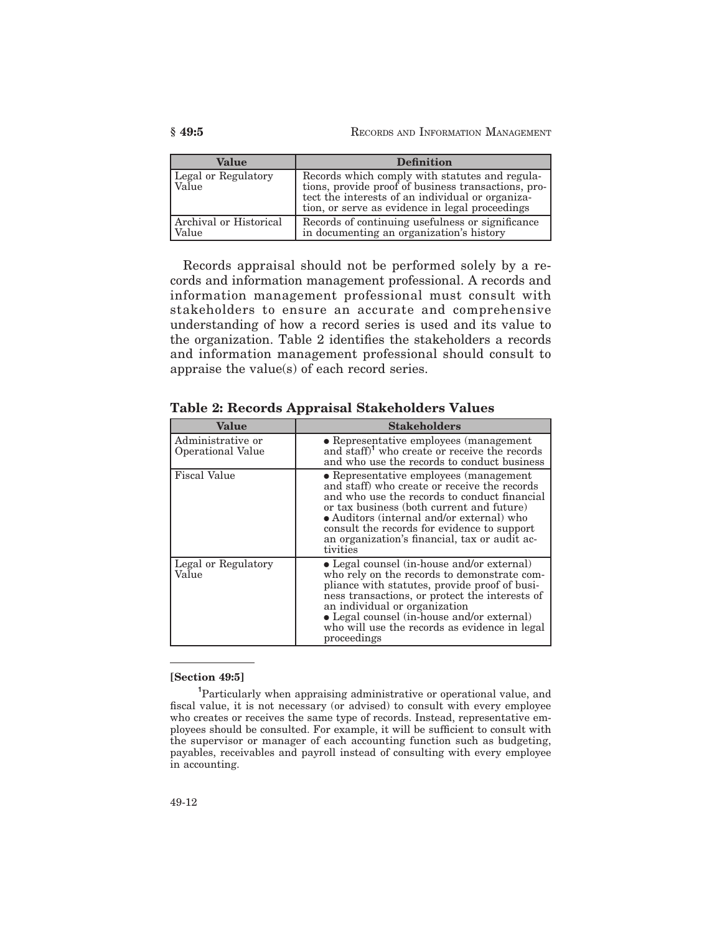| Value                             | <b>Definition</b>                                                                                                                                                                                            |
|-----------------------------------|--------------------------------------------------------------------------------------------------------------------------------------------------------------------------------------------------------------|
| Legal or Regulatory<br>l Value    | Records which comply with statutes and regula-<br>tions, provide proof of business transactions, pro-<br>tect the interests of an individual or organiza-<br>tion, or serve as evidence in legal proceedings |
| Archival or Historical<br>l Value | Records of continuing usefulness or significance<br>in documenting an organization's history                                                                                                                 |

Records appraisal should not be performed solely by a records and information management professional. A records and information management professional must consult with stakeholders to ensure an accurate and comprehensive understanding of how a record series is used and its value to the organization. Table 2 identifies the stakeholders a records and information management professional should consult to appraise the value(s) of each record series.

| <b>Value</b>                           | <b>Stakeholders</b>                                                                                                                                                                                                                                                                                                                           |
|----------------------------------------|-----------------------------------------------------------------------------------------------------------------------------------------------------------------------------------------------------------------------------------------------------------------------------------------------------------------------------------------------|
| Administrative or<br>Operational Value | • Representative employees (management<br>and staff) <sup>1</sup> who create or receive the records<br>and who use the records to conduct business                                                                                                                                                                                            |
| <b>Fiscal Value</b>                    | • Representative employees (management)<br>and staff) who create or receive the records<br>and who use the records to conduct financial<br>or tax business (both current and future)<br>• Auditors (internal and/or external) who<br>consult the records for evidence to support<br>an organization's financial, tax or audit ac-<br>tivities |
| Legal or Regulatory<br>Value           | • Legal counsel (in-house and/or external)<br>who rely on the records to demonstrate com-<br>pliance with statutes, provide proof of busi-<br>ness transactions, or protect the interests of<br>an individual or organization<br>• Legal counsel (in-house and/or external)<br>who will use the records as evidence in legal<br>proceedings   |

**Table 2: Records Appraisal Stakeholders Values**

#### **[Section 49:5]**

**1** Particularly when appraising administrative or operational value, and fiscal value, it is not necessary (or advised) to consult with every employee who creates or receives the same type of records. Instead, representative employees should be consulted. For example, it will be sufficient to consult with the supervisor or manager of each accounting function such as budgeting, payables, receivables and payroll instead of consulting with every employee in accounting.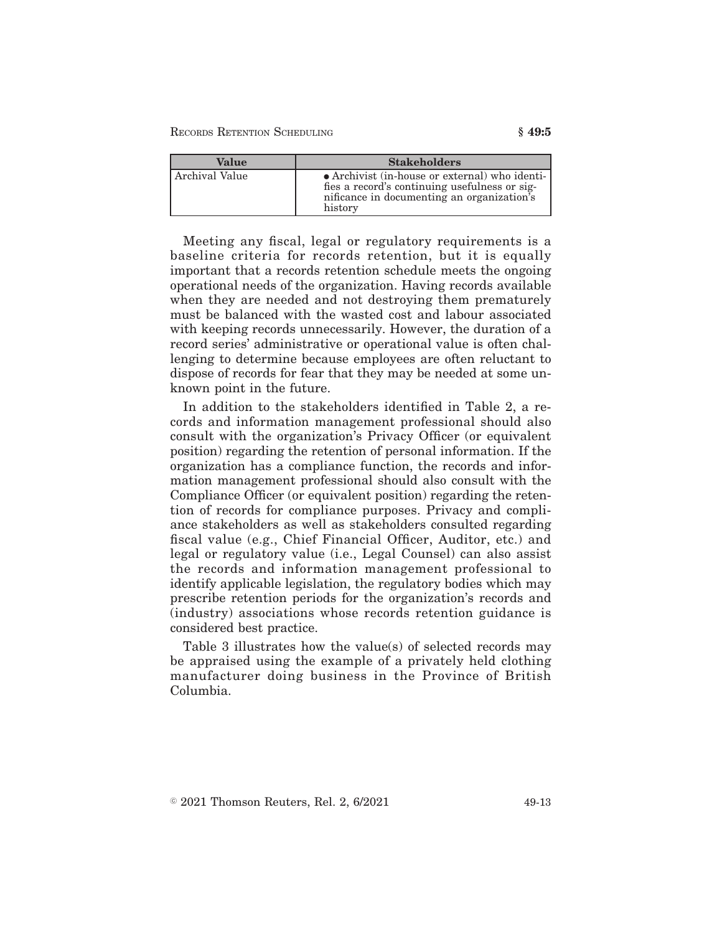| Value          | <b>Stakeholders</b>                                                                                                                                              |
|----------------|------------------------------------------------------------------------------------------------------------------------------------------------------------------|
| Archival Value | $\bullet$ Archivist (in-house or external) who identi-<br>fies a record's continuing usefulness or sig-<br>nificance in documenting an organization's<br>history |

Meeting any fiscal, legal or regulatory requirements is a baseline criteria for records retention, but it is equally important that a records retention schedule meets the ongoing operational needs of the organization. Having records available when they are needed and not destroying them prematurely must be balanced with the wasted cost and labour associated with keeping records unnecessarily. However, the duration of a record series' administrative or operational value is often challenging to determine because employees are often reluctant to dispose of records for fear that they may be needed at some unknown point in the future.

In addition to the stakeholders identified in Table 2, a records and information management professional should also consult with the organization's Privacy Officer (or equivalent position) regarding the retention of personal information. If the organization has a compliance function, the records and information management professional should also consult with the Compliance Officer (or equivalent position) regarding the retention of records for compliance purposes. Privacy and compliance stakeholders as well as stakeholders consulted regarding fiscal value (e.g., Chief Financial Officer, Auditor, etc.) and legal or regulatory value (i.e., Legal Counsel) can also assist the records and information management professional to identify applicable legislation, the regulatory bodies which may prescribe retention periods for the organization's records and (industry) associations whose records retention guidance is considered best practice.

Table 3 illustrates how the value(s) of selected records may be appraised using the example of a privately held clothing manufacturer doing business in the Province of British Columbia.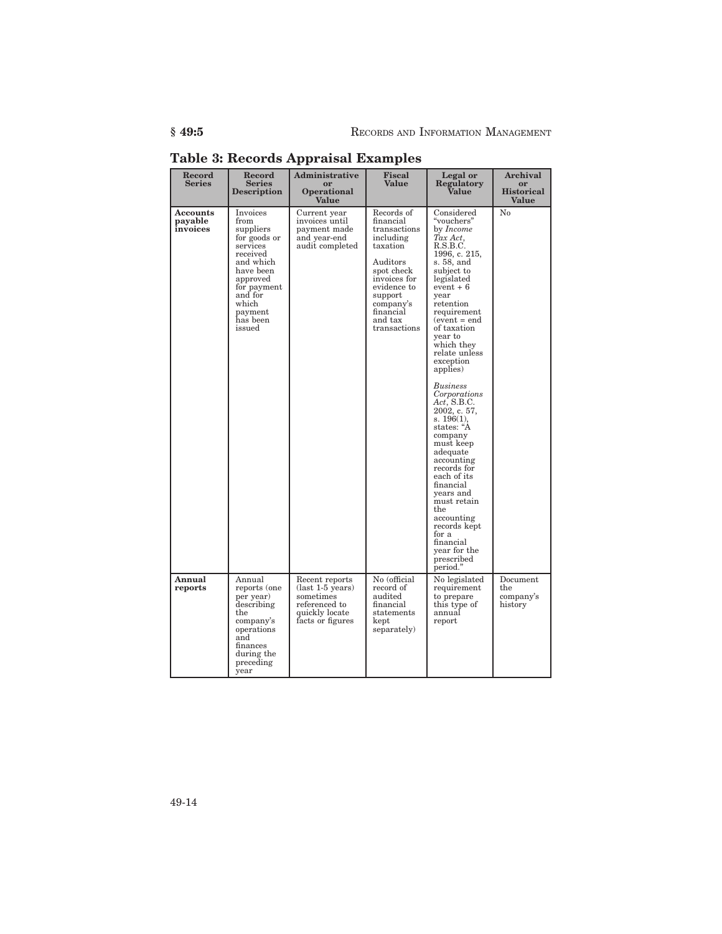| <b>Record</b><br><b>Series</b>         | <b>Record</b><br><b>Series</b><br><b>Description</b>                                                                                                                            | <b>Administrative</b><br>or<br><b>Operational</b><br>Value                                              | <b>Fiscal</b><br><b>Value</b>                                                                                                                                                             | Legal or<br>Regulatory<br>Value                                                                                                                                                                                                                                                                                                                                                                                                                                                                                                                                                                      | <b>Archival</b><br>or<br><b>Historical</b><br><b>Value</b> |
|----------------------------------------|---------------------------------------------------------------------------------------------------------------------------------------------------------------------------------|---------------------------------------------------------------------------------------------------------|-------------------------------------------------------------------------------------------------------------------------------------------------------------------------------------------|------------------------------------------------------------------------------------------------------------------------------------------------------------------------------------------------------------------------------------------------------------------------------------------------------------------------------------------------------------------------------------------------------------------------------------------------------------------------------------------------------------------------------------------------------------------------------------------------------|------------------------------------------------------------|
| <b>Accounts</b><br>payable<br>invoices | Invoices<br>from<br>suppliers<br>for goods or<br>services<br>received<br>and which<br>have been<br>approved<br>for payment<br>and for<br>which<br>payment<br>has been<br>issued | Current year<br>invoices until<br>payment made<br>and year-end<br>audit completed                       | Records of<br>financial<br>transactions<br>including<br>taxation<br>Auditors<br>spot check<br>invoices for<br>evidence to<br>support<br>company's<br>financial<br>and tax<br>transactions | Considered<br>"vouchers"<br>by Income<br>Tax Act.<br>R.S.B.C.<br>1996, c. 215,<br>s. 58, and<br>subject to<br>legislated<br>$event + 6$<br>year<br>retention<br>requirement<br>$(event = end$<br>of taxation<br>year to<br>which they<br>relate unless<br>exception<br>applies)<br>Business<br>Corporations<br>Act, S.B.C.<br>2002, c. 57,<br>s. 196(1),<br>states: "A<br>company<br>must keep<br>adequate<br>accounting<br>records for<br>each of its<br>financial<br>years and<br>must retain<br>the<br>accounting<br>records kept<br>for a<br>financial<br>year for the<br>prescribed<br>period." | No                                                         |
| Annual<br>reports                      | Annual<br>reports (one<br>per year)<br>describing<br>the<br>company's<br>operations<br>and<br>finances<br>during the<br>preceding<br>year                                       | Recent reports<br>$last 1-5 years)$<br>sometimes<br>referenced to<br>quickly locate<br>facts or figures | No (official<br>record of<br>audited<br>financial<br>statements<br>kept<br>separately)                                                                                                    | No legislated<br>requirement<br>to prepare<br>this type of<br>annual<br>report                                                                                                                                                                                                                                                                                                                                                                                                                                                                                                                       | Document<br>the<br>company's<br>hi $\operatorname{storv}$  |

**Table 3: Records Appraisal Examples**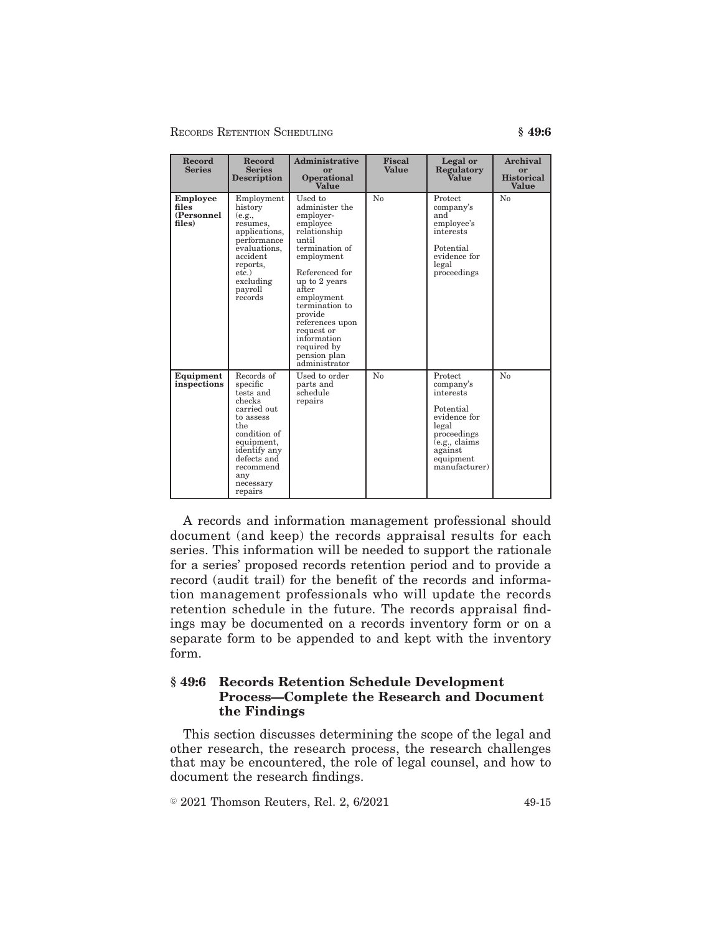| <b>Record</b><br><b>Series</b>                   | <b>Record</b><br><b>Series</b><br><b>Description</b>                                                                                                                                      | <b>Administrative</b><br>or<br><b>Operational</b><br><b>Value</b>                                                                                                                                                                                                                                  | Fiscal<br><b>Value</b> | Legal or<br><b>Regulatory</b><br>Value                                                                                                            | <b>Archival</b><br><b>Or</b><br><b>Historical</b><br>Value |
|--------------------------------------------------|-------------------------------------------------------------------------------------------------------------------------------------------------------------------------------------------|----------------------------------------------------------------------------------------------------------------------------------------------------------------------------------------------------------------------------------------------------------------------------------------------------|------------------------|---------------------------------------------------------------------------------------------------------------------------------------------------|------------------------------------------------------------|
| <b>Employee</b><br>files<br>(Personnel<br>files) | Employment<br>history<br>(e.g.,<br>resumes,<br>applications.<br>performance<br>evaluations.<br>accident<br>reports,<br>$etc.$ )<br>excluding<br>payroll<br>records                        | Used to<br>administer the<br>employer-<br>employee<br>relationship<br>until<br>termination of<br>employment<br>Referenced for<br>up to 2 years<br>after<br>employment<br>termination to<br>provide<br>references upon<br>request or<br>information<br>required by<br>pension plan<br>administrator | No                     | Protect<br>company's<br>and<br>employee's<br>interests<br>Potential<br>evidence for<br>legal<br>proceedings                                       | No                                                         |
| Equipment<br>inspections                         | Records of<br>specific<br>tests and<br>checks<br>carried out<br>to assess<br>the<br>condition of<br>equipment,<br>identify any<br>defects and<br>recommend<br>any<br>necessary<br>repairs | Used to order<br>parts and<br>schedule<br>repairs                                                                                                                                                                                                                                                  | No                     | Protect<br>company's<br>interests<br>Potential<br>evidence for<br>legal<br>proceedings<br>(e.g., claims)<br>against<br>equipment<br>manufacturer) | No                                                         |

A records and information management professional should document (and keep) the records appraisal results for each series. This information will be needed to support the rationale for a series' proposed records retention period and to provide a record (audit trail) for the benefit of the records and information management professionals who will update the records retention schedule in the future. The records appraisal findings may be documented on a records inventory form or on a separate form to be appended to and kept with the inventory form.

# **§ 49:6 Records Retention Schedule Development Process—Complete the Research and Document the Findings**

This section discusses determining the scope of the legal and other research, the research process, the research challenges that may be encountered, the role of legal counsel, and how to document the research findings.

 $\textdegree$  2021 Thomson Reuters, Rel. 2, 6/2021 49-15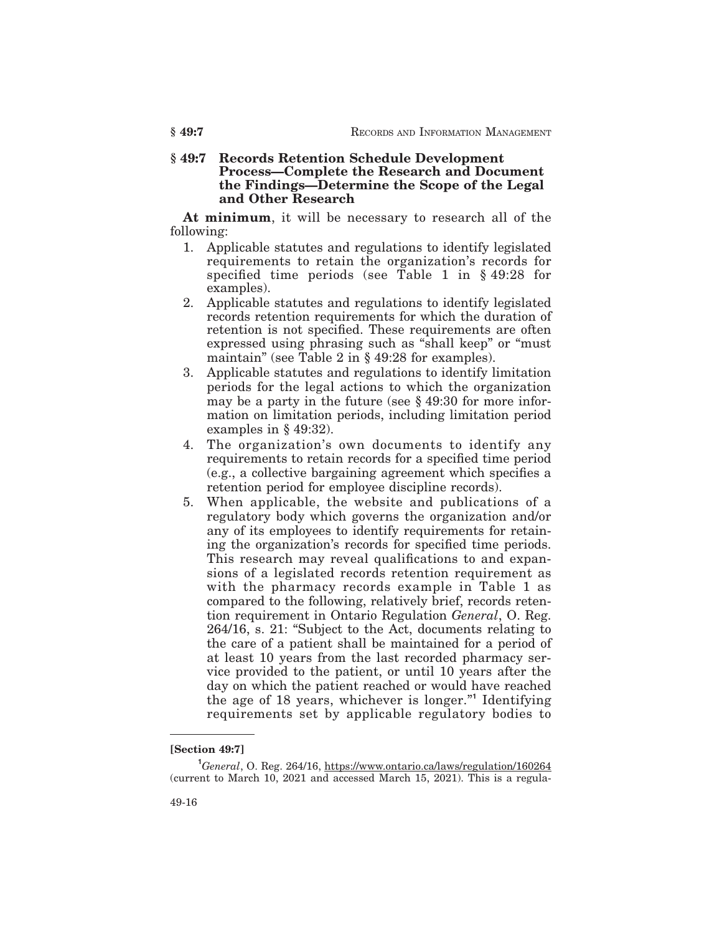# **§ 49:7 Records Retention Schedule Development Process—Complete the Research and Document the Findings—Determine the Scope of the Legal and Other Research**

**At minimum**, it will be necessary to research all of the following:

- 1. Applicable statutes and regulations to identify legislated requirements to retain the organization's records for specified time periods (see Table 1 in § 49:28 for examples).
- 2. Applicable statutes and regulations to identify legislated records retention requirements for which the duration of retention is not specified. These requirements are often expressed using phrasing such as "shall keep" or "must maintain" (see Table 2 in § 49:28 for examples).
- 3. Applicable statutes and regulations to identify limitation periods for the legal actions to which the organization may be a party in the future (see § 49:30 for more information on limitation periods, including limitation period examples in § 49:32).
- 4. The organization's own documents to identify any requirements to retain records for a specified time period (e.g., a collective bargaining agreement which specifies a retention period for employee discipline records).
- 5. When applicable, the website and publications of a regulatory body which governs the organization and/or any of its employees to identify requirements for retaining the organization's records for specified time periods. This research may reveal qualifications to and expansions of a legislated records retention requirement as with the pharmacy records example in Table 1 as compared to the following, relatively brief, records retention requirement in Ontario Regulation *General*, O. Reg. 264/16, s. 21: "Subject to the Act, documents relating to the care of a patient shall be maintained for a period of at least 10 years from the last recorded pharmacy service provided to the patient, or until 10 years after the day on which the patient reached or would have reached the age of 18 years, whichever is longer."**<sup>1</sup>** Identifying requirements set by applicable regulatory bodies to

#### **[Section 49:7]**

**<sup>1</sup>** *General*, O. Reg. 264/16, https://www.ontario.ca/laws/regulation/160264 (current to March 10, 2021 and accessed March 15, 2021). This is a regula-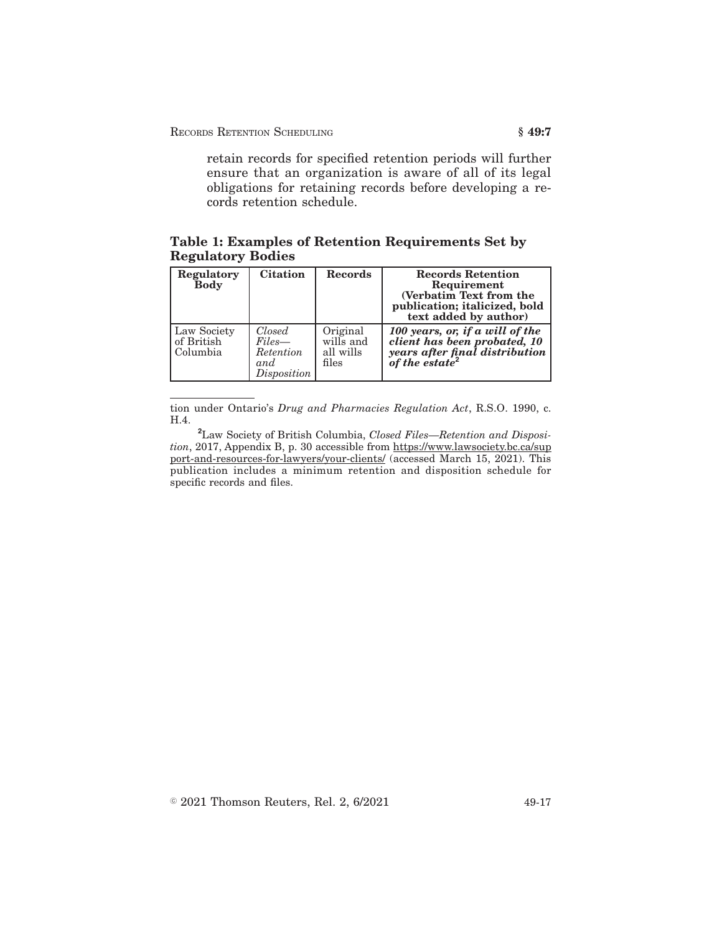retain records for specified retention periods will further ensure that an organization is aware of all of its legal obligations for retaining records before developing a records retention schedule.

**Table 1: Examples of Retention Requirements Set by Regulatory Bodies**

| Regulatory<br><b>Body</b>             | <b>Citation</b>                                            | <b>Records</b>                              | <b>Records Retention</b><br>Requirement<br>(Verbatim Text from the<br>publication; italicized, bold<br>text added by author)    |
|---------------------------------------|------------------------------------------------------------|---------------------------------------------|---------------------------------------------------------------------------------------------------------------------------------|
| Law Society<br>of British<br>Columbia | Closed<br>Files—<br><i>Retention</i><br>and<br>Disposition | Original<br>wills and<br>all wills<br>files | 100 years, or, if a will of the<br>client has been probated, 10<br>years after final distribution<br>of the estate <sup>2</sup> |

tion under Ontario's *Drug and Pharmacies Regulation Act*, R.S.O. 1990, c. H.4.

**2** Law Society of British Columbia, *Closed Files—Retention and Disposition*, 2017, Appendix B, p. 30 accessible from https://www.lawsociety.bc.ca/sup port-and-resources-for-lawyers/your-clients/ (accessed March 15, 2021). This publication includes a minimum retention and disposition schedule for specific records and files.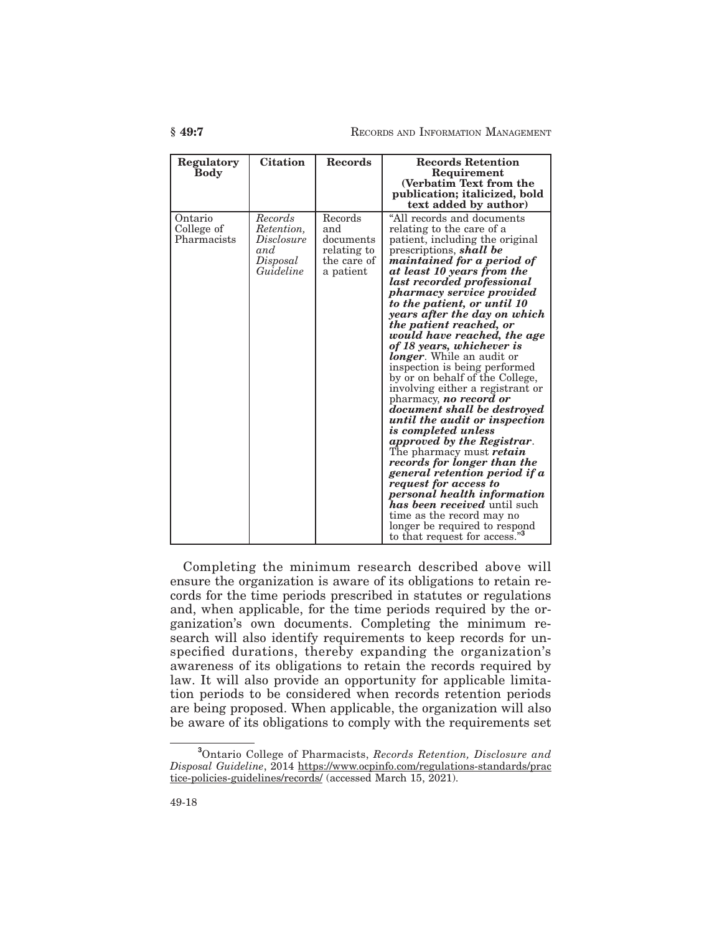| Regulatory<br><b>Body</b>            | <b>Citation</b>                                                     | <b>Records</b>                                                         | <b>Records Retention</b><br>Requirement<br>(Verbatim Text from the<br>publication; italicized, bold<br>text added by author)                                                                                                                                                                                                                                                                                                                                                                                                                                                                                                                                                                                                                                                                                                                                                                                                                                                                                                               |
|--------------------------------------|---------------------------------------------------------------------|------------------------------------------------------------------------|--------------------------------------------------------------------------------------------------------------------------------------------------------------------------------------------------------------------------------------------------------------------------------------------------------------------------------------------------------------------------------------------------------------------------------------------------------------------------------------------------------------------------------------------------------------------------------------------------------------------------------------------------------------------------------------------------------------------------------------------------------------------------------------------------------------------------------------------------------------------------------------------------------------------------------------------------------------------------------------------------------------------------------------------|
| Ontario<br>College of<br>Pharmacists | Records<br>Retention,<br>Disclosure<br>and<br>Disposal<br>Guideline | Records<br>and<br>documents<br>relating to<br>the care of<br>a patient | "All records and documents"<br>relating to the care of a<br>patient, including the original<br>prescriptions, <b>shall be</b><br>maintained for a period of<br>at least 10 years from the<br>last recorded professional<br><i>pharmacy service provided</i><br>to the patient, or until 10<br>years after the day on which<br><i>the patient reached, or</i><br>would have reached, the age<br>of 18 years, whichever is<br><i>longer</i> . While an audit or<br>inspection is being performed<br>by or on behalf of the College,<br>involving either a registrant or<br>pharmacy, <b>no</b> record or<br>document shall be destroyed<br>until the audit or inspection<br><i>is completed unless</i><br>approved by the Registrar.<br>The pharmacy must <b><i>retain</i></b><br>records for longer than the<br>general retention period if a<br><i>request for access to</i><br>personal health information<br>has been received until such<br>time as the record may no<br>longer be required to respond<br>to that request for access."3 |

Completing the minimum research described above will ensure the organization is aware of its obligations to retain records for the time periods prescribed in statutes or regulations and, when applicable, for the time periods required by the organization's own documents. Completing the minimum research will also identify requirements to keep records for unspecified durations, thereby expanding the organization's awareness of its obligations to retain the records required by law. It will also provide an opportunity for applicable limitation periods to be considered when records retention periods are being proposed. When applicable, the organization will also be aware of its obligations to comply with the requirements set

**<sup>3</sup>** Ontario College of Pharmacists, *Records Retention, Disclosure and Disposal Guideline*, 2014 https://www.ocpinfo.com/regulations-standards/prac tice-policies-guidelines/records/ (accessed March 15, 2021).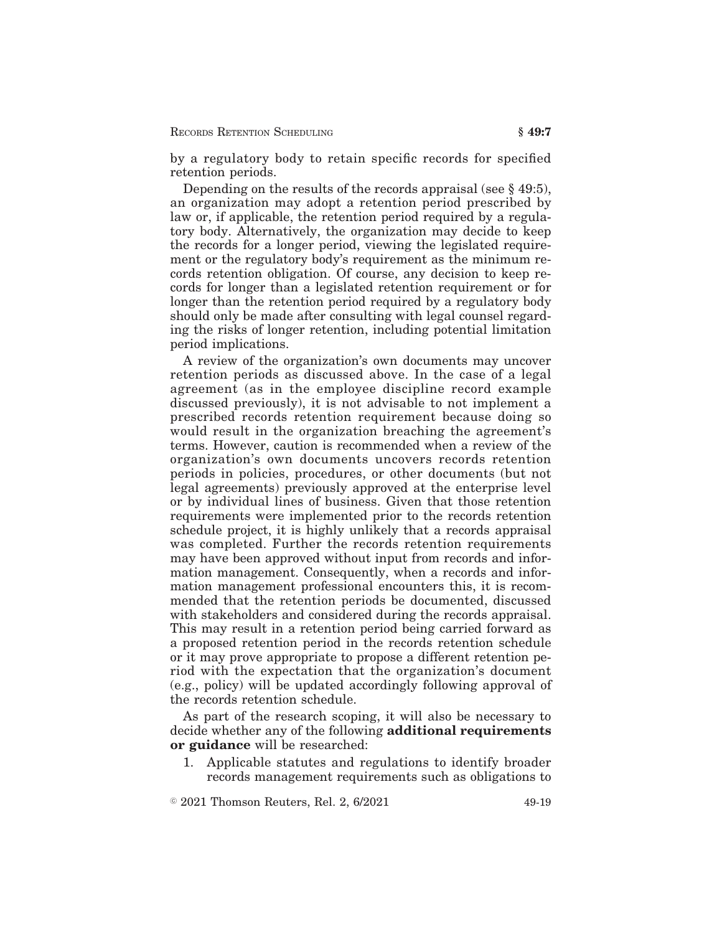by a regulatory body to retain specific records for specified retention periods.

Depending on the results of the records appraisal (see  $\S$  49:5), an organization may adopt a retention period prescribed by law or, if applicable, the retention period required by a regulatory body. Alternatively, the organization may decide to keep the records for a longer period, viewing the legislated requirement or the regulatory body's requirement as the minimum records retention obligation. Of course, any decision to keep records for longer than a legislated retention requirement or for longer than the retention period required by a regulatory body should only be made after consulting with legal counsel regarding the risks of longer retention, including potential limitation period implications.

A review of the organization's own documents may uncover retention periods as discussed above. In the case of a legal agreement (as in the employee discipline record example discussed previously), it is not advisable to not implement a prescribed records retention requirement because doing so would result in the organization breaching the agreement's terms. However, caution is recommended when a review of the organization's own documents uncovers records retention periods in policies, procedures, or other documents (but not legal agreements) previously approved at the enterprise level or by individual lines of business. Given that those retention requirements were implemented prior to the records retention schedule project, it is highly unlikely that a records appraisal was completed. Further the records retention requirements may have been approved without input from records and information management. Consequently, when a records and information management professional encounters this, it is recommended that the retention periods be documented, discussed with stakeholders and considered during the records appraisal. This may result in a retention period being carried forward as a proposed retention period in the records retention schedule or it may prove appropriate to propose a different retention period with the expectation that the organization's document (e.g., policy) will be updated accordingly following approval of the records retention schedule.

As part of the research scoping, it will also be necessary to decide whether any of the following **additional requirements or guidance** will be researched:

1. Applicable statutes and regulations to identify broader records management requirements such as obligations to

 $\textdegree$  2021 Thomson Reuters, Rel. 2, 6/2021  $\textdegree$  49-19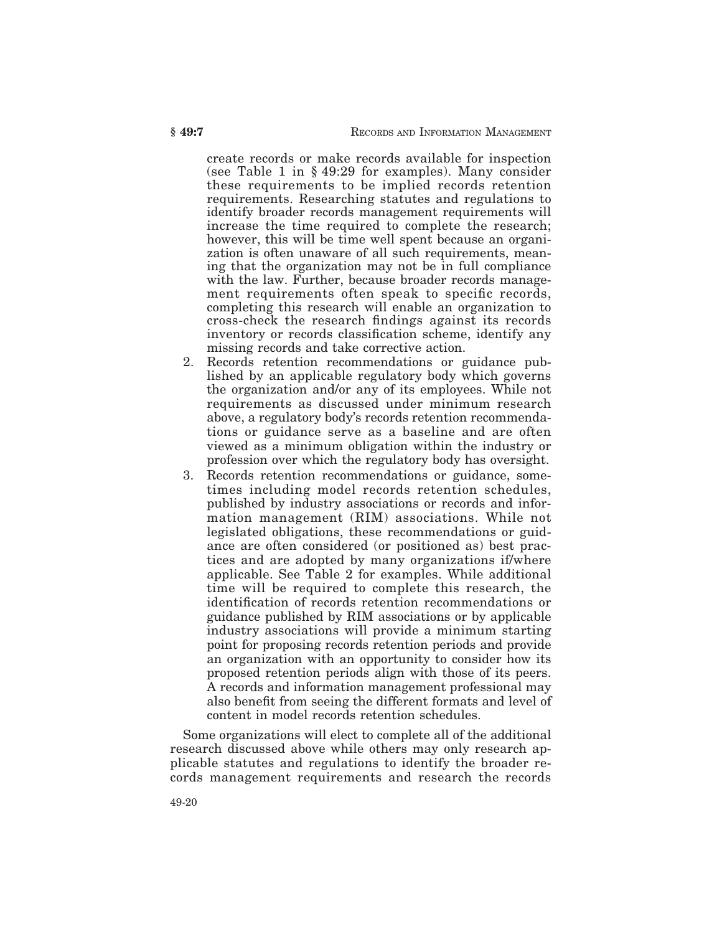create records or make records available for inspection (see Table 1 in § 49:29 for examples). Many consider these requirements to be implied records retention requirements. Researching statutes and regulations to identify broader records management requirements will increase the time required to complete the research; however, this will be time well spent because an organization is often unaware of all such requirements, meaning that the organization may not be in full compliance with the law. Further, because broader records management requirements often speak to specific records, completing this research will enable an organization to cross-check the research findings against its records inventory or records classification scheme, identify any missing records and take corrective action.

- 2. Records retention recommendations or guidance published by an applicable regulatory body which governs the organization and/or any of its employees. While not requirements as discussed under minimum research above, a regulatory body's records retention recommendations or guidance serve as a baseline and are often viewed as a minimum obligation within the industry or profession over which the regulatory body has oversight.
- 3. Records retention recommendations or guidance, sometimes including model records retention schedules, published by industry associations or records and information management (RIM) associations. While not legislated obligations, these recommendations or guidance are often considered (or positioned as) best practices and are adopted by many organizations if/where applicable. See Table 2 for examples. While additional time will be required to complete this research, the identification of records retention recommendations or guidance published by RIM associations or by applicable industry associations will provide a minimum starting point for proposing records retention periods and provide an organization with an opportunity to consider how its proposed retention periods align with those of its peers. A records and information management professional may also benefit from seeing the different formats and level of content in model records retention schedules.

Some organizations will elect to complete all of the additional research discussed above while others may only research applicable statutes and regulations to identify the broader records management requirements and research the records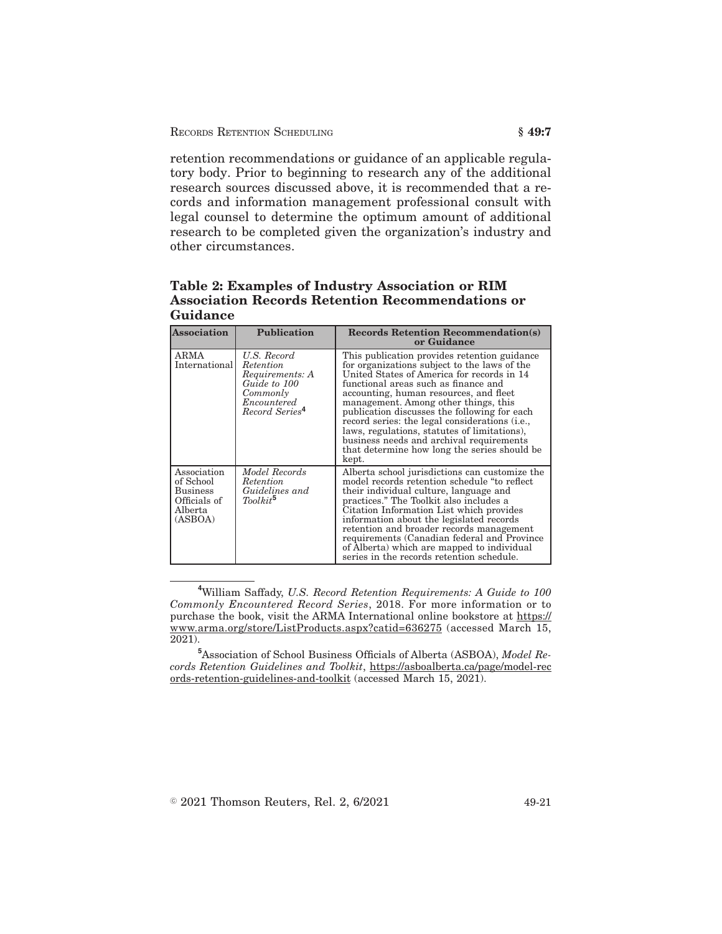retention recommendations or guidance of an applicable regulatory body. Prior to beginning to research any of the additional research sources discussed above, it is recommended that a records and information management professional consult with legal counsel to determine the optimum amount of additional research to be completed given the organization's industry and other circumstances.

**Table 2: Examples of Industry Association or RIM Association Records Retention Recommendations or Guidance**

| <b>Association</b>                                                                | <b>Publication</b>                                                                                                          | <b>Records Retention Recommendation(s)</b><br>or Guidance                                                                                                                                                                                                                                                                                                                                                                                                                                                                            |
|-----------------------------------------------------------------------------------|-----------------------------------------------------------------------------------------------------------------------------|--------------------------------------------------------------------------------------------------------------------------------------------------------------------------------------------------------------------------------------------------------------------------------------------------------------------------------------------------------------------------------------------------------------------------------------------------------------------------------------------------------------------------------------|
| ARMA<br>International                                                             | U.S. Record<br>Retention<br><i>Requirements: A</i><br>Guide to 100<br>Commonly<br>Encountered<br>Record Series <sup>4</sup> | This publication provides retention guidance<br>for organizations subject to the laws of the<br>United States of America for records in 14<br>functional areas such as finance and<br>accounting, human resources, and fleet<br>management. Among other things, this<br>publication discusses the following for each<br>record series: the legal considerations ( <i>i.e.</i> ,<br>laws, regulations, statutes of limitations),<br>business needs and archival requirements<br>that determine how long the series should be<br>kept. |
| Association<br>of School<br><b>Business</b><br>Officials of<br>Alberta<br>(ASBOA) | Model Records<br>Retention<br>Guidelines and<br>Toolkit <sup>5</sup>                                                        | Alberta school jurisdictions can customize the<br>model records retention schedule "to reflect"<br>their individual culture, language and<br>practices." The Toolkit also includes a<br>Citation Information List which provides<br>information about the legislated records<br>retention and broader records management<br>requirements (Canadian federal and Province<br>of Alberta) which are mapped to individual<br>series in the records retention schedule.                                                                   |

**4** William Saffady, *U.S. Record Retention Requirements: A Guide to 100 Commonly Encountered Record Series*, 2018. For more information or to purchase the book, visit the ARMA International online bookstore at https:// www.arma.org/store/ListProducts.aspx?catid=636275 (accessed March 15, 2021).

**5** Association of School Business Officials of Alberta (ASBOA), *Model Records Retention Guidelines and Toolkit*, https://asboalberta.ca/page/model-rec ords-retention-guidelines-and-toolkit (accessed March 15, 2021).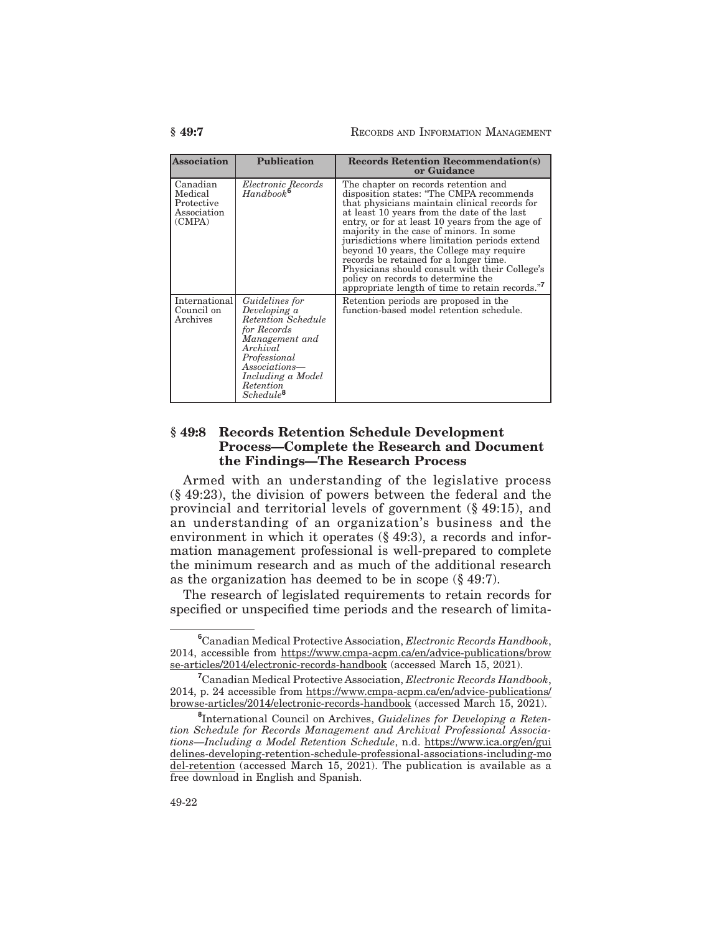| <b>Association</b>                                         | <b>Publication</b>                                                                                                                                                                                               | <b>Records Retention Recommendation(s)</b><br>or Guidance                                                                                                                                                                                                                                                                                                                                                                                                                                                                                                        |
|------------------------------------------------------------|------------------------------------------------------------------------------------------------------------------------------------------------------------------------------------------------------------------|------------------------------------------------------------------------------------------------------------------------------------------------------------------------------------------------------------------------------------------------------------------------------------------------------------------------------------------------------------------------------------------------------------------------------------------------------------------------------------------------------------------------------------------------------------------|
| Canadian<br>Medical<br>Protective<br>Association<br>(CMPA) | Electronic Records<br>$Handbook^6$                                                                                                                                                                               | The chapter on records retention and<br>disposition states: "The CMPA recommends"<br>that physicians maintain clinical records for<br>at least 10 years from the date of the last<br>entry, or for at least 10 years from the age of<br>majority in the case of minors. In some<br>jurisdictions where limitation periods extend<br>beyond 10 years, the College may require<br>records be retained for a longer time.<br>Physicians should consult with their College's<br>policy on records to determine the<br>appropriate length of time to retain records." |
| International<br>Council on<br>Archives                    | <i>Guidelines for</i><br>Developing a<br><b>Retention Schedule</b><br>for Records<br>Management and<br>Archival<br>Professional<br>$\it Associations$<br>Including a Model<br>Retention<br>Schedule <sup>8</sup> | Retention periods are proposed in the<br>function-based model retention schedule.                                                                                                                                                                                                                                                                                                                                                                                                                                                                                |

# **§ 49:8 Records Retention Schedule Development Process—Complete the Research and Document the Findings—The Research Process**

Armed with an understanding of the legislative process (§ 49:23), the division of powers between the federal and the provincial and territorial levels of government (§ 49:15), and an understanding of an organization's business and the environment in which it operates  $(\S 49:3)$ , a records and information management professional is well-prepared to complete the minimum research and as much of the additional research as the organization has deemed to be in scope (§ 49:7).

The research of legislated requirements to retain records for specified or unspecified time periods and the research of limita-

**<sup>6</sup>** Canadian Medical Protective Association, *Electronic Records Handbook*, 2014, accessible from https://www.cmpa-acpm.ca/en/advice-publications/brow se-articles/2014/electronic-records-handbook (accessed March 15, 2021).

**<sup>7</sup>** Canadian Medical Protective Association, *Electronic Records Handbook*, 2014, p. 24 accessible from https://www.cmpa-acpm.ca/en/advice-publications/ browse-articles/2014/electronic-records-handbook (accessed March 15, 2021).

**<sup>8</sup>** International Council on Archives, *Guidelines for Developing a Retention Schedule for Records Management and Archival Professional Associations—Including a Model Retention Schedule*, n.d. https://www.ica.org/en/gui delines-developing-retention-schedule-professional-associations-including-mo del-retention (accessed March 15, 2021). The publication is available as a free download in English and Spanish.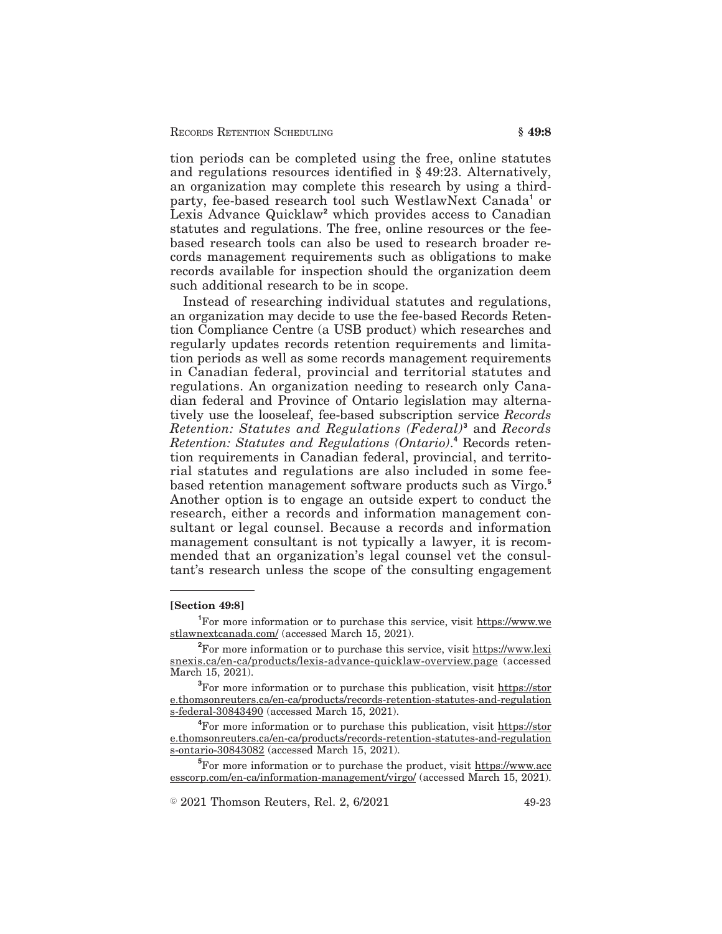tion periods can be completed using the free, online statutes and regulations resources identified in § 49:23. Alternatively, an organization may complete this research by using a thirdparty, fee-based research tool such WestlawNext Canada**<sup>1</sup>** or Lexis Advance Quicklaw**<sup>2</sup>** which provides access to Canadian statutes and regulations. The free, online resources or the feebased research tools can also be used to research broader records management requirements such as obligations to make records available for inspection should the organization deem such additional research to be in scope.

Instead of researching individual statutes and regulations, an organization may decide to use the fee-based Records Retention Compliance Centre (a USB product) which researches and regularly updates records retention requirements and limitation periods as well as some records management requirements in Canadian federal, provincial and territorial statutes and regulations. An organization needing to research only Canadian federal and Province of Ontario legislation may alternatively use the looseleaf, fee-based subscription service *Records Retention: Statutes and Regulations (Federal)***<sup>3</sup>** and *Records Retention: Statutes and Regulations (Ontario)*. **<sup>4</sup>** Records retention requirements in Canadian federal, provincial, and territorial statutes and regulations are also included in some feebased retention management software products such as Virgo.**<sup>5</sup>** Another option is to engage an outside expert to conduct the research, either a records and information management consultant or legal counsel. Because a records and information management consultant is not typically a lawyer, it is recommended that an organization's legal counsel vet the consultant's research unless the scope of the consulting engagement

#### **[Section 49:8]**

<sup>5</sup>For more information or to purchase the product, visit https://www.acc esscorp.com/en-ca/information-management/virgo/ (accessed March 15, 2021).

 $\textdegree$  2021 Thomson Reuters, Rel. 2, 6/2021  $\textdegree$  49-23

<sup>&</sup>lt;sup>1</sup>For more information or to purchase this service, visit https://www.we stlawnextcanada.com/ (accessed March 15, 2021).

<sup>&</sup>lt;sup>2</sup>For more information or to purchase this service, visit https://www.lexi snexis.ca/en-ca/products/lexis-advance-quicklaw-overview.page (accessed March 15, 2021).

<sup>&</sup>lt;sup>3</sup>For more information or to purchase this publication, visit https://stor e.thomsonreuters.ca/en-ca/products/records-retention-statutes-and-regulation s-federal-30843490 (accessed March 15, 2021).

**<sup>4</sup>** For more information or to purchase this publication, visit https://stor e.thomsonreuters.ca/en-ca/products/records-retention-statutes-and-regulation s-ontario-30843082 (accessed March 15, 2021).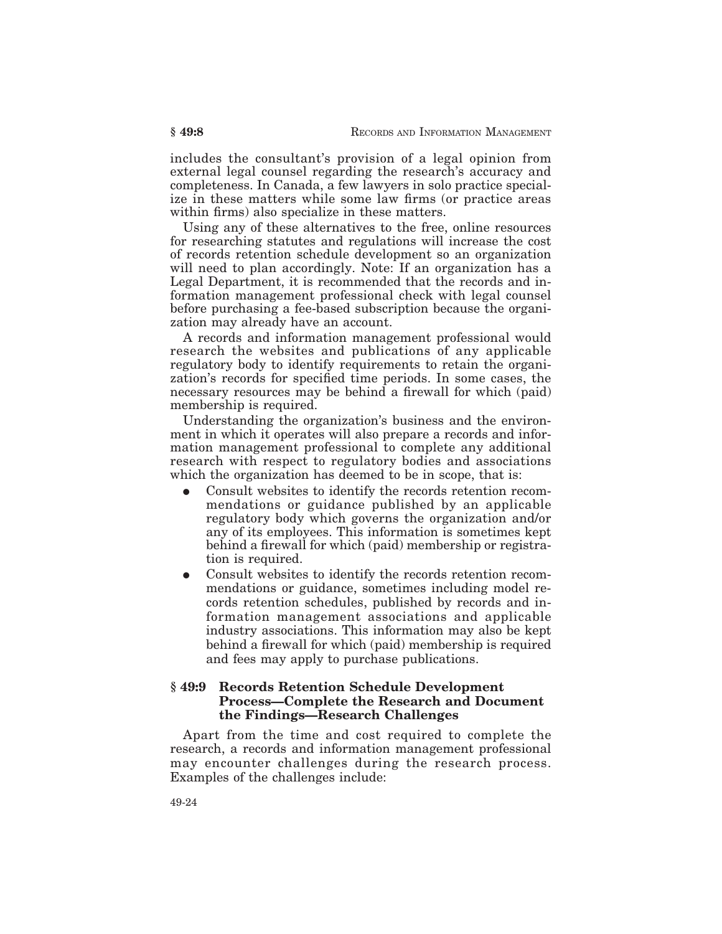includes the consultant's provision of a legal opinion from external legal counsel regarding the research's accuracy and completeness. In Canada, a few lawyers in solo practice specialize in these matters while some law firms (or practice areas within firms) also specialize in these matters.

Using any of these alternatives to the free, online resources for researching statutes and regulations will increase the cost of records retention schedule development so an organization will need to plan accordingly. Note: If an organization has a Legal Department, it is recommended that the records and information management professional check with legal counsel before purchasing a fee-based subscription because the organization may already have an account.

A records and information management professional would research the websites and publications of any applicable regulatory body to identify requirements to retain the organization's records for specified time periods. In some cases, the necessary resources may be behind a firewall for which (paid) membership is required.

Understanding the organization's business and the environment in which it operates will also prepare a records and information management professional to complete any additional research with respect to regulatory bodies and associations which the organization has deemed to be in scope, that is:

- Consult websites to identify the records retention recommendations or guidance published by an applicable regulatory body which governs the organization and/or any of its employees. This information is sometimes kept behind a firewall for which (paid) membership or registration is required.
- Consult websites to identify the records retention recommendations or guidance, sometimes including model records retention schedules, published by records and information management associations and applicable industry associations. This information may also be kept behind a firewall for which (paid) membership is required and fees may apply to purchase publications.

# **§ 49:9 Records Retention Schedule Development Process—Complete the Research and Document the Findings—Research Challenges**

Apart from the time and cost required to complete the research, a records and information management professional may encounter challenges during the research process. Examples of the challenges include: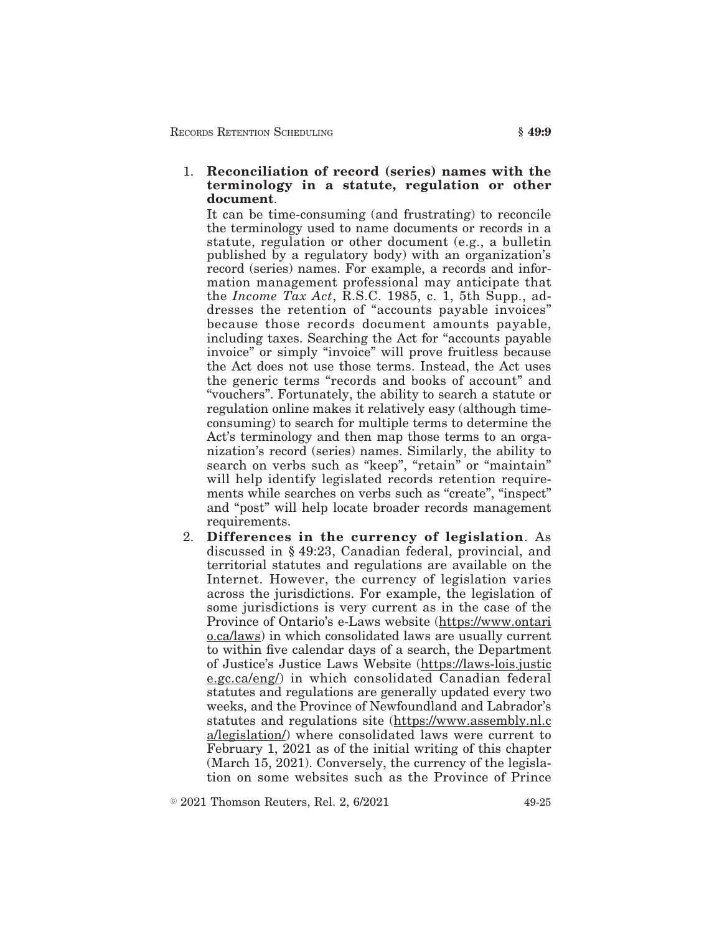# 1. **Reconciliation of record (series) names with the terminology in a statute, regulation or other document**.

It can be time-consuming (and frustrating) to reconcile the terminology used to name documents or records in a statute, regulation or other document (e.g., a bulletin published by a regulatory body) with an organization's record (series) names. For example, a records and information management professional may anticipate that the *Income Tax Act*, R.S.C. 1985, c. 1, 5th Supp., addresses the retention of "accounts payable invoices" because those records document amounts payable, including taxes. Searching the Act for "accounts payable invoice" or simply "invoice" will prove fruitless because the Act does not use those terms. Instead, the Act uses the generic terms "records and books of account" and "vouchers". Fortunately, the ability to search a statute or regulation online makes it relatively easy (although timeconsuming) to search for multiple terms to determine the Act's terminology and then map those terms to an organization's record (series) names. Similarly, the ability to search on verbs such as "keep", "retain" or "maintain" will help identify legislated records retention requirements while searches on verbs such as "create", "inspect" and "post" will help locate broader records management requirements.

2. **Differences in the currency of legislation**. As discussed in § 49:23, Canadian federal, provincial, and territorial statutes and regulations are available on the Internet. However, the currency of legislation varies across the jurisdictions. For example, the legislation of some jurisdictions is very current as in the case of the Province of Ontario's e-Laws website (https://www.ontari o.ca/laws) in which consolidated laws are usually current to within five calendar days of a search, the Department of Justice's Justice Laws Website (https://laws-lois.justic e.gc.ca/eng/) in which consolidated Canadian federal statutes and regulations are generally updated every two weeks, and the Province of Newfoundland and Labrador's statutes and regulations site (https://www.assembly.nl.c a/legislation/) where consolidated laws were current to February 1, 2021 as of the initial writing of this chapter (March 15, 2021). Conversely, the currency of the legislation on some websites such as the Province of Prince

© 2021 Thomson Reuters, Rel. 2, 6/2021 49-25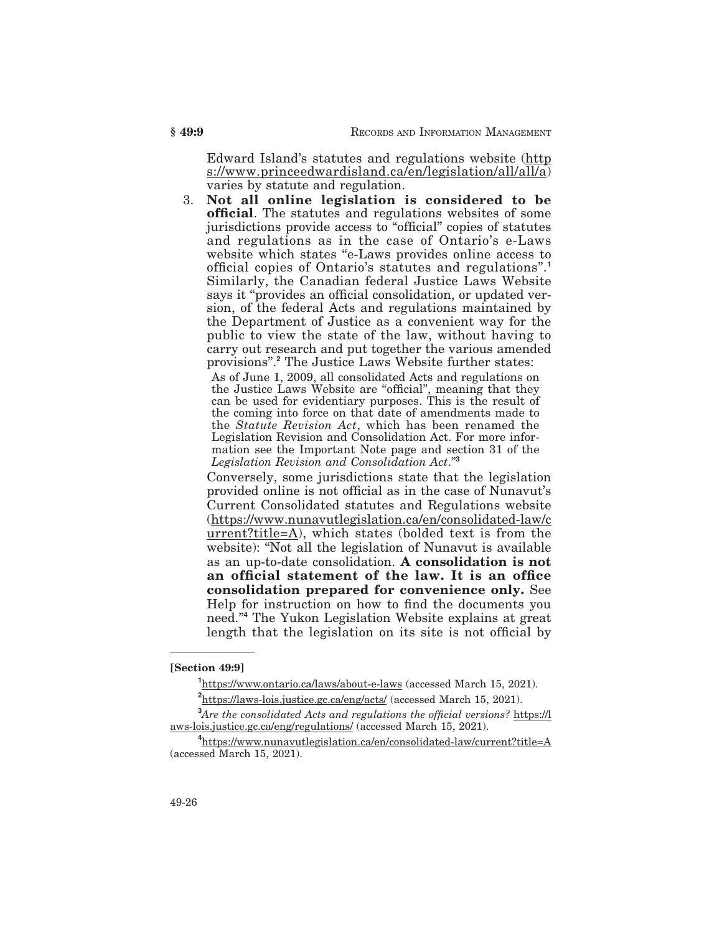Edward Island's statutes and regulations website (http s://www.princeedwardisland.ca/en/legislation/all/all/a) varies by statute and regulation.

3. **Not all online legislation is considered to be official**. The statutes and regulations websites of some jurisdictions provide access to "official" copies of statutes and regulations as in the case of Ontario's e-Laws website which states "e-Laws provides online access to official copies of Ontario's statutes and regulations".**<sup>1</sup>** Similarly, the Canadian federal Justice Laws Website says it "provides an official consolidation, or updated version, of the federal Acts and regulations maintained by the Department of Justice as a convenient way for the public to view the state of the law, without having to carry out research and put together the various amended provisions".**<sup>2</sup>** The Justice Laws Website further states:

As of June 1, 2009, all consolidated Acts and regulations on the Justice Laws Website are "official", meaning that they can be used for evidentiary purposes. This is the result of the coming into force on that date of amendments made to the *Statute Revision Act*, which has been renamed the Legislation Revision and Consolidation Act. For more information see the Important Note page and section 31 of the *Legislation Revision and Consolidation Act*."**<sup>3</sup>**

Conversely, some jurisdictions state that the legislation provided online is not official as in the case of Nunavut's Current Consolidated statutes and Regulations website (https://www.nunavutlegislation.ca/en/consolidated-law/c urrent?title=A), which states (bolded text is from the website): "Not all the legislation of Nunavut is available as an up-to-date consolidation. **A consolidation is not an official statement of the law. It is an office consolidation prepared for convenience only.** See Help for instruction on how to find the documents you need."**<sup>4</sup>** The Yukon Legislation Website explains at great length that the legislation on its site is not official by

**<sup>[</sup>Section 49:9]**

**<sup>1</sup>** https://www.ontario.ca/laws/about-e-laws (accessed March 15, 2021). <sup>2</sup>https://laws-lois.justice.gc.ca/eng/acts/ (accessed March 15, 2021).

**<sup>3</sup>** *Are the consolidated Acts and regulations the official versions?* https://l aws-lois.justice.gc.ca/eng/regulations/ (accessed March 15, 2021).

**<sup>4</sup>** https://www.nunavutlegislation.ca/en/consolidated-law/current?title=A (accessed March 15, 2021).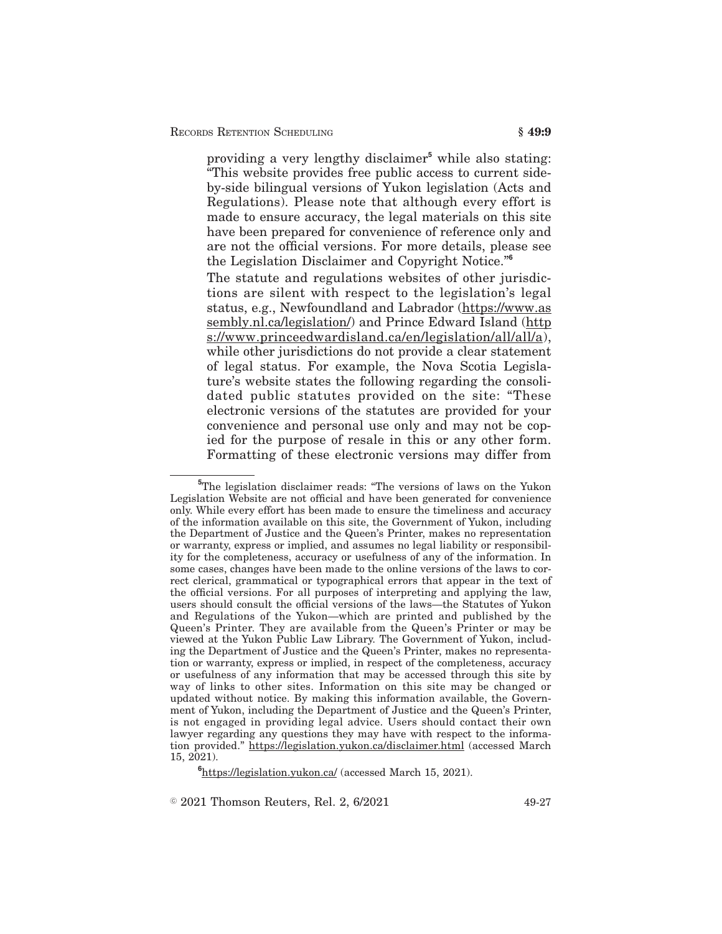providing a very lengthy disclaimer**<sup>5</sup>** while also stating: "This website provides free public access to current sideby-side bilingual versions of Yukon legislation (Acts and Regulations). Please note that although every effort is made to ensure accuracy, the legal materials on this site have been prepared for convenience of reference only and are not the official versions. For more details, please see the Legislation Disclaimer and Copyright Notice."**<sup>6</sup>**

The statute and regulations websites of other jurisdictions are silent with respect to the legislation's legal status, e.g., Newfoundland and Labrador (https://www.as sembly.nl.ca/legislation/) and Prince Edward Island (http s://www.princeedwardisland.ca/en/legislation/all/all/a), while other jurisdictions do not provide a clear statement of legal status. For example, the Nova Scotia Legislature's website states the following regarding the consolidated public statutes provided on the site: "These electronic versions of the statutes are provided for your convenience and personal use only and may not be copied for the purpose of resale in this or any other form. Formatting of these electronic versions may differ from

**6** https://legislation.yukon.ca/ (accessed March 15, 2021).

 $\textcircled{2021}$  Thomson Reuters, Rel. 2, 6/2021 49-27

**<sup>5</sup>** The legislation disclaimer reads: "The versions of laws on the Yukon Legislation Website are not official and have been generated for convenience only. While every effort has been made to ensure the timeliness and accuracy of the information available on this site, the Government of Yukon, including the Department of Justice and the Queen's Printer, makes no representation or warranty, express or implied, and assumes no legal liability or responsibility for the completeness, accuracy or usefulness of any of the information. In some cases, changes have been made to the online versions of the laws to correct clerical, grammatical or typographical errors that appear in the text of the official versions. For all purposes of interpreting and applying the law, users should consult the official versions of the laws—the Statutes of Yukon and Regulations of the Yukon—which are printed and published by the Queen's Printer. They are available from the Queen's Printer or may be viewed at the Yukon Public Law Library. The Government of Yukon, including the Department of Justice and the Queen's Printer, makes no representation or warranty, express or implied, in respect of the completeness, accuracy or usefulness of any information that may be accessed through this site by way of links to other sites. Information on this site may be changed or updated without notice. By making this information available, the Government of Yukon, including the Department of Justice and the Queen's Printer, is not engaged in providing legal advice. Users should contact their own lawyer regarding any questions they may have with respect to the information provided." https://legislation.yukon.ca/disclaimer.html (accessed March 15, 2021).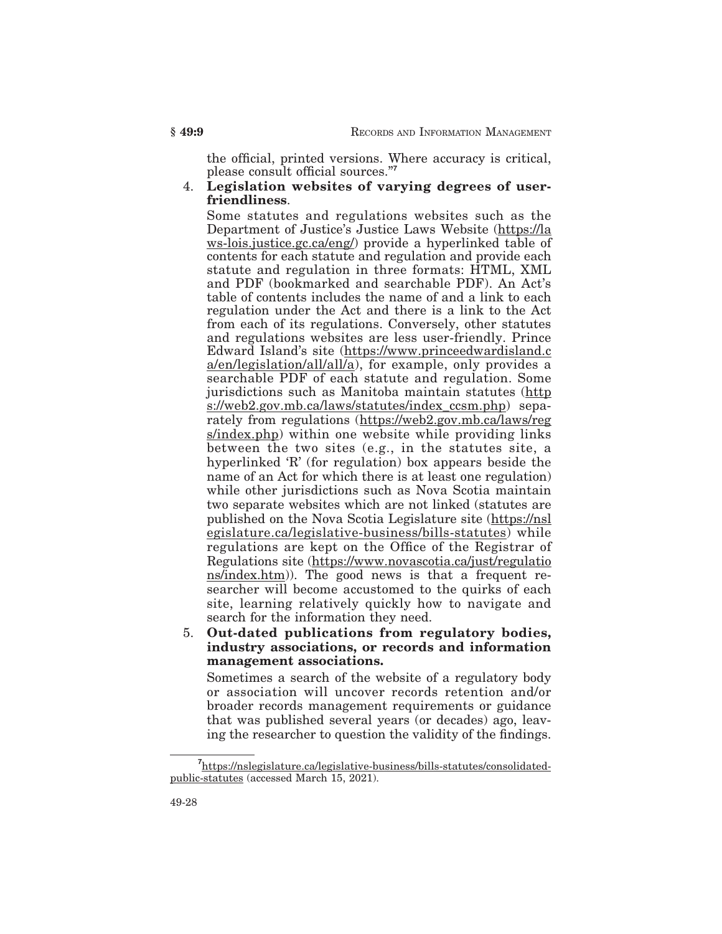the official, printed versions. Where accuracy is critical, please consult official sources."**<sup>7</sup>**

4. **Legislation websites of varying degrees of userfriendliness**.

Some statutes and regulations websites such as the Department of Justice's Justice Laws Website (https://la ws-lois.justice.gc.ca/eng/) provide a hyperlinked table of contents for each statute and regulation and provide each statute and regulation in three formats: HTML, XML and PDF (bookmarked and searchable PDF). An Act's table of contents includes the name of and a link to each regulation under the Act and there is a link to the Act from each of its regulations. Conversely, other statutes and regulations websites are less user-friendly. Prince Edward Island's site (https://www.princeedwardisland.c a/en/legislation/all/all/a), for example, only provides a searchable PDF of each statute and regulation. Some jurisdictions such as Manitoba maintain statutes (http s://web2.gov.mb.ca/laws/statutes/index\_ccsm.php) separately from regulations (https://web2.gov.mb.ca/laws/reg s/index.php) within one website while providing links between the two sites (e.g., in the statutes site, a hyperlinked 'R' (for regulation) box appears beside the name of an Act for which there is at least one regulation) while other jurisdictions such as Nova Scotia maintain two separate websites which are not linked (statutes are published on the Nova Scotia Legislature site (https://nsl egislature.ca/legislative-business/bills-statutes) while regulations are kept on the Office of the Registrar of Regulations site (https://www.novascotia.ca/just/regulatio ns/index.htm)). The good news is that a frequent researcher will become accustomed to the quirks of each site, learning relatively quickly how to navigate and search for the information they need.

5. **Out-dated publications from regulatory bodies, industry associations, or records and information management associations.**

Sometimes a search of the website of a regulatory body or association will uncover records retention and/or broader records management requirements or guidance that was published several years (or decades) ago, leaving the researcher to question the validity of the findings.

**<sup>7</sup>** https://nslegislature.ca/legislative-business/bills-statutes/consolidatedpublic-statutes (accessed March 15, 2021).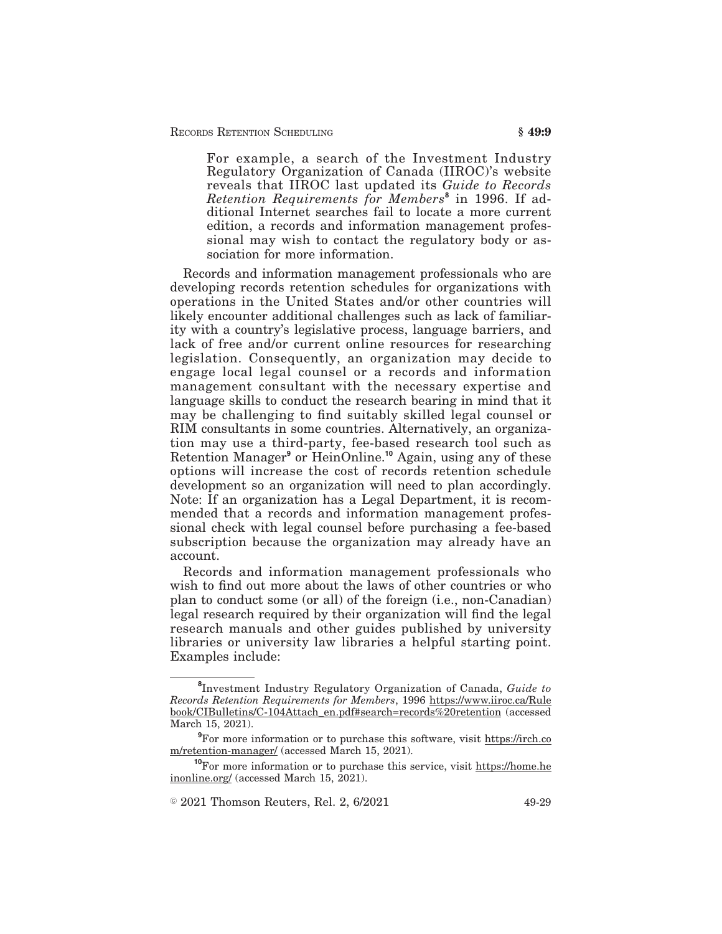For example, a search of the Investment Industry Regulatory Organization of Canada (IIROC)'s website reveals that IIROC last updated its *Guide to Records Retention Requirements for Members***<sup>8</sup>** in 1996. If additional Internet searches fail to locate a more current edition, a records and information management professional may wish to contact the regulatory body or association for more information.

Records and information management professionals who are developing records retention schedules for organizations with operations in the United States and/or other countries will likely encounter additional challenges such as lack of familiarity with a country's legislative process, language barriers, and lack of free and/or current online resources for researching legislation. Consequently, an organization may decide to engage local legal counsel or a records and information management consultant with the necessary expertise and language skills to conduct the research bearing in mind that it may be challenging to find suitably skilled legal counsel or RIM consultants in some countries. Alternatively, an organization may use a third-party, fee-based research tool such as Retention Manager**<sup>9</sup>** or HeinOnline.**<sup>10</sup>** Again, using any of these options will increase the cost of records retention schedule development so an organization will need to plan accordingly. Note: If an organization has a Legal Department, it is recommended that a records and information management professional check with legal counsel before purchasing a fee-based subscription because the organization may already have an account.

Records and information management professionals who wish to find out more about the laws of other countries or who plan to conduct some (or all) of the foreign (i.e., non-Canadian) legal research required by their organization will find the legal research manuals and other guides published by university libraries or university law libraries a helpful starting point. Examples include:

 $\textdegree$  2021 Thomson Reuters, Rel. 2, 6/2021  $\textdegree$  49-29

**<sup>8</sup>** Investment Industry Regulatory Organization of Canada, *Guide to Records Retention Requirements for Members*, 1996 https://www.iiroc.ca/Rule book/CIBulletins/C-104Attach\_en.pdf#search=records%20retention (accessed March 15, 2021).

<sup>&</sup>lt;sup>9</sup>For more information or to purchase this software, visit https://irch.co m/retention-manager/ (accessed March 15, 2021).

**<sup>10</sup>**For more information or to purchase this service, visit https://home.he inonline.org/ (accessed March 15, 2021).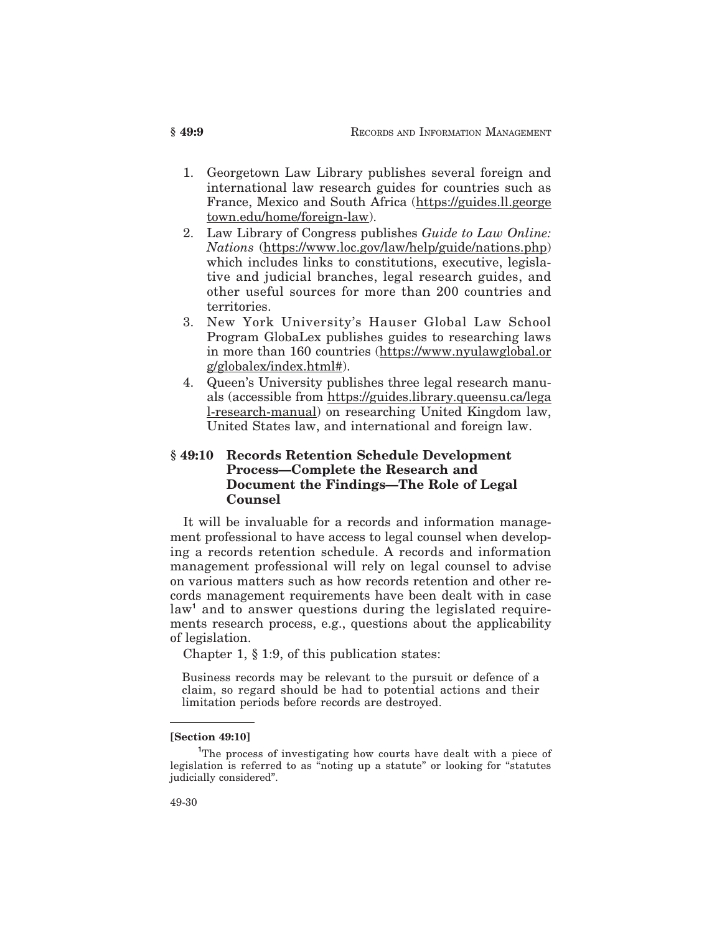- 1. Georgetown Law Library publishes several foreign and international law research guides for countries such as France, Mexico and South Africa (https://guides.ll.george town.edu/home/foreign-law).
- 2. Law Library of Congress publishes *Guide to Law Online: Nations* (https://www.loc.gov/law/help/guide/nations.php) which includes links to constitutions, executive, legislative and judicial branches, legal research guides, and other useful sources for more than 200 countries and territories.
- 3. New York University's Hauser Global Law School Program GlobaLex publishes guides to researching laws in more than 160 countries (https://www.nyulawglobal.or g/globalex/index.html#).
- 4. Queen's University publishes three legal research manuals (accessible from https://guides.library.queensu.ca/lega l-research-manual) on researching United Kingdom law, United States law, and international and foreign law.

# **§ 49:10 Records Retention Schedule Development Process—Complete the Research and Document the Findings—The Role of Legal Counsel**

It will be invaluable for a records and information management professional to have access to legal counsel when developing a records retention schedule. A records and information management professional will rely on legal counsel to advise on various matters such as how records retention and other records management requirements have been dealt with in case law<sup>1</sup> and to answer questions during the legislated requirements research process, e.g., questions about the applicability of legislation.

Chapter 1, § 1:9, of this publication states:

Business records may be relevant to the pursuit or defence of a claim, so regard should be had to potential actions and their limitation periods before records are destroyed.

**<sup>[</sup>Section 49:10]**

<sup>&</sup>lt;sup>1</sup>The process of investigating how courts have dealt with a piece of legislation is referred to as "noting up a statute" or looking for "statutes judicially considered".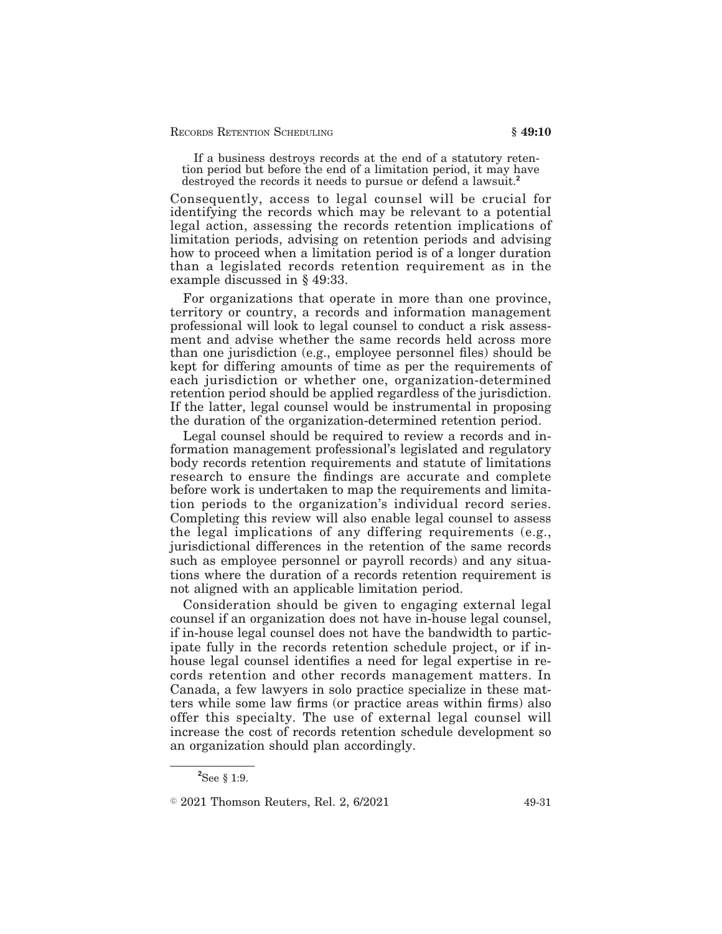If a business destroys records at the end of a statutory retention period but before the end of a limitation period, it may have destroyed the records it needs to pursue or defend a lawsuit.**<sup>2</sup>**

Consequently, access to legal counsel will be crucial for identifying the records which may be relevant to a potential legal action, assessing the records retention implications of limitation periods, advising on retention periods and advising how to proceed when a limitation period is of a longer duration than a legislated records retention requirement as in the example discussed in § 49:33.

For organizations that operate in more than one province, territory or country, a records and information management professional will look to legal counsel to conduct a risk assessment and advise whether the same records held across more than one jurisdiction (e.g., employee personnel files) should be kept for differing amounts of time as per the requirements of each jurisdiction or whether one, organization-determined retention period should be applied regardless of the jurisdiction. If the latter, legal counsel would be instrumental in proposing the duration of the organization-determined retention period.

Legal counsel should be required to review a records and information management professional's legislated and regulatory body records retention requirements and statute of limitations research to ensure the findings are accurate and complete before work is undertaken to map the requirements and limitation periods to the organization's individual record series. Completing this review will also enable legal counsel to assess the legal implications of any differing requirements (e.g., jurisdictional differences in the retention of the same records such as employee personnel or payroll records) and any situations where the duration of a records retention requirement is not aligned with an applicable limitation period.

Consideration should be given to engaging external legal counsel if an organization does not have in-house legal counsel, if in-house legal counsel does not have the bandwidth to participate fully in the records retention schedule project, or if inhouse legal counsel identifies a need for legal expertise in records retention and other records management matters. In Canada, a few lawyers in solo practice specialize in these matters while some law firms (or practice areas within firms) also offer this specialty. The use of external legal counsel will increase the cost of records retention schedule development so an organization should plan accordingly.

**<sup>2</sup>** See § 1:9.

 $\textcircled{2021}$  Thomson Reuters, Rel. 2, 6/2021  $\textcircled{49-31}$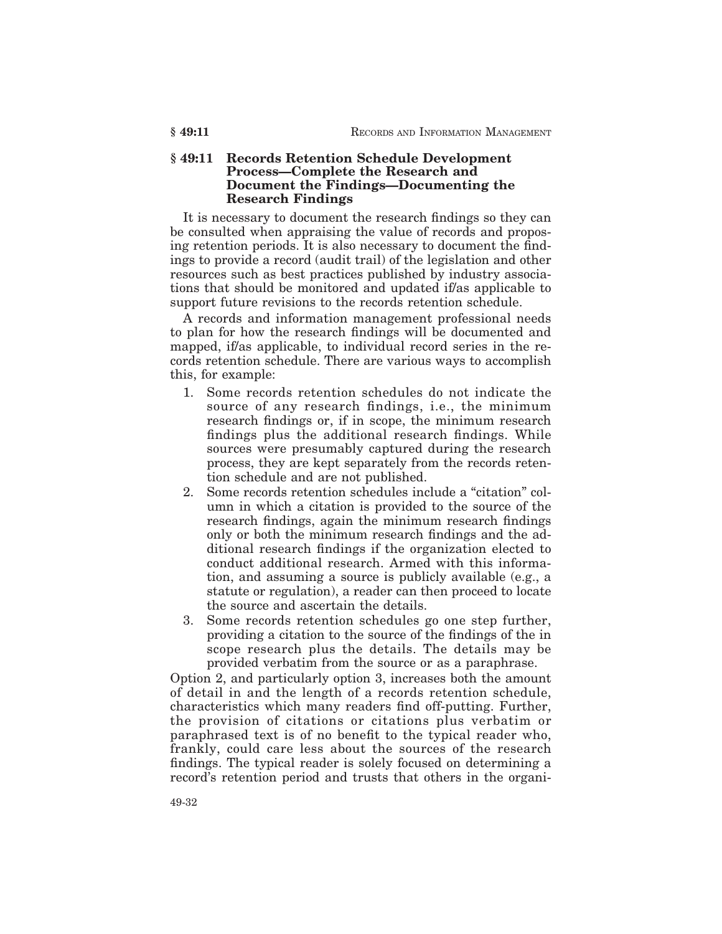# **§ 49:11 Records Retention Schedule Development Process—Complete the Research and Document the Findings—Documenting the Research Findings**

It is necessary to document the research findings so they can be consulted when appraising the value of records and proposing retention periods. It is also necessary to document the findings to provide a record (audit trail) of the legislation and other resources such as best practices published by industry associations that should be monitored and updated if/as applicable to support future revisions to the records retention schedule.

A records and information management professional needs to plan for how the research findings will be documented and mapped, if/as applicable, to individual record series in the records retention schedule. There are various ways to accomplish this, for example:

- 1. Some records retention schedules do not indicate the source of any research findings, i.e., the minimum research findings or, if in scope, the minimum research findings plus the additional research findings. While sources were presumably captured during the research process, they are kept separately from the records retention schedule and are not published.
- 2. Some records retention schedules include a "citation" column in which a citation is provided to the source of the research findings, again the minimum research findings only or both the minimum research findings and the additional research findings if the organization elected to conduct additional research. Armed with this information, and assuming a source is publicly available (e.g., a statute or regulation), a reader can then proceed to locate the source and ascertain the details.
- 3. Some records retention schedules go one step further, providing a citation to the source of the findings of the in scope research plus the details. The details may be provided verbatim from the source or as a paraphrase.

Option 2, and particularly option 3, increases both the amount of detail in and the length of a records retention schedule, characteristics which many readers find off-putting. Further, the provision of citations or citations plus verbatim or paraphrased text is of no benefit to the typical reader who, frankly, could care less about the sources of the research findings. The typical reader is solely focused on determining a record's retention period and trusts that others in the organi-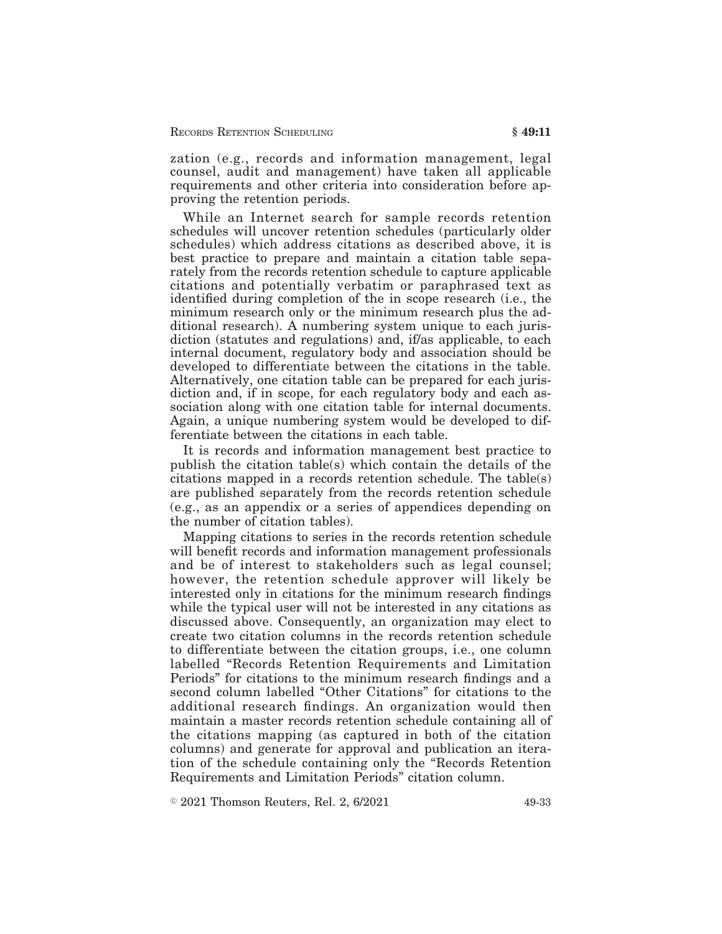zation (e.g., records and information management, legal counsel, audit and management) have taken all applicable requirements and other criteria into consideration before approving the retention periods.

While an Internet search for sample records retention schedules will uncover retention schedules (particularly older schedules) which address citations as described above, it is best practice to prepare and maintain a citation table separately from the records retention schedule to capture applicable citations and potentially verbatim or paraphrased text as identified during completion of the in scope research (i.e., the minimum research only or the minimum research plus the additional research). A numbering system unique to each jurisdiction (statutes and regulations) and, if/as applicable, to each internal document, regulatory body and association should be developed to differentiate between the citations in the table. Alternatively, one citation table can be prepared for each jurisdiction and, if in scope, for each regulatory body and each association along with one citation table for internal documents. Again, a unique numbering system would be developed to differentiate between the citations in each table.

It is records and information management best practice to publish the citation table(s) which contain the details of the citations mapped in a records retention schedule. The table(s) are published separately from the records retention schedule (e.g., as an appendix or a series of appendices depending on the number of citation tables).

Mapping citations to series in the records retention schedule will benefit records and information management professionals and be of interest to stakeholders such as legal counsel; however, the retention schedule approver will likely be interested only in citations for the minimum research findings while the typical user will not be interested in any citations as discussed above. Consequently, an organization may elect to create two citation columns in the records retention schedule to differentiate between the citation groups, i.e., one column labelled "Records Retention Requirements and Limitation Periods" for citations to the minimum research findings and a second column labelled "Other Citations" for citations to the additional research findings. An organization would then maintain a master records retention schedule containing all of the citations mapping (as captured in both of the citation columns) and generate for approval and publication an iteration of the schedule containing only the "Records Retention Requirements and Limitation Periods" citation column.

 $\textdegree$  2021 Thomson Reuters, Rel. 2, 6/2021 49-33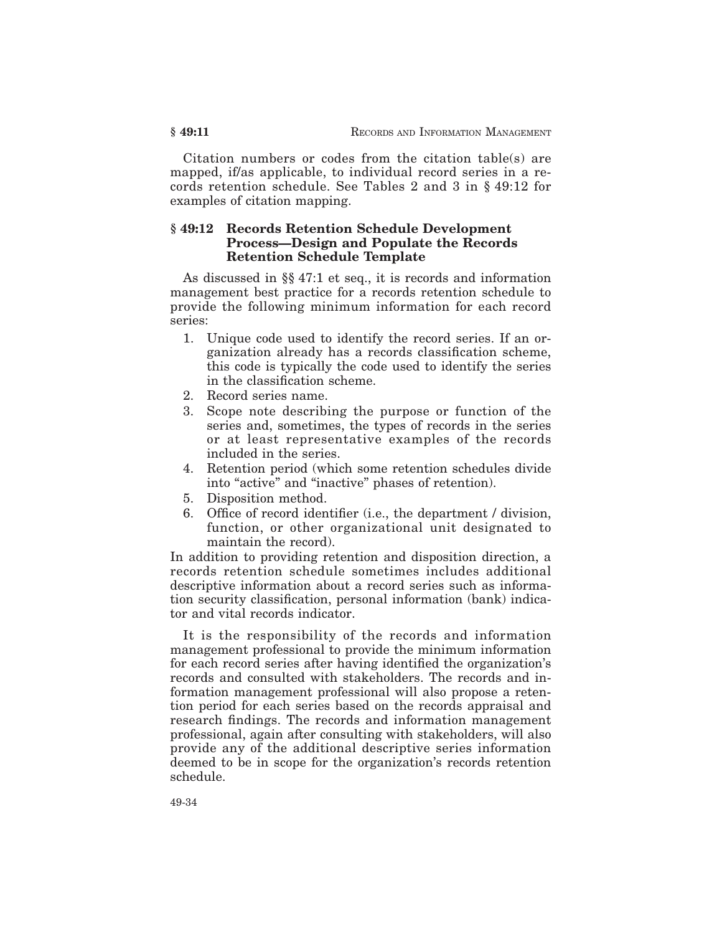Citation numbers or codes from the citation table(s) are mapped, if/as applicable, to individual record series in a records retention schedule. See Tables 2 and 3 in § 49:12 for examples of citation mapping.

# **§ 49:12 Records Retention Schedule Development Process—Design and Populate the Records Retention Schedule Template**

As discussed in §§ 47:1 et seq., it is records and information management best practice for a records retention schedule to provide the following minimum information for each record series:

- 1. Unique code used to identify the record series. If an organization already has a records classification scheme, this code is typically the code used to identify the series in the classification scheme.
- 2. Record series name.
- 3. Scope note describing the purpose or function of the series and, sometimes, the types of records in the series or at least representative examples of the records included in the series.
- 4. Retention period (which some retention schedules divide into "active" and "inactive" phases of retention).
- 5. Disposition method.
- 6. Office of record identifier (i.e., the department / division, function, or other organizational unit designated to maintain the record).

In addition to providing retention and disposition direction, a records retention schedule sometimes includes additional descriptive information about a record series such as information security classification, personal information (bank) indicator and vital records indicator.

It is the responsibility of the records and information management professional to provide the minimum information for each record series after having identified the organization's records and consulted with stakeholders. The records and information management professional will also propose a retention period for each series based on the records appraisal and research findings. The records and information management professional, again after consulting with stakeholders, will also provide any of the additional descriptive series information deemed to be in scope for the organization's records retention schedule.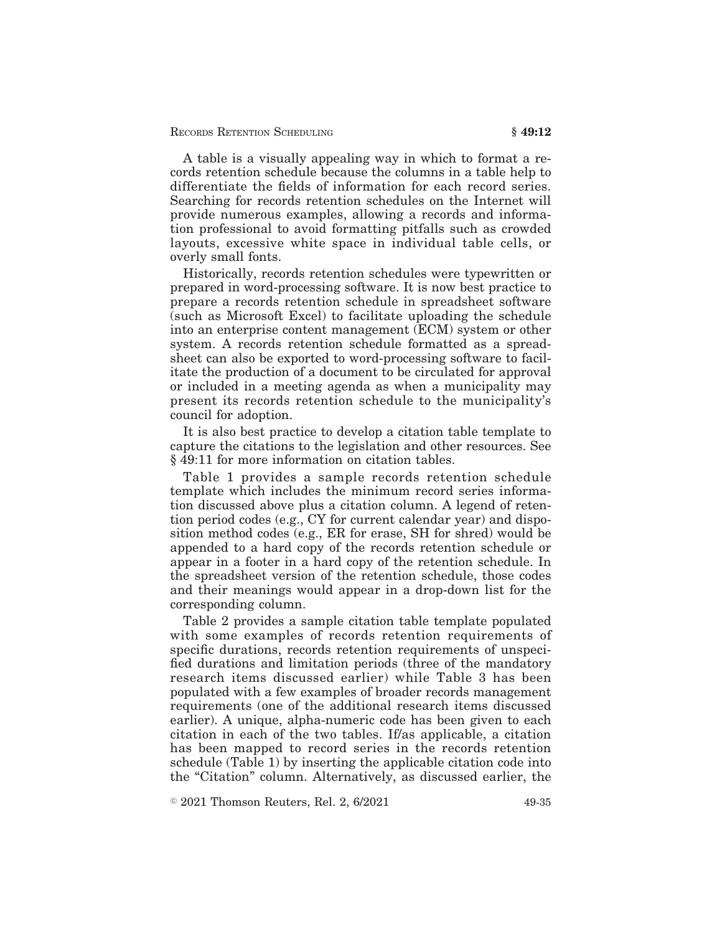A table is a visually appealing way in which to format a records retention schedule because the columns in a table help to differentiate the fields of information for each record series. Searching for records retention schedules on the Internet will provide numerous examples, allowing a records and information professional to avoid formatting pitfalls such as crowded layouts, excessive white space in individual table cells, or overly small fonts.

Historically, records retention schedules were typewritten or prepared in word-processing software. It is now best practice to prepare a records retention schedule in spreadsheet software (such as Microsoft Excel) to facilitate uploading the schedule into an enterprise content management (ECM) system or other system. A records retention schedule formatted as a spreadsheet can also be exported to word-processing software to facilitate the production of a document to be circulated for approval or included in a meeting agenda as when a municipality may present its records retention schedule to the municipality's council for adoption.

It is also best practice to develop a citation table template to capture the citations to the legislation and other resources. See § 49:11 for more information on citation tables.

Table 1 provides a sample records retention schedule template which includes the minimum record series information discussed above plus a citation column. A legend of retention period codes (e.g., CY for current calendar year) and disposition method codes (e.g., ER for erase, SH for shred) would be appended to a hard copy of the records retention schedule or appear in a footer in a hard copy of the retention schedule. In the spreadsheet version of the retention schedule, those codes and their meanings would appear in a drop-down list for the corresponding column.

Table 2 provides a sample citation table template populated with some examples of records retention requirements of specific durations, records retention requirements of unspecified durations and limitation periods (three of the mandatory research items discussed earlier) while Table 3 has been populated with a few examples of broader records management requirements (one of the additional research items discussed earlier). A unique, alpha-numeric code has been given to each citation in each of the two tables. If/as applicable, a citation has been mapped to record series in the records retention schedule (Table 1) by inserting the applicable citation code into the "Citation" column. Alternatively, as discussed earlier, the

 $\degree$  2021 Thomson Reuters, Rel. 2, 6/2021 49-35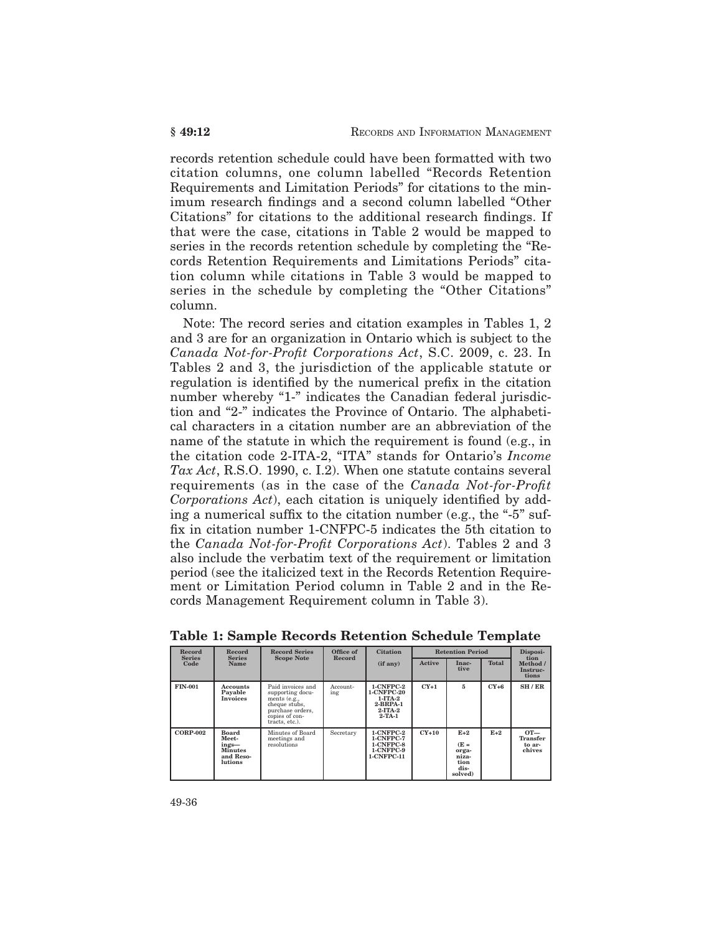records retention schedule could have been formatted with two citation columns, one column labelled "Records Retention Requirements and Limitation Periods" for citations to the minimum research findings and a second column labelled "Other Citations" for citations to the additional research findings. If that were the case, citations in Table 2 would be mapped to series in the records retention schedule by completing the "Records Retention Requirements and Limitations Periods" citation column while citations in Table 3 would be mapped to series in the schedule by completing the "Other Citations" column.

Note: The record series and citation examples in Tables 1, 2 and 3 are for an organization in Ontario which is subject to the *Canada Not-for-Profit Corporations Act*, S.C. 2009, c. 23. In Tables 2 and 3, the jurisdiction of the applicable statute or regulation is identified by the numerical prefix in the citation number whereby "1-" indicates the Canadian federal jurisdiction and "2-" indicates the Province of Ontario. The alphabetical characters in a citation number are an abbreviation of the name of the statute in which the requirement is found (e.g., in the citation code 2-ITA-2, "ITA" stands for Ontario's *Income Tax Act*, R.S.O. 1990, c. I.2). When one statute contains several requirements (as in the case of the *Canada Not-for-Profit Corporations Act*), each citation is uniquely identified by adding a numerical suffix to the citation number (e.g., the "-5" suffix in citation number 1-CNFPC-5 indicates the 5th citation to the *Canada Not-for-Profit Corporations Act*). Tables 2 and 3 also include the verbatim text of the requirement or limitation period (see the italicized text in the Records Retention Requirement or Limitation Period column in Table 2 and in the Records Management Requirement column in Table 3).

| Record<br><b>Series</b><br>Code | <b>Record</b>                                                              | <b>Record Series</b><br><b>Scope Note</b>                                                                                      | Office of<br>Record | <b>Citation</b>                                                                     | <b>Retention Period</b> |                                                              |              | Disposi-                                |
|---------------------------------|----------------------------------------------------------------------------|--------------------------------------------------------------------------------------------------------------------------------|---------------------|-------------------------------------------------------------------------------------|-------------------------|--------------------------------------------------------------|--------------|-----------------------------------------|
|                                 | <b>Series</b><br>Name                                                      |                                                                                                                                |                     | (if any)                                                                            | Active                  | Inac-<br>tive                                                | <b>Total</b> | tion<br>Method /<br>Instruc-<br>tions   |
| <b>FIN-001</b>                  | <b>Accounts</b><br>Pavable<br><b>Invoices</b>                              | Paid invoices and<br>supporting docu-<br>ments (e.g.,<br>cheque stubs.<br>purchase orders,<br>copies of con-<br>tracts, etc.). | Account-<br>ing     | $1$ -CNFPC-2<br><b>1-CNFPC-20</b><br>$1-ITA-2$<br>2-BRPA-1<br>$2-ITA-2$<br>$2-TA-1$ | $CY+1$                  | 5                                                            | $CY+6$       | SH/ER                                   |
| <b>CORP-002</b>                 | <b>Board</b><br>Meet-<br>$ins -$<br><b>Minutes</b><br>and Reso-<br>lutions | Minutes of Board<br>meetings and<br>resolutions                                                                                | Secretary           | $1$ -CNFPC-2<br>1-CNFPC-7<br>1-CNFPC-8<br>1-CNFPC-9<br><b>1-CNFPC-11</b>            | $CY+10$                 | $E+2$<br>$(E =$<br>orga-<br>niza-<br>tion<br>dis-<br>solved) | $E+2$        | $O T -$<br>Transfer<br>to ar-<br>chives |

**Table 1: Sample Records Retention Schedule Template**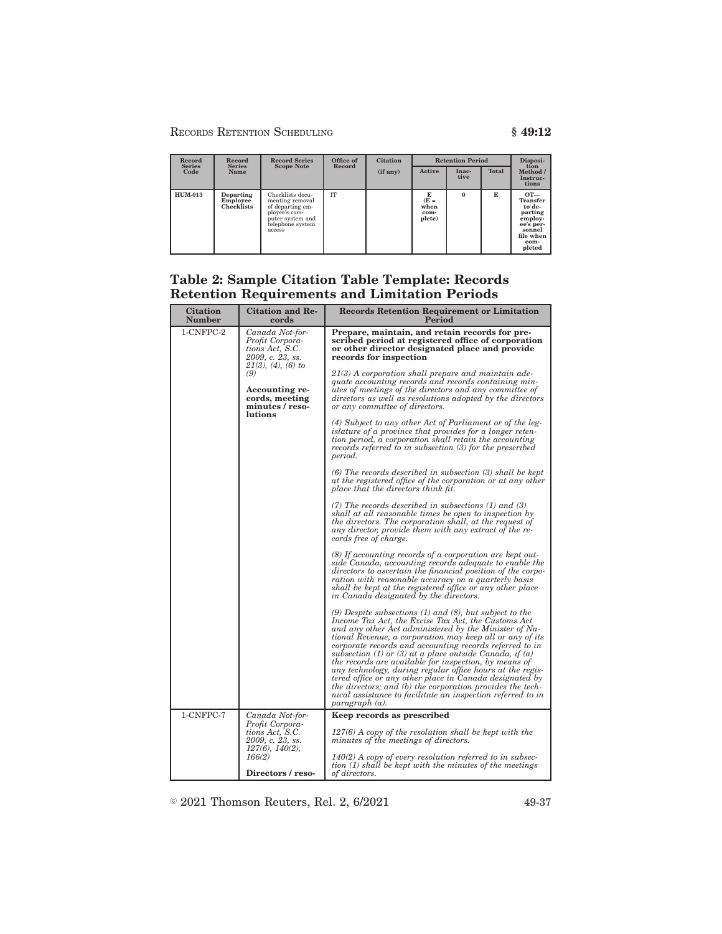| Record                | <b>Record Series</b><br><b>Record</b> |                                                                                                                            |           | Office of | <b>Citation</b>                       |               | <b>Retention Period</b> |                                                                                                                  | Disposi- |
|-----------------------|---------------------------------------|----------------------------------------------------------------------------------------------------------------------------|-----------|-----------|---------------------------------------|---------------|-------------------------|------------------------------------------------------------------------------------------------------------------|----------|
| <b>Series</b><br>Code | <b>Series</b><br>Name                 | <b>Scope Note</b>                                                                                                          | Record    | (if any)  | Active                                | Inac-<br>tive | <b>Total</b>            | tion<br>Method /<br>Instruc-<br>tions                                                                            |          |
| <b>HUM-013</b>        | Departing<br>Employee<br>Checklists   | Checklists docu-<br>menting removal<br>of departing em-<br>ployee's com-<br>puter system and<br>telephone system<br>access | <b>TT</b> |           | E<br>$(E =$<br>when<br>com-<br>plete) | $\bf{0}$      | Е                       | O <sub>T</sub><br>Transfer<br>to de-<br>parting<br>employ-<br>ee's per-<br>sonnel<br>file when<br>com-<br>pleted |          |

# **Table 2: Sample Citation Table Template: Records Retention Requirements and Limitation Periods**

| <b>Citation</b><br>Number | <b>Citation and Re-</b><br>cords                                                                    | <b>Records Retention Requirement or Limitation</b><br>Period                                                                                                                                                                                                                                                                                                                                                                                                                                                                                                                                                                                                                                    |
|---------------------------|-----------------------------------------------------------------------------------------------------|-------------------------------------------------------------------------------------------------------------------------------------------------------------------------------------------------------------------------------------------------------------------------------------------------------------------------------------------------------------------------------------------------------------------------------------------------------------------------------------------------------------------------------------------------------------------------------------------------------------------------------------------------------------------------------------------------|
| 1-CNFPC-2                 | Canada Not-for-<br>Profit Corpora-<br>tions Act, S.C.<br>2009, c. 23, ss.                           | Prepare, maintain, and retain records for pre-<br>scribed period at registered office of corporation<br>or other director designated place and provide<br>records for inspection                                                                                                                                                                                                                                                                                                                                                                                                                                                                                                                |
|                           | $21(3)$ , $(4)$ , $(6)$ to<br>(9)<br>Accounting re-<br>cords, meeting<br>minutes / reso-<br>lutions | 21(3) A corporation shall prepare and maintain ade-<br>quate accounting records and records containing min-<br>utes of meetings of the directors and any committee of<br>directors as well as resolutions adopted by the directors<br>or any committee of directors.                                                                                                                                                                                                                                                                                                                                                                                                                            |
|                           |                                                                                                     | (4) Subject to any other Act of Parliament or of the leg-<br>islature of a province that provides for a longer reten-<br>tion period, a corporation shall retain the accounting<br>records referred to in subsection (3) for the prescribed<br>period.                                                                                                                                                                                                                                                                                                                                                                                                                                          |
|                           |                                                                                                     | (6) The records described in subsection (3) shall be kept<br>at the registered office of the corporation or at any other<br>place that the directors think fit.                                                                                                                                                                                                                                                                                                                                                                                                                                                                                                                                 |
|                           |                                                                                                     | $(7)$ The records described in subsections $(1)$ and $(3)$<br>shall at all reasonable times be open to inspection by<br>the directors. The corporation shall, at the request of<br>any director, provide them with any extract of the re-<br>cords free of charge.                                                                                                                                                                                                                                                                                                                                                                                                                              |
|                           |                                                                                                     | $(8)$ If accounting records of a corporation are kept out-<br>side Canada, accounting records adequate to enable the<br>directors to ascertain the financial position of the corpo-<br>ration with reasonable accuracy on a quarterly basis<br>shall be kept at the registered office or any other place<br>in Canada designated by the directors.                                                                                                                                                                                                                                                                                                                                              |
|                           |                                                                                                     | $(9)$ Despite subsections $(1)$ and $(8)$ , but subject to the<br>Income Tax Act, the Excise Tax Act, the Customs Act<br>and any other Act administered by the Minister of Na-<br>tional Revenue, a corporation may keep all or any of its<br>corporate records and accounting records referred to in<br>subsection (1) or (3) at a place outside Canada, if (a)<br>the records are available for inspection, by means of<br>any technology, during regular office hours at the regis-<br>tered office or any other place in Canada designated by<br>the directors; and (b) the corporation provides the tech-<br>nical assistance to facilitate an inspection referred to in<br>paragraph (a). |
| 1-CNFPC-7                 | Canada Not-for-                                                                                     | Keep records as prescribed                                                                                                                                                                                                                                                                                                                                                                                                                                                                                                                                                                                                                                                                      |
|                           | Profit Corpora-<br>tions Act, S.C.<br>2009, c. 23, ss.<br>127(6), 140(2),                           | 127(6) A copy of the resolution shall be kept with the<br>minutes of the meetings of directors.                                                                                                                                                                                                                                                                                                                                                                                                                                                                                                                                                                                                 |
|                           | 166(2)<br>Directors / reso-                                                                         | $140(2)$ A copy of every resolution referred to in subsec-<br>tion (1) shall be kept with the minutes of the meetings<br>of directors.                                                                                                                                                                                                                                                                                                                                                                                                                                                                                                                                                          |

 $\textdegree$  2021 Thomson Reuters, Rel. 2, 6/2021 49-37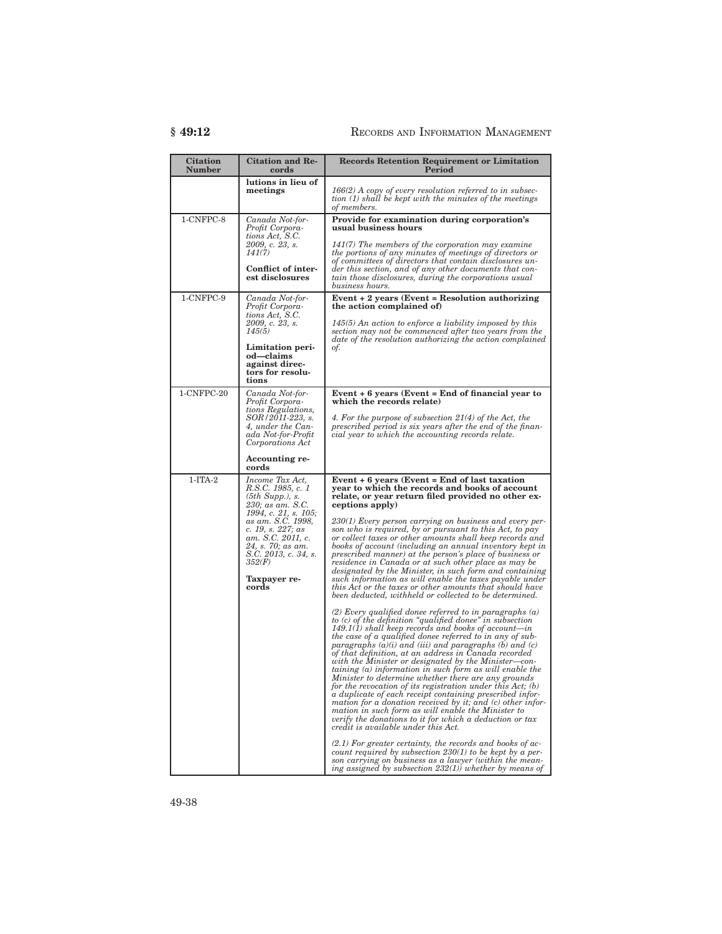| <b>Citation</b><br>Number | Citation and Re-<br>cords                                                                                                                                                                                                                               | <b>Records Retention Requirement or Limitation</b><br>Period                                                                                                                                                                                                                                                                                                                                                                                                                                                                                                                                                                                                                                                                                                                                                                                                                                                                                                                                                                                                                                                                                                                                                                                                                                                                                                                                                                                                                                                                                                                                                                                                                                                                                                                                                                                                                                                                                    |
|---------------------------|---------------------------------------------------------------------------------------------------------------------------------------------------------------------------------------------------------------------------------------------------------|-------------------------------------------------------------------------------------------------------------------------------------------------------------------------------------------------------------------------------------------------------------------------------------------------------------------------------------------------------------------------------------------------------------------------------------------------------------------------------------------------------------------------------------------------------------------------------------------------------------------------------------------------------------------------------------------------------------------------------------------------------------------------------------------------------------------------------------------------------------------------------------------------------------------------------------------------------------------------------------------------------------------------------------------------------------------------------------------------------------------------------------------------------------------------------------------------------------------------------------------------------------------------------------------------------------------------------------------------------------------------------------------------------------------------------------------------------------------------------------------------------------------------------------------------------------------------------------------------------------------------------------------------------------------------------------------------------------------------------------------------------------------------------------------------------------------------------------------------------------------------------------------------------------------------------------------------|
|                           | lutions in lieu of<br>meetings                                                                                                                                                                                                                          | 166(2) A copy of every resolution referred to in subsec-<br>tion (1) shall be kept with the minutes of the meetings<br>of members.                                                                                                                                                                                                                                                                                                                                                                                                                                                                                                                                                                                                                                                                                                                                                                                                                                                                                                                                                                                                                                                                                                                                                                                                                                                                                                                                                                                                                                                                                                                                                                                                                                                                                                                                                                                                              |
| 1-CNFPC-8                 | Canada Not-for-<br>Profit Corpora-<br>tions Act, S.C.<br>2009, c. 23, s.<br>141(7)<br>Conflict of inter-<br>est disclosures                                                                                                                             | Provide for examination during corporation's<br>usual business hours<br>141(7) The members of the corporation may examine<br>the portions of any minutes of meetings of directors or<br>of committees of directors that contain disclosures un-<br>der this section, and of any other documents that con-<br>tain those disclosures, during the corporations usual<br>business hours.                                                                                                                                                                                                                                                                                                                                                                                                                                                                                                                                                                                                                                                                                                                                                                                                                                                                                                                                                                                                                                                                                                                                                                                                                                                                                                                                                                                                                                                                                                                                                           |
| 1-CNFPC-9                 | Canada Not-for-<br>Profit Corpora-<br>tions Act, S.C.<br>2009, c. 23, s.<br>145(5)<br>Limitation peri-<br>od—claims<br>against direc-<br>tors for resolu-<br>tions                                                                                      | Event $+2$ years (Event = Resolution authorizing)<br>the action complained of)<br>$145(5)$ An action to enforce a liability imposed by this<br>section may not be commenced after two years from the<br>date of the resolution authorizing the action complained<br>of.                                                                                                                                                                                                                                                                                                                                                                                                                                                                                                                                                                                                                                                                                                                                                                                                                                                                                                                                                                                                                                                                                                                                                                                                                                                                                                                                                                                                                                                                                                                                                                                                                                                                         |
| 1-CNFPC-20                | Canada Not-for-<br>Profit Corpora-<br>tions Regulations,<br>SOR/2011-223, s.<br>4, under the Can-<br>ada Not-for-Profit<br>Corporations Act<br>Accounting re-<br>cords                                                                                  | Event $+6$ years (Event $=$ End of financial year to<br>which the records relate)<br>4. For the purpose of subsection $21(4)$ of the Act, the<br>prescribed period is six years after the end of the finan-<br>cial year to which the accounting records relate.                                                                                                                                                                                                                                                                                                                                                                                                                                                                                                                                                                                                                                                                                                                                                                                                                                                                                                                                                                                                                                                                                                                                                                                                                                                                                                                                                                                                                                                                                                                                                                                                                                                                                |
| $1-ITA-2$                 | Income Tax Act,<br>R.S.C. 1985, c. 1<br>$(5th \ Supp.)$ , s.<br>230; as am. S.C.<br>1994, c. 21, s. 105;<br>as am. S.C. 1998,<br>c. 19, s. 227; as<br>am. S.C. 2011, c.<br>24, s. 70; as am.<br>S.C. 2013, c. 34, s.<br>352(F)<br>Taxpayer re-<br>cords | Event $+$ 6 years (Event $=$ End of last taxation<br>year to which the records and books of account<br>relate, or year return filed provided no other ex-<br>ceptions apply)<br>230(1) Every person carrying on business and every per-<br>son who is required, by or pursuant to this Act, to pay<br>or collect taxes or other amounts shall keep records and<br>books of account (including an annual inventory kept in<br>prescribed manner) at the person's place of business or<br>residence in Canada or at such other place as may be<br>designated by the Minister, in such form and containing<br>such information as will enable the taxes payable under<br>this Act or the taxes or other amounts that should have<br>been deducted, withheld or collected to be determined.<br>(2) Every qualified donee referred to in paragraphs $(a)$<br>to (c) of the definition "qualified donee" in subsection<br>$149.1(1)$ shall keep records and books of account—in<br>the case of a qualified donee referred to in any of sub-<br>paragraphs $(a)(i)$ and $(iii)$ and paragraphs $(b)$ and $(c)$<br>of that definition, at an address in Canada recorded<br>with the Minister or designated by the Minister—con-<br>taining (a) information in such form as will enable the<br>Minister to determine whether there are any grounds<br>for the revocation of its registration under this Act; $(b)$<br>a duplicate of each receipt containing prescribed infor-<br>mation for a donation received by it; and (c) other infor-<br>mation in such form as will enable the Minister to<br>verify the donations to it for which a deduction or tax<br>credit is available under this Act.<br>$(2.1)$ For greater certainty, the records and books of ac-<br>count required by subsection $230(1)$ to be kept by a per-<br>son carrying on business as a lawyer (within the mean-<br>ing assigned by subsection $232(1)$ ) whether by means of |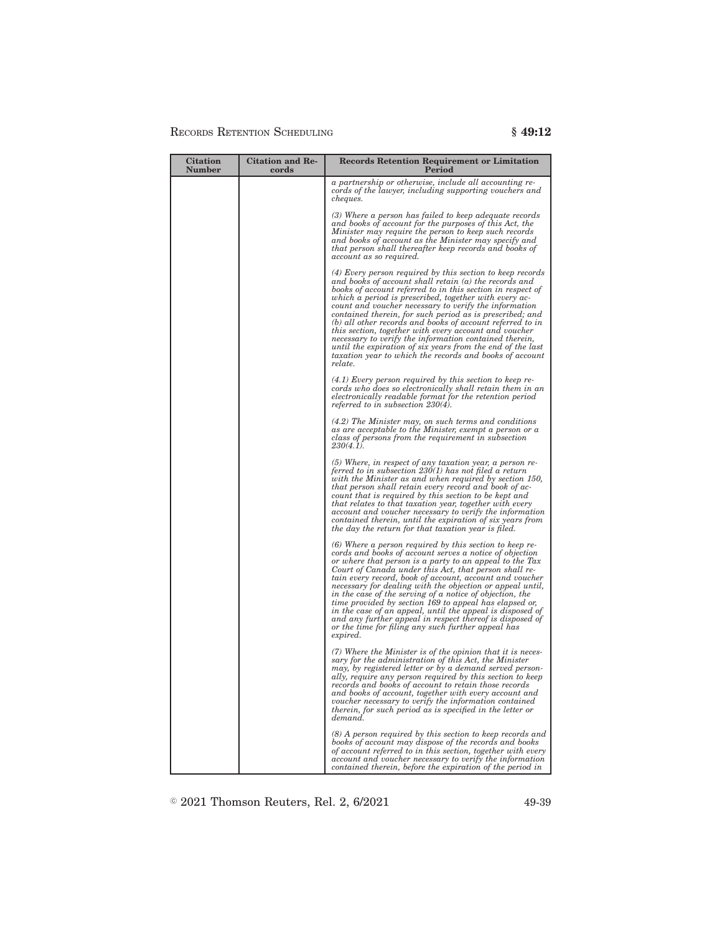| Citation<br>Number | <b>Citation and Re-</b><br>cords | <b>Records Retention Requirement or Limitation</b><br>Period                                                                                                                                                                                                                                                                                                                                                                                                                                                                                                                                                                                                                       |
|--------------------|----------------------------------|------------------------------------------------------------------------------------------------------------------------------------------------------------------------------------------------------------------------------------------------------------------------------------------------------------------------------------------------------------------------------------------------------------------------------------------------------------------------------------------------------------------------------------------------------------------------------------------------------------------------------------------------------------------------------------|
|                    |                                  | a partnership or otherwise, include all accounting re-<br>cords of the lawyer, including supporting vouchers and<br>cheques.                                                                                                                                                                                                                                                                                                                                                                                                                                                                                                                                                       |
|                    |                                  | (3) Where a person has failed to keep adequate records<br>and books of account for the purposes of this Act, the<br>Minister may require the person to keep such records<br>and books of account as the Minister may specify and<br>that person shall thereafter keep records and books of<br><i>account as so required.</i>                                                                                                                                                                                                                                                                                                                                                       |
|                    |                                  | (4) Every person required by this section to keep records<br>and books of account shall retain (a) the records and<br>books of account referred to in this section in respect of<br>which a period is prescribed, together with every ac-<br>count and voucher necessary to verify the information<br>contained therein, for such period as is prescribed; and<br>(b) all other records and books of account referred to in<br>this section, together with every account and voucher<br>necessary to verify the information contained therein,<br>until the expiration of six years from the end of the last<br>taxation year to which the records and books of account<br>relate. |
|                    |                                  | $(4.1)$ Every person required by this section to keep re-<br>cords who does so electronically shall retain them in an<br>electronically readable format for the retention period<br>referred to in subsection $230(4)$ .                                                                                                                                                                                                                                                                                                                                                                                                                                                           |
|                    |                                  | $(4.2)$ The Minister may, on such terms and conditions<br>as are acceptable to the Minister, exempt a person or a<br>class of persons from the requirement in subsection<br>$230(4.1)$ .                                                                                                                                                                                                                                                                                                                                                                                                                                                                                           |
|                    |                                  | $(5)$ Where, in respect of any taxation year, a person re-<br>ferred to in subsection 230(1) has not filed a return<br>with the Minister as and when required by section 150,<br>that person shall retain every record and book of ac-<br>count that is required by this section to be kept and<br>that relates to that taxation year, together with every<br>account and voucher necessary to verify the information<br>contained therein, until the expiration of six years from<br>the day the return for that taxation year is filed.                                                                                                                                          |
|                    |                                  | $(6)$ Where a person required by this section to keep re-<br>cords and books of account serves a notice of objection<br>or where that person is a party to an appeal to the Tax<br>Court of Canada under this Act, that person shall re-<br>tain every record, book of account, account and voucher<br>necessary for dealing with the objection or appeal until,<br>in the case of the serving of a notice of objection, the<br>time provided by section 169 to appeal has elapsed or,<br>in the case of an appeal, until the appeal is disposed of<br>and any further appeal in respect thereof is disposed of<br>or the time for filing any such further appeal has<br>expired.  |
|                    |                                  | (7) Where the Minister is of the opinion that it is neces-<br>sary for the administration of this Act, the Minister<br>may, by registered letter or by a demand served person-<br>ally, require any person required by this section to keep<br>records and books of account to retain those records<br>and books of account, together with every account and<br>voucher necessary to verify the information contained<br>therein, for such period as is specified in the letter or<br>demand.                                                                                                                                                                                      |
|                    |                                  | (8) A person required by this section to keep records and<br>books of account may dispose of the records and books<br>of account referred to in this section, together with every<br>account and voucher necessary to verify the information<br>contained therein, before the expiration of the period in                                                                                                                                                                                                                                                                                                                                                                          |

 $\textdegree$  2021 Thomson Reuters, Rel. 2, 6/2021 49-39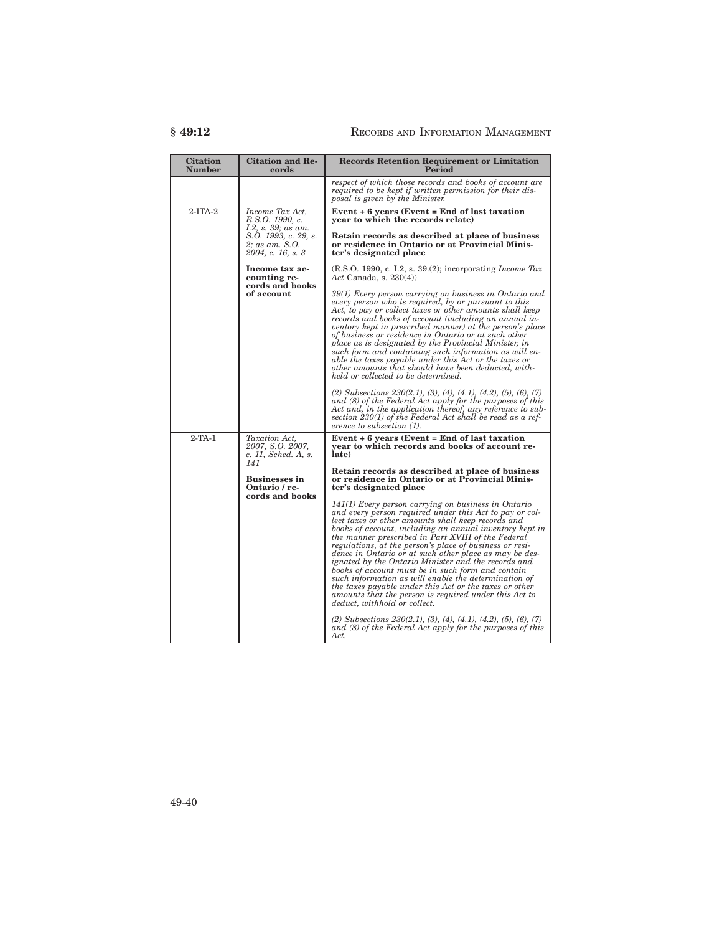| <b>Citation</b><br><b>Number</b> | <b>Citation and Re-</b><br>cords                                                       | <b>Records Retention Requirement or Limitation</b><br><b>Period</b>                                                                                                                                                                                                                                                                                                                                                                                                                                                                                                                                                                                                                                                               |
|----------------------------------|----------------------------------------------------------------------------------------|-----------------------------------------------------------------------------------------------------------------------------------------------------------------------------------------------------------------------------------------------------------------------------------------------------------------------------------------------------------------------------------------------------------------------------------------------------------------------------------------------------------------------------------------------------------------------------------------------------------------------------------------------------------------------------------------------------------------------------------|
|                                  |                                                                                        | respect of which those records and books of account are<br>required to be kept if written permission for their dis-<br>posal is given by the Minister.                                                                                                                                                                                                                                                                                                                                                                                                                                                                                                                                                                            |
| $2-TTA-2$                        | Income Tax Act,<br>R.S.O. 1990, c.                                                     | Event $+$ 6 years (Event $=$ End of last taxation<br>year to which the records relate)                                                                                                                                                                                                                                                                                                                                                                                                                                                                                                                                                                                                                                            |
|                                  | I.2, s. 39; as am.<br>S.O. 1993, c. 29, s.<br>$2$ ; as am. $S.O.$<br>2004, c. 16, s. 3 | Retain records as described at place of business<br>or residence in Ontario or at Provincial Minis-<br>ter's designated place                                                                                                                                                                                                                                                                                                                                                                                                                                                                                                                                                                                                     |
|                                  | Income tax ac-<br>counting re-<br>cords and books                                      | $(R.S.O. 1990, c. I.2, s. 39.2)$ ; incorporating <i>Income Tax</i><br>Act Canada, s. $230(4)$ )                                                                                                                                                                                                                                                                                                                                                                                                                                                                                                                                                                                                                                   |
|                                  | of account                                                                             | 39(1) Every person carrying on business in Ontario and<br>every person who is required, by or pursuant to this<br>Act, to pay or collect taxes or other amounts shall keep<br>records and books of account (including an annual in-<br>ventory kept in prescribed manner) at the person's place<br>of business or residence in Ontario or at such other<br>place as is designated by the Provincial Minister, in<br>such form and containing such information as will en-<br>able the taxes payable under this Act or the taxes or<br>other amounts that should have been deducted, with-<br>held or collected to be determined.                                                                                                  |
|                                  |                                                                                        | $(2)$ Subsections 230 $(2.1)$ , $(3)$ , $(4)$ , $(4.1)$ , $(4.2)$ , $(5)$ , $(6)$ , $(7)$<br>and (8) of the Federal Act apply for the purposes of this<br>Act and, in the application thereof, any reference to sub-<br>section $230(1)$ of the Federal Act shall be read as a ref-<br>erence to subsection (1).                                                                                                                                                                                                                                                                                                                                                                                                                  |
| $2-TA-1$                         | <i>Taxation Act,</i><br>2007, S.O. 2007,<br>c. 11, Sched. A, s.<br>141                 | Event $+ 6$ years (Event = End of last taxation<br>year to which records and books of account re-<br>late)                                                                                                                                                                                                                                                                                                                                                                                                                                                                                                                                                                                                                        |
|                                  | <b>Businesses in</b><br>Ontario / re-<br>cords and books                               | Retain records as described at place of business<br>or residence in Ontario or at Provincial Minis-<br>ter's designated place                                                                                                                                                                                                                                                                                                                                                                                                                                                                                                                                                                                                     |
|                                  |                                                                                        | 141(1) Every person carrying on business in Ontario<br>and every person required under this Act to pay or col-<br>lect taxes or other amounts shall keep records and<br>books of account, including an annual inventory kept in<br>the manner prescribed in Part XVIII of the Federal<br>regulations, at the person's place of business or resi-<br>dence in Ontario or at such other place as may be des-<br>ignated by the Ontario Minister and the records and<br>books of account must be in such form and contain<br>such information as will enable the determination of<br>the taxes payable under this Act or the taxes or other<br>amounts that the person is required under this Act to<br>deduct, withhold or collect. |
|                                  |                                                                                        | $(2)$ Subsections $230(2.1), (3), (4), (4.1), (4.2), (5), (6), (7)$<br>and (8) of the Federal Act apply for the purposes of this<br>Act.                                                                                                                                                                                                                                                                                                                                                                                                                                                                                                                                                                                          |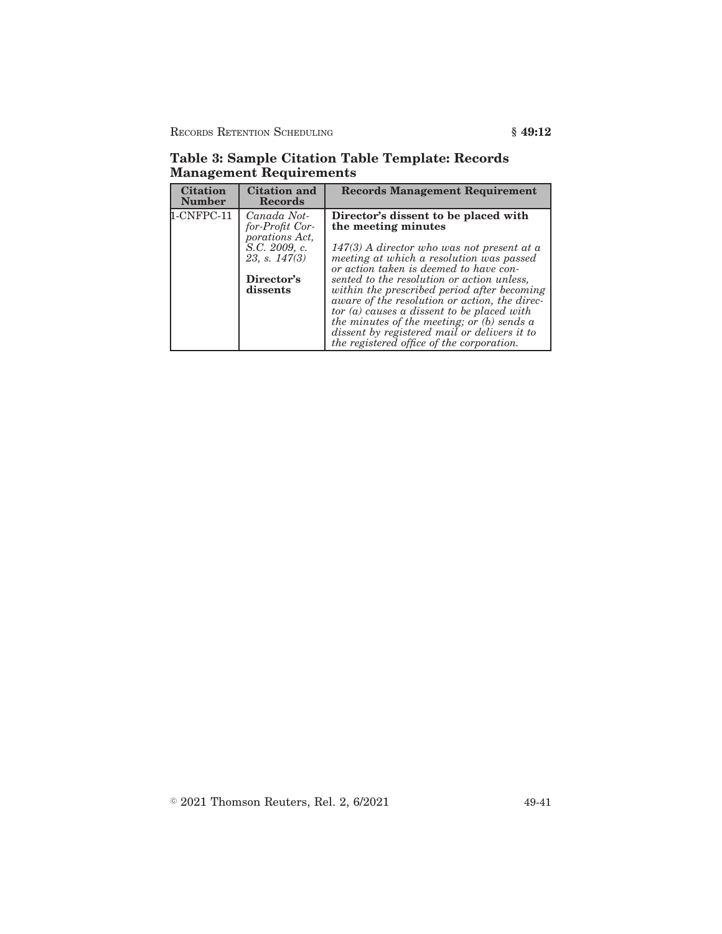| <b>Table 3: Sample Citation Table Template: Records</b> |  |  |
|---------------------------------------------------------|--|--|
| <b>Management Requirements</b>                          |  |  |

| <b>Citation</b><br><b>Number</b> | <b>Citation and</b><br><b>Records</b>                                                                        | <b>Records Management Requirement</b>                                                                                                                                                                                                                                                                                                                                                                                                                                                                                                        |
|----------------------------------|--------------------------------------------------------------------------------------------------------------|----------------------------------------------------------------------------------------------------------------------------------------------------------------------------------------------------------------------------------------------------------------------------------------------------------------------------------------------------------------------------------------------------------------------------------------------------------------------------------------------------------------------------------------------|
| 1-CNFPC-11                       | Canada Not-<br>for-Profit Cor-<br>porations Act.<br>S.C. 2009, c.<br>23, s. 147(3)<br>Director's<br>dissents | Director's dissent to be placed with<br>the meeting minutes<br>$147(3)$ A director who was not present at a<br>meeting at which a resolution was passed<br>or action taken is deemed to have con-<br>sented to the resolution or action unless,<br>within the prescribed period after becoming<br>aware of the resolution or action, the direc-<br>tor $(a)$ causes a dissent to be placed with<br>the minutes of the meeting; or $(b)$ sends a<br>dissent by registered mail or delivers it to<br>the registered office of the corporation. |

 $\textcircled{\tiny{\textcirc}}$  2021 Thomson Reuters, Rel. 2, 6/2021 49-41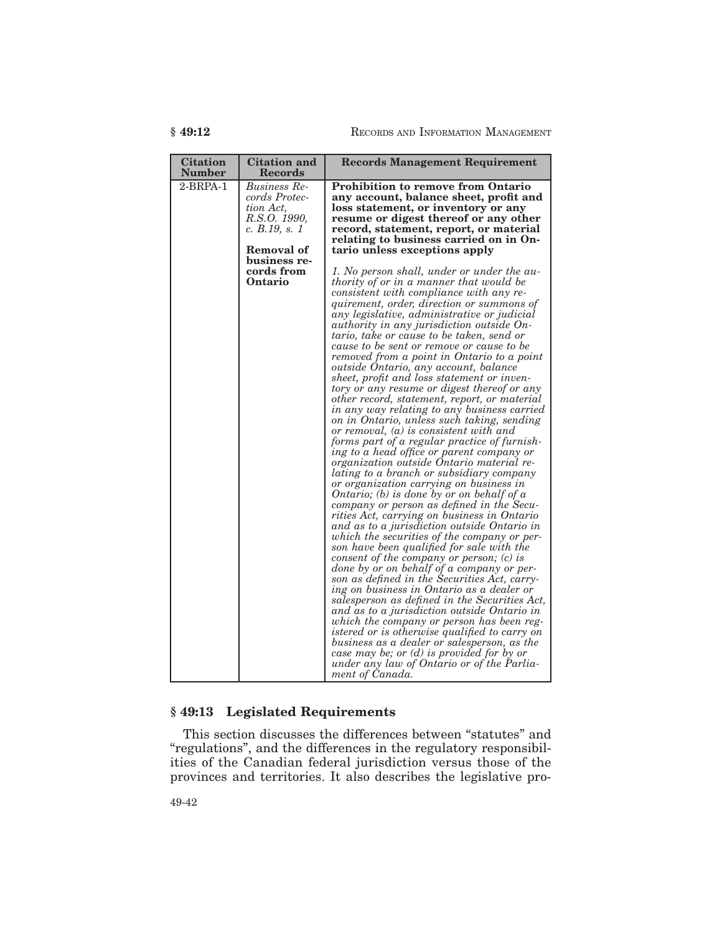| <b>Citation</b><br><b>Number</b> | <b>Citation and</b><br><b>Records</b>                                                                                                            | <b>Records Management Requirement</b>                                                                                                                                                                                                                                                                                                                                                                                                                                                                                                                                                                                                                                                                                                                                                                                                                                                                                                                                                                                                                                                                                                                                                                                                                                                                                                                                                                                                                                                                                                                                                                                                                                                                                                                                                                                                                                                                                                                                                                                                                                                                                                     |
|----------------------------------|--------------------------------------------------------------------------------------------------------------------------------------------------|-------------------------------------------------------------------------------------------------------------------------------------------------------------------------------------------------------------------------------------------------------------------------------------------------------------------------------------------------------------------------------------------------------------------------------------------------------------------------------------------------------------------------------------------------------------------------------------------------------------------------------------------------------------------------------------------------------------------------------------------------------------------------------------------------------------------------------------------------------------------------------------------------------------------------------------------------------------------------------------------------------------------------------------------------------------------------------------------------------------------------------------------------------------------------------------------------------------------------------------------------------------------------------------------------------------------------------------------------------------------------------------------------------------------------------------------------------------------------------------------------------------------------------------------------------------------------------------------------------------------------------------------------------------------------------------------------------------------------------------------------------------------------------------------------------------------------------------------------------------------------------------------------------------------------------------------------------------------------------------------------------------------------------------------------------------------------------------------------------------------------------------------|
| $2-BRPA-1$                       | <b>Business Re-</b><br>cords Protec-<br>tion Act.<br>R.S.O. 1990,<br>c. B.19, s. 1<br><b>Removal of</b><br>business re-<br>cords from<br>Ontario | <b>Prohibition to remove from Ontario</b><br>any account, balance sheet, profit and<br>loss statement, or inventory or any<br>resume or digest thereof or any other<br>record, statement, report, or material<br>relating to business carried on in On-<br>tario unless exceptions apply<br>1. No person shall, under or under the au-<br>thority of or in a manner that would be<br>consistent with compliance with any re-<br>quirement, order, direction or summons of<br>any legislative, administrative or judicial<br><i>authority in any jurisdiction outside On-</i><br>tario, take or cause to be taken, send or<br>cause to be sent or remove or cause to be<br>removed from a point in Ontario to a point<br><i>outside Ontario, any account, balance</i><br>sheet, profit and loss statement or inven-<br>tory or any resume or digest thereof or any<br>other record, statement, report, or material<br>in any way relating to any business carried<br>on in Ontario, unless such taking, sending<br>or removal, (a) is consistent with and<br>forms part of a regular practice of furnish-<br>ing to a head office or parent company or<br>organization outside Ontario material re-<br>lating to a branch or subsidiary company<br>or organization carrying on business in<br>Ontario; (b) is done by or on behalf of $\alpha$<br>company or person as defined in the Secu-<br>rities Act, carrying on business in Ontario<br>and as to a jurisdiction outside Ontario in<br>which the securities of the company or per-<br>son have been qualified for sale with the<br>consent of the company or person; $(c)$ is<br>done by or on behalf of a company or per-<br>son as defined in the Securities Act, carry-<br>ing on business in Ontario as a dealer or<br>salesperson as defined in the Securities Act,<br>and as to a jurisdiction outside Ontario in<br>which the company or person has been reg-<br>istered or is otherwise qualified to carry on<br>business as a dealer or salesperson, as the<br>case may be; or $(d)$ is provided for by or<br>under any law of Ontario or of the Parlia-<br>ment of Canada. |

# **§ 49:13 Legislated Requirements**

This section discusses the differences between "statutes" and "regulations", and the differences in the regulatory responsibilities of the Canadian federal jurisdiction versus those of the provinces and territories. It also describes the legislative pro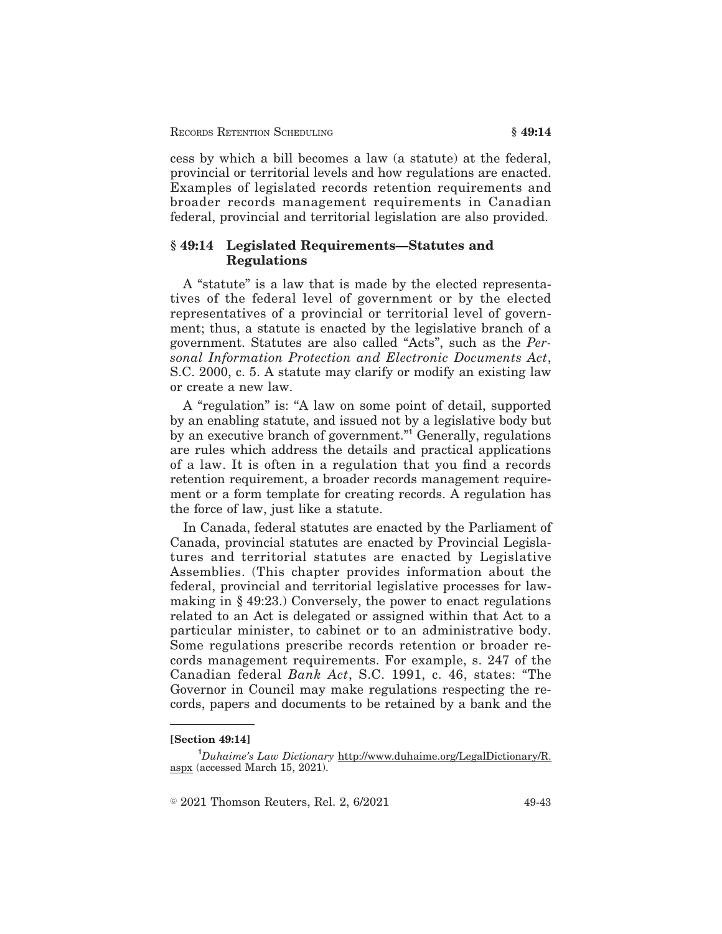cess by which a bill becomes a law (a statute) at the federal, provincial or territorial levels and how regulations are enacted. Examples of legislated records retention requirements and broader records management requirements in Canadian federal, provincial and territorial legislation are also provided.

# **§ 49:14 Legislated Requirements—Statutes and Regulations**

A "statute" is a law that is made by the elected representatives of the federal level of government or by the elected representatives of a provincial or territorial level of government; thus, a statute is enacted by the legislative branch of a government. Statutes are also called "Acts", such as the *Personal Information Protection and Electronic Documents Act*, S.C. 2000, c. 5. A statute may clarify or modify an existing law or create a new law.

A "regulation" is: "A law on some point of detail, supported by an enabling statute, and issued not by a legislative body but by an executive branch of government."**<sup>1</sup>** Generally, regulations are rules which address the details and practical applications of a law. It is often in a regulation that you find a records retention requirement, a broader records management requirement or a form template for creating records. A regulation has the force of law, just like a statute.

In Canada, federal statutes are enacted by the Parliament of Canada, provincial statutes are enacted by Provincial Legislatures and territorial statutes are enacted by Legislative Assemblies. (This chapter provides information about the federal, provincial and territorial legislative processes for lawmaking in § 49:23.) Conversely, the power to enact regulations related to an Act is delegated or assigned within that Act to a particular minister, to cabinet or to an administrative body. Some regulations prescribe records retention or broader records management requirements. For example, s. 247 of the Canadian federal *Bank Act*, S.C. 1991, c. 46, states: "The Governor in Council may make regulations respecting the records, papers and documents to be retained by a bank and the

 $\degree$  2021 Thomson Reuters, Rel. 2, 6/2021 49-43

**<sup>[</sup>Section 49:14]**

**<sup>1</sup>** *Duhaime's Law Dictionary* http://www.duhaime.org/LegalDictionary/R. aspx (accessed March 15, 2021).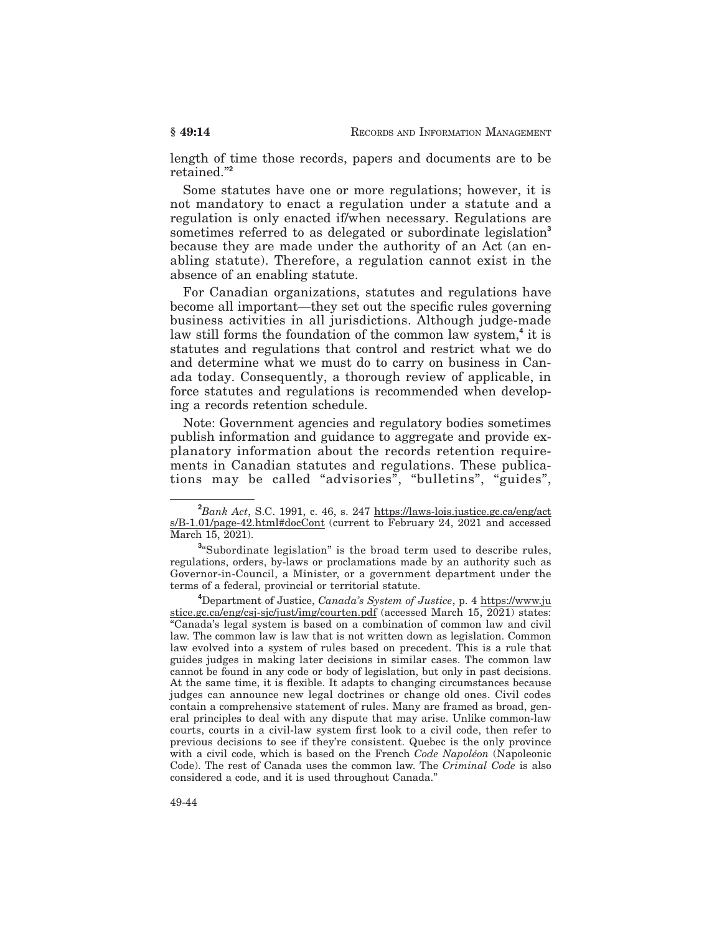length of time those records, papers and documents are to be retained."**<sup>2</sup>**

Some statutes have one or more regulations; however, it is not mandatory to enact a regulation under a statute and a regulation is only enacted if/when necessary. Regulations are sometimes referred to as delegated or subordinate legislation**<sup>3</sup>** because they are made under the authority of an Act (an enabling statute). Therefore, a regulation cannot exist in the absence of an enabling statute.

For Canadian organizations, statutes and regulations have become all important—they set out the specific rules governing business activities in all jurisdictions. Although judge-made law still forms the foundation of the common law system,**<sup>4</sup>** it is statutes and regulations that control and restrict what we do and determine what we must do to carry on business in Canada today. Consequently, a thorough review of applicable, in force statutes and regulations is recommended when developing a records retention schedule.

Note: Government agencies and regulatory bodies sometimes publish information and guidance to aggregate and provide explanatory information about the records retention requirements in Canadian statutes and regulations. These publications may be called "advisories", "bulletins", "guides",

**<sup>2</sup>** *Bank Act*, S.C. 1991, c. 46, s. 247 https://laws-lois.justice.gc.ca/eng/act s/B-1.01/page-42.html#docCont (current to February 24, 2021 and accessed March 15, 2021).

<sup>&</sup>lt;sup>3</sup> Subordinate legislation" is the broad term used to describe rules, regulations, orders, by-laws or proclamations made by an authority such as Governor-in-Council, a Minister, or a government department under the terms of a federal, provincial or territorial statute.

**<sup>4</sup>** Department of Justice, *Canada's System of Justice*, p. 4 https://www.ju stice.gc.ca/eng/csj-sjc/just/img/courten.pdf (accessed March 15, 2021) states: "Canada's legal system is based on a combination of common law and civil law. The common law is law that is not written down as legislation. Common law evolved into a system of rules based on precedent. This is a rule that guides judges in making later decisions in similar cases. The common law cannot be found in any code or body of legislation, but only in past decisions. At the same time, it is flexible. It adapts to changing circumstances because judges can announce new legal doctrines or change old ones. Civil codes contain a comprehensive statement of rules. Many are framed as broad, general principles to deal with any dispute that may arise. Unlike common-law courts, courts in a civil-law system first look to a civil code, then refer to previous decisions to see if they're consistent. Quebec is the only province with a civil code, which is based on the French *Code Napoléon* (Napoleonic Code). The rest of Canada uses the common law. The *Criminal Code* is also considered a code, and it is used throughout Canada."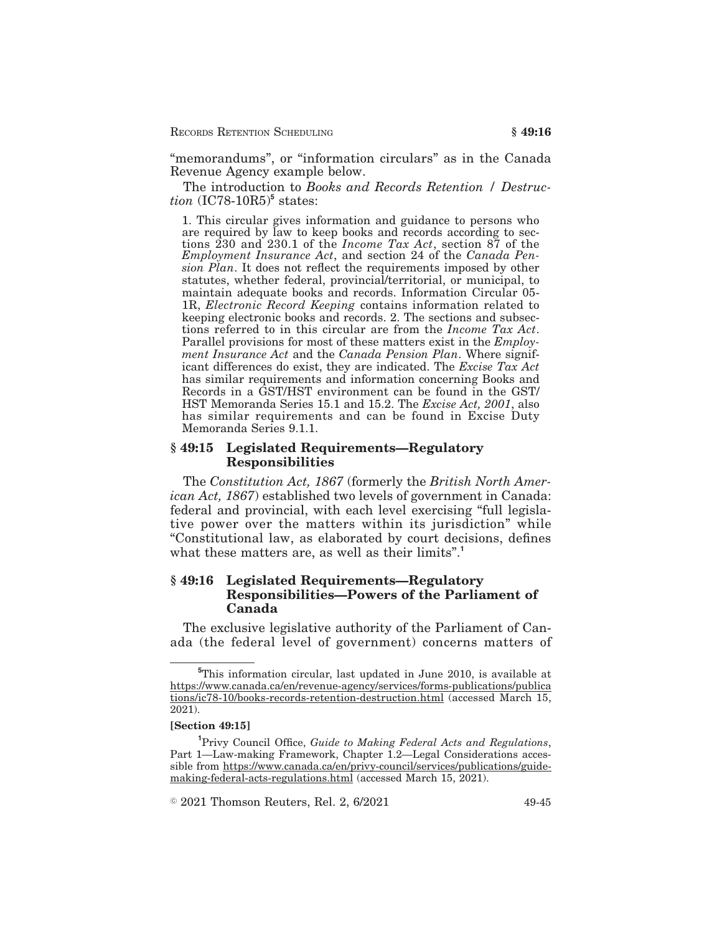"memorandums", or "information circulars" as in the Canada Revenue Agency example below.

The introduction to *Books and Records Retention / Destruction* (IC78-10R5)**<sup>5</sup>** states:

1. This circular gives information and guidance to persons who are required by law to keep books and records according to sections 230 and 230.1 of the *Income Tax Act*, section 87 of the *Employment Insurance Act*, and section 24 of the *Canada Pension Plan*. It does not reflect the requirements imposed by other statutes, whether federal, provincial/territorial, or municipal, to maintain adequate books and records. Information Circular 05- 1R, *Electronic Record Keeping* contains information related to keeping electronic books and records. 2. The sections and subsections referred to in this circular are from the *Income Tax Act*. Parallel provisions for most of these matters exist in the *Employment Insurance Act* and the *Canada Pension Plan*. Where significant differences do exist, they are indicated. The *Excise Tax Act* has similar requirements and information concerning Books and Records in a GST/HST environment can be found in the GST/ HST Memoranda Series 15.1 and 15.2. The *Excise Act, 2001*, also has similar requirements and can be found in Excise Duty Memoranda Series 9.1.1.

### **§ 49:15 Legislated Requirements—Regulatory Responsibilities**

The *Constitution Act, 1867* (formerly the *British North American Act, 1867*) established two levels of government in Canada: federal and provincial, with each level exercising "full legislative power over the matters within its jurisdiction" while "Constitutional law, as elaborated by court decisions, defines what these matters are, as well as their limits".<sup>1</sup>

# **§ 49:16 Legislated Requirements—Regulatory Responsibilities—Powers of the Parliament of Canada**

The exclusive legislative authority of the Parliament of Canada (the federal level of government) concerns matters of

### **[Section 49:15]**

 $\textdegree$  2021 Thomson Reuters, Rel. 2, 6/2021  $\textdegree$  49-45

**<sup>5</sup>** This information circular, last updated in June 2010, is available at https://www.canada.ca/en/revenue-agency/services/forms-publications/publica tions/ic78-10/books-records-retention-destruction.html (accessed March 15, 2021).

**<sup>1</sup>** Privy Council Office, *Guide to Making Federal Acts and Regulations*, Part 1—Law-making Framework, Chapter 1.2—Legal Considerations accessible from https://www.canada.ca/en/privy-council/services/publications/guidemaking-federal-acts-regulations.html (accessed March 15, 2021).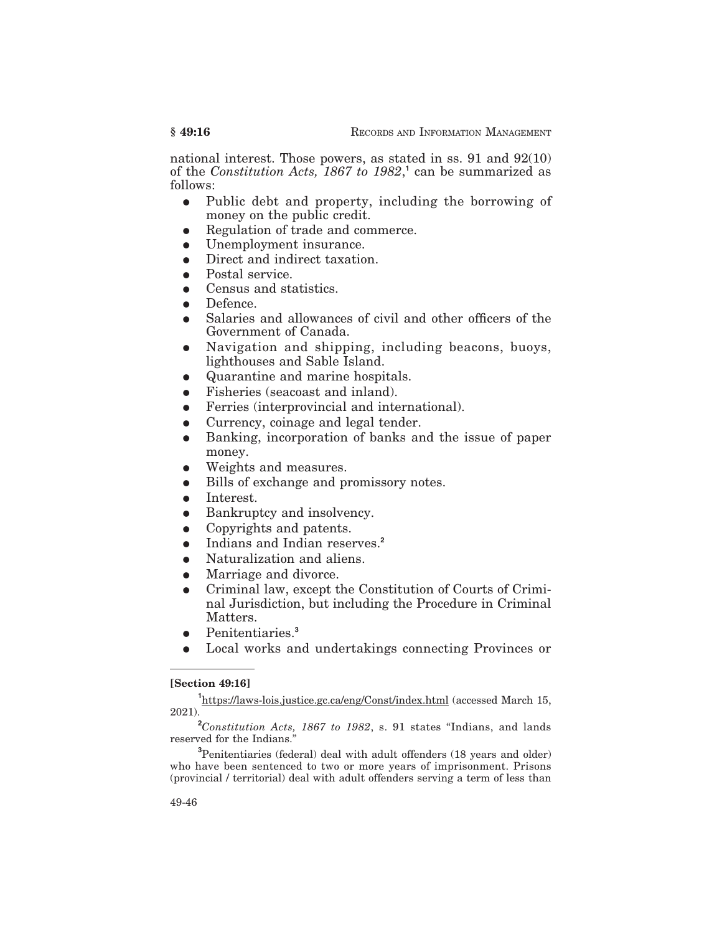national interest. Those powers, as stated in ss. 91 and 92(10) of the *Constitution Acts*, 1867 to 1982,<sup>1</sup> can be summarized as follows:

- Public debt and property, including the borrowing of money on the public credit.
- Regulation of trade and commerce.
- E Unemployment insurance.
- Direct and indirect taxation.
- Postal service.
- $\bullet$  Census and statistics.
- $\bullet$  Defence.
- Salaries and allowances of civil and other officers of the Government of Canada.
- E Navigation and shipping, including beacons, buoys, lighthouses and Sable Island.
- Quarantine and marine hospitals.
- Fisheries (seacoast and inland).
- Ferries (interprovincial and international).
- Currency, coinage and legal tender.
- Banking, incorporation of banks and the issue of paper money.
- Weights and measures.
- $\bullet$  Bills of exchange and promissory notes.
- Interest.
- Bankruptcy and insolvency.
- $\bullet$  Copyrights and patents.
- Indians and Indian reserves.<sup>2</sup>
- Naturalization and aliens.
- Marriage and divorce.
- Criminal law, except the Constitution of Courts of Criminal Jurisdiction, but including the Procedure in Criminal Matters.
- E Penitentiaries.**<sup>3</sup>**
- Local works and undertakings connecting Provinces or

### **[Section 49:16]**

**1** https://laws-lois.justice.gc.ca/eng/Const/index.html (accessed March 15, 2021).

**<sup>2</sup>** *Constitution Acts, 1867 to 1982*, s. 91 states "Indians, and lands reserved for the Indians."

**<sup>3</sup>** Penitentiaries (federal) deal with adult offenders (18 years and older) who have been sentenced to two or more years of imprisonment. Prisons (provincial / territorial) deal with adult offenders serving a term of less than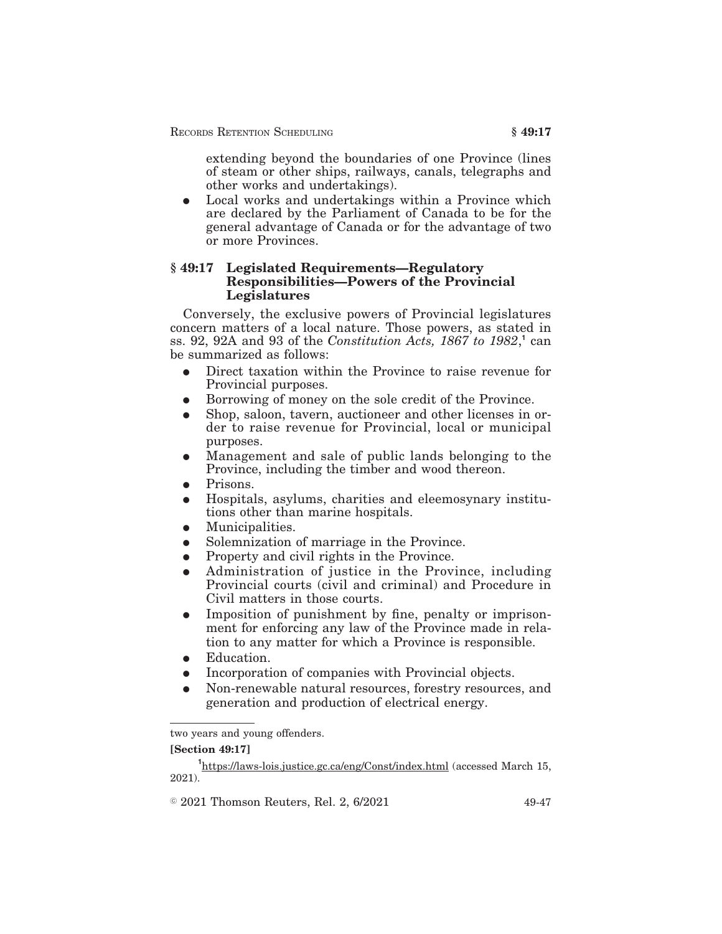extending beyond the boundaries of one Province (lines of steam or other ships, railways, canals, telegraphs and other works and undertakings).

Local works and undertakings within a Province which are declared by the Parliament of Canada to be for the general advantage of Canada or for the advantage of two or more Provinces.

# **§ 49:17 Legislated Requirements—Regulatory Responsibilities—Powers of the Provincial Legislatures**

Conversely, the exclusive powers of Provincial legislatures concern matters of a local nature. Those powers, as stated in ss. 92, 92A and 93 of the *Constitution Acts, 1867 to 1982*, **<sup>1</sup>** can be summarized as follows:

- Direct taxation within the Province to raise revenue for Provincial purposes.
- E Borrowing of money on the sole credit of the Province.
- E Shop, saloon, tavern, auctioneer and other licenses in order to raise revenue for Provincial, local or municipal purposes.
- Management and sale of public lands belonging to the Province, including the timber and wood thereon.
- $\bullet$  Prisons.
- E Hospitals, asylums, charities and eleemosynary institutions other than marine hospitals.
- Municipalities.
- Solemnization of marriage in the Province.
- E Property and civil rights in the Province.
- Administration of justice in the Province, including Provincial courts (civil and criminal) and Procedure in Civil matters in those courts.
- Imposition of punishment by fine, penalty or imprisonment for enforcing any law of the Province made in relation to any matter for which a Province is responsible.
- Education.
- Incorporation of companies with Provincial objects.
- E Non-renewable natural resources, forestry resources, and generation and production of electrical energy.

two years and young offenders.

# **[Section 49:17]**

**1** https://laws-lois.justice.gc.ca/eng/Const/index.html (accessed March 15, 2021).

 $\degree$  2021 Thomson Reuters, Rel. 2, 6/2021 49-47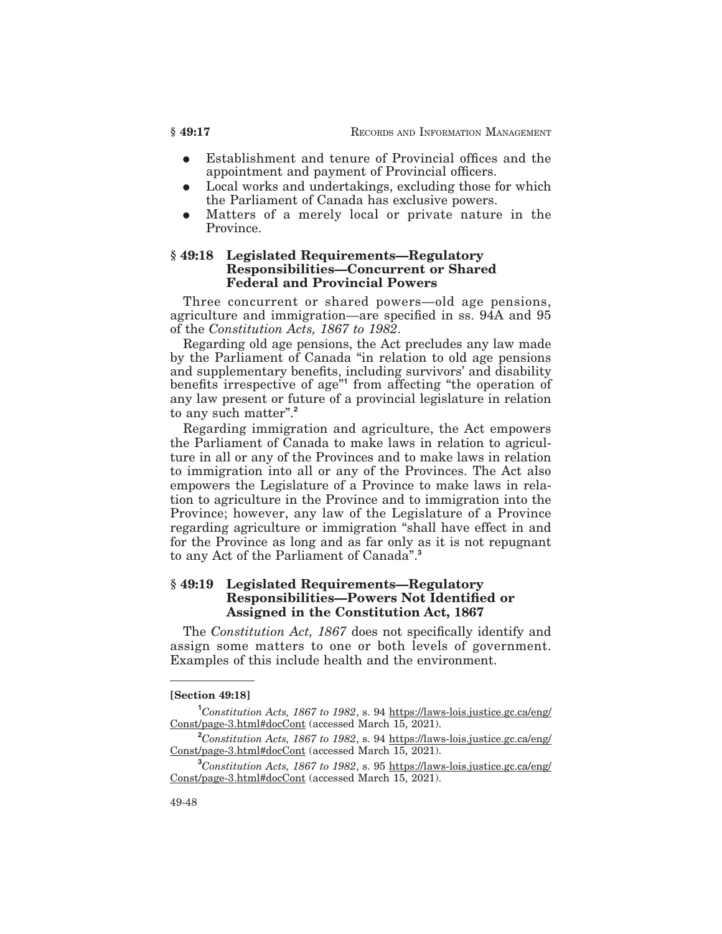- E Establishment and tenure of Provincial offices and the appointment and payment of Provincial officers.
- Local works and undertakings, excluding those for which the Parliament of Canada has exclusive powers.
- Matters of a merely local or private nature in the Province.

### **§ 49:18 Legislated Requirements—Regulatory Responsibilities—Concurrent or Shared Federal and Provincial Powers**

Three concurrent or shared powers—old age pensions, agriculture and immigration—are specified in ss. 94A and 95 of the *Constitution Acts, 1867 to 1982*.

Regarding old age pensions, the Act precludes any law made by the Parliament of Canada "in relation to old age pensions and supplementary benefits, including survivors' and disability benefits irrespective of age"**<sup>1</sup>** from affecting "the operation of any law present or future of a provincial legislature in relation to any such matter".**<sup>2</sup>**

Regarding immigration and agriculture, the Act empowers the Parliament of Canada to make laws in relation to agriculture in all or any of the Provinces and to make laws in relation to immigration into all or any of the Provinces. The Act also empowers the Legislature of a Province to make laws in relation to agriculture in the Province and to immigration into the Province; however, any law of the Legislature of a Province regarding agriculture or immigration "shall have effect in and for the Province as long and as far only as it is not repugnant to any Act of the Parliament of Canada".**<sup>3</sup>**

# **§ 49:19 Legislated Requirements—Regulatory Responsibilities—Powers Not Identified or Assigned in the Constitution Act, 1867**

The *Constitution Act, 1867* does not specifically identify and assign some matters to one or both levels of government. Examples of this include health and the environment.

### **[Section 49:18]**

**<sup>1</sup>** *Constitution Acts, 1867 to 1982*, s. 94 https://laws-lois.justice.gc.ca/eng/ Const/page-3.html#docCont (accessed March 15, 2021).

**<sup>2</sup>** *Constitution Acts, 1867 to 1982*, s. 94 https://laws-lois.justice.gc.ca/eng/ Const/page-3.html#docCont (accessed March 15, 2021).

**<sup>3</sup>** *Constitution Acts, 1867 to 1982*, s. 95 https://laws-lois.justice.gc.ca/eng/ Const/page-3.html#docCont (accessed March 15, 2021).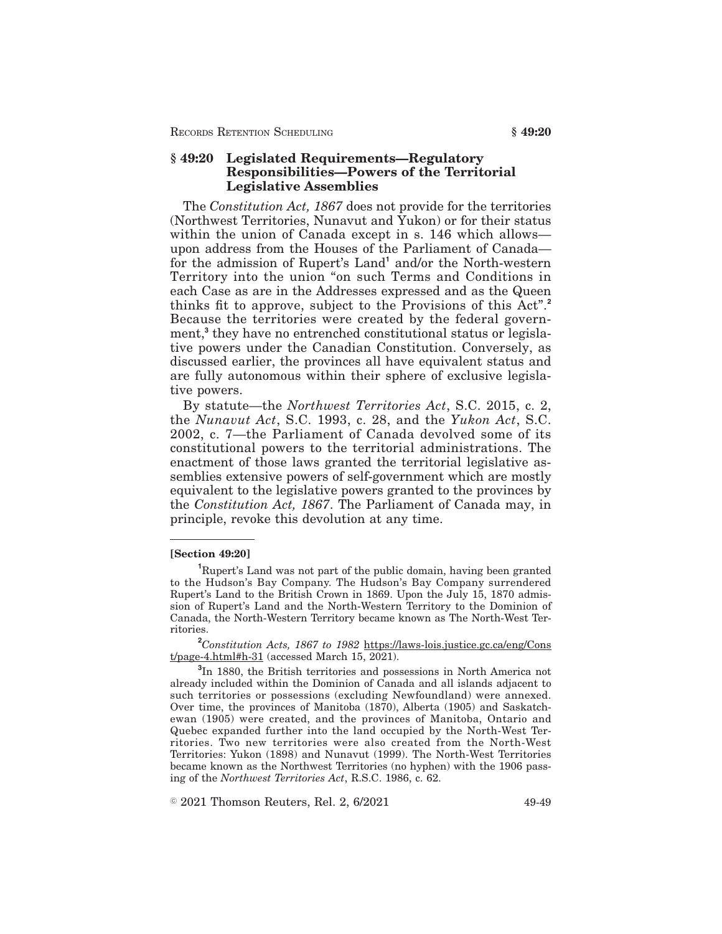# **§ 49:20 Legislated Requirements—Regulatory Responsibilities—Powers of the Territorial Legislative Assemblies**

The *Constitution Act, 1867* does not provide for the territories (Northwest Territories, Nunavut and Yukon) or for their status within the union of Canada except in s. 146 which allows upon address from the Houses of the Parliament of Canada for the admission of Rupert's Land**<sup>1</sup>** and/or the North-western Territory into the union "on such Terms and Conditions in each Case as are in the Addresses expressed and as the Queen thinks fit to approve, subject to the Provisions of this Act".**<sup>2</sup>** Because the territories were created by the federal government,<sup>3</sup> they have no entrenched constitutional status or legislative powers under the Canadian Constitution. Conversely, as discussed earlier, the provinces all have equivalent status and are fully autonomous within their sphere of exclusive legislative powers.

By statute—the *Northwest Territories Act*, S.C. 2015, c. 2, the *Nunavut Act*, S.C. 1993, c. 28, and the *Yukon Act*, S.C. 2002, c. 7—the Parliament of Canada devolved some of its constitutional powers to the territorial administrations. The enactment of those laws granted the territorial legislative assemblies extensive powers of self-government which are mostly equivalent to the legislative powers granted to the provinces by the *Constitution Act, 1867*. The Parliament of Canada may, in principle, revoke this devolution at any time.

### **[Section 49:20]**

**2** *Constitution Acts, 1867 to 1982* https://laws-lois.justice.gc.ca/eng/Cons t/page-4.html#h-31 (accessed March 15, 2021).

 $\textdegree$  2021 Thomson Reuters, Rel. 2, 6/2021  $\textdegree$  49-49

<sup>&</sup>lt;sup>1</sup>Rupert's Land was not part of the public domain, having been granted to the Hudson's Bay Company. The Hudson's Bay Company surrendered Rupert's Land to the British Crown in 1869. Upon the July 15, 1870 admission of Rupert's Land and the North-Western Territory to the Dominion of Canada, the North-Western Territory became known as The North-West Territories.

**<sup>3</sup>** In 1880, the British territories and possessions in North America not already included within the Dominion of Canada and all islands adjacent to such territories or possessions (excluding Newfoundland) were annexed. Over time, the provinces of Manitoba (1870), Alberta (1905) and Saskatchewan (1905) were created, and the provinces of Manitoba, Ontario and Quebec expanded further into the land occupied by the North-West Territories. Two new territories were also created from the North-West Territories: Yukon (1898) and Nunavut (1999). The North-West Territories became known as the Northwest Territories (no hyphen) with the 1906 passing of the *Northwest Territories Act*, R.S.C. 1986, c. 62.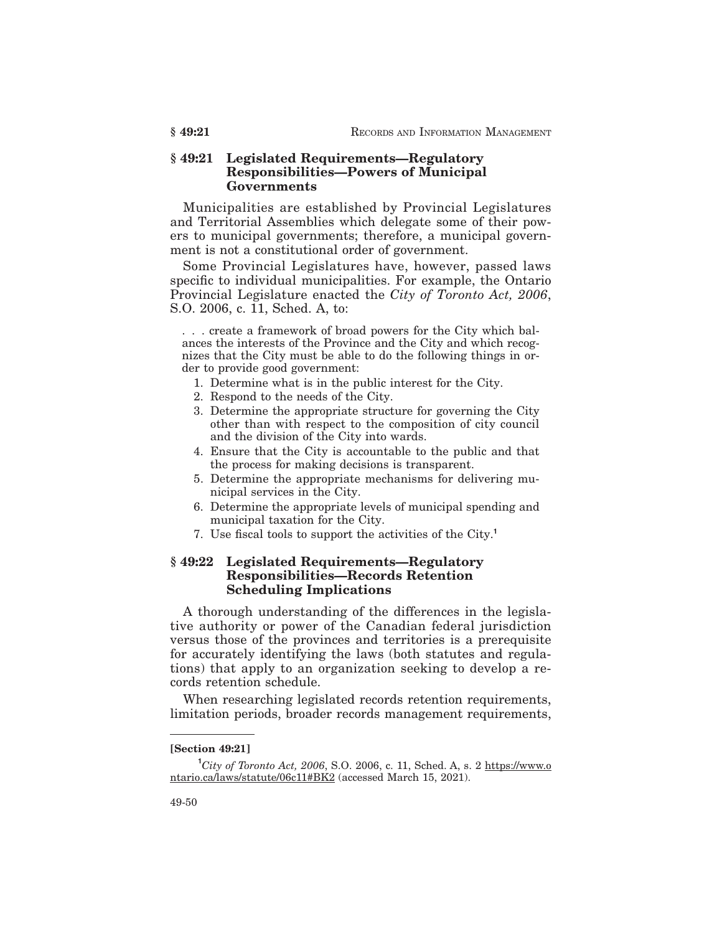# **§ 49:21 Legislated Requirements—Regulatory Responsibilities—Powers of Municipal Governments**

Municipalities are established by Provincial Legislatures and Territorial Assemblies which delegate some of their powers to municipal governments; therefore, a municipal government is not a constitutional order of government.

Some Provincial Legislatures have, however, passed laws specific to individual municipalities. For example, the Ontario Provincial Legislature enacted the *City of Toronto Act, 2006*, S.O. 2006, c. 11, Sched. A, to:

. . . create a framework of broad powers for the City which balances the interests of the Province and the City and which recognizes that the City must be able to do the following things in order to provide good government:

- 1. Determine what is in the public interest for the City.
- 2. Respond to the needs of the City.
- 3. Determine the appropriate structure for governing the City other than with respect to the composition of city council and the division of the City into wards.
- 4. Ensure that the City is accountable to the public and that the process for making decisions is transparent.
- 5. Determine the appropriate mechanisms for delivering municipal services in the City.
- 6. Determine the appropriate levels of municipal spending and municipal taxation for the City.
- 7. Use fiscal tools to support the activities of the City.**<sup>1</sup>**

### **§ 49:22 Legislated Requirements—Regulatory Responsibilities—Records Retention Scheduling Implications**

A thorough understanding of the differences in the legislative authority or power of the Canadian federal jurisdiction versus those of the provinces and territories is a prerequisite for accurately identifying the laws (both statutes and regulations) that apply to an organization seeking to develop a records retention schedule.

When researching legislated records retention requirements, limitation periods, broader records management requirements,

**<sup>[</sup>Section 49:21]**

**<sup>1</sup>** *City of Toronto Act, 2006*, S.O. 2006, c. 11, Sched. A, s. 2 https://www.o ntario.ca/laws/statute/06c11#BK2 (accessed March 15, 2021).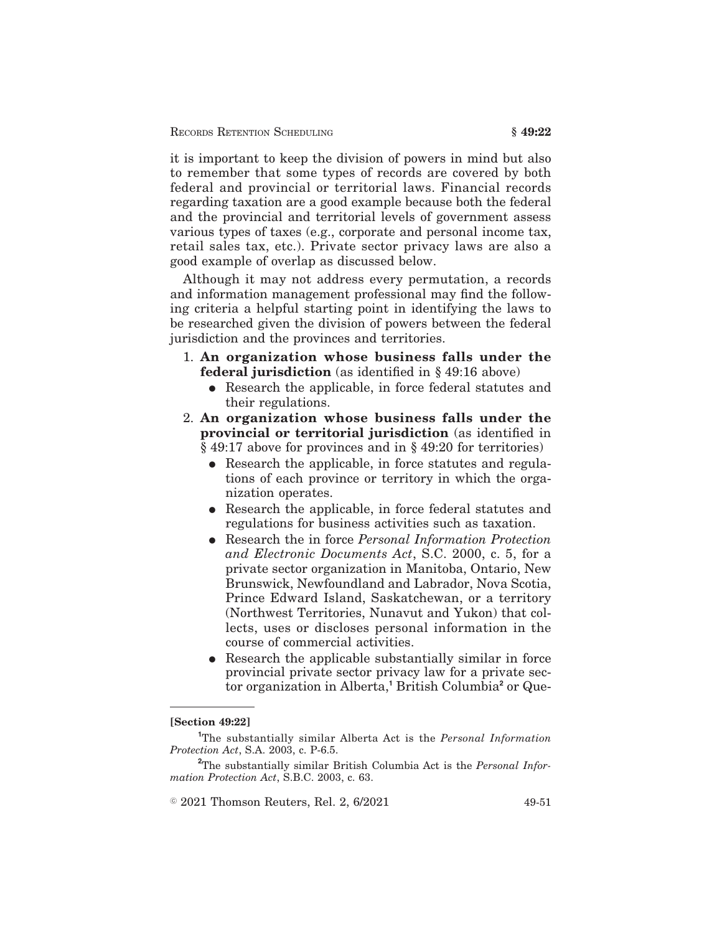it is important to keep the division of powers in mind but also to remember that some types of records are covered by both federal and provincial or territorial laws. Financial records regarding taxation are a good example because both the federal and the provincial and territorial levels of government assess various types of taxes (e.g., corporate and personal income tax, retail sales tax, etc.). Private sector privacy laws are also a good example of overlap as discussed below.

Although it may not address every permutation, a records and information management professional may find the following criteria a helpful starting point in identifying the laws to be researched given the division of powers between the federal jurisdiction and the provinces and territories.

- 1. **An organization whose business falls under the federal jurisdiction** (as identified in § 49:16 above)
	- Research the applicable, in force federal statutes and their regulations.
- 2. **An organization whose business falls under the provincial or territorial jurisdiction** (as identified in § 49:17 above for provinces and in § 49:20 for territories)
	- Research the applicable, in force statutes and regulations of each province or territory in which the organization operates.
	- Research the applicable, in force federal statutes and regulations for business activities such as taxation.
	- E Research the in force *Personal Information Protection and Electronic Documents Act*, S.C. 2000, c. 5, for a private sector organization in Manitoba, Ontario, New Brunswick, Newfoundland and Labrador, Nova Scotia, Prince Edward Island, Saskatchewan, or a territory (Northwest Territories, Nunavut and Yukon) that collects, uses or discloses personal information in the course of commercial activities.
	- Research the applicable substantially similar in force provincial private sector privacy law for a private sector organization in Alberta,**<sup>1</sup>** British Columbia**<sup>2</sup>** or Que-

### **[Section 49:22]**

**<sup>1</sup>** The substantially similar Alberta Act is the *Personal Information Protection Act*, S.A. 2003, c. P-6.5.

**<sup>2</sup>** The substantially similar British Columbia Act is the *Personal Information Protection Act*, S.B.C. 2003, c. 63.

 $\textdegree$  2021 Thomson Reuters, Rel. 2, 6/2021  $\textdegree$  49-51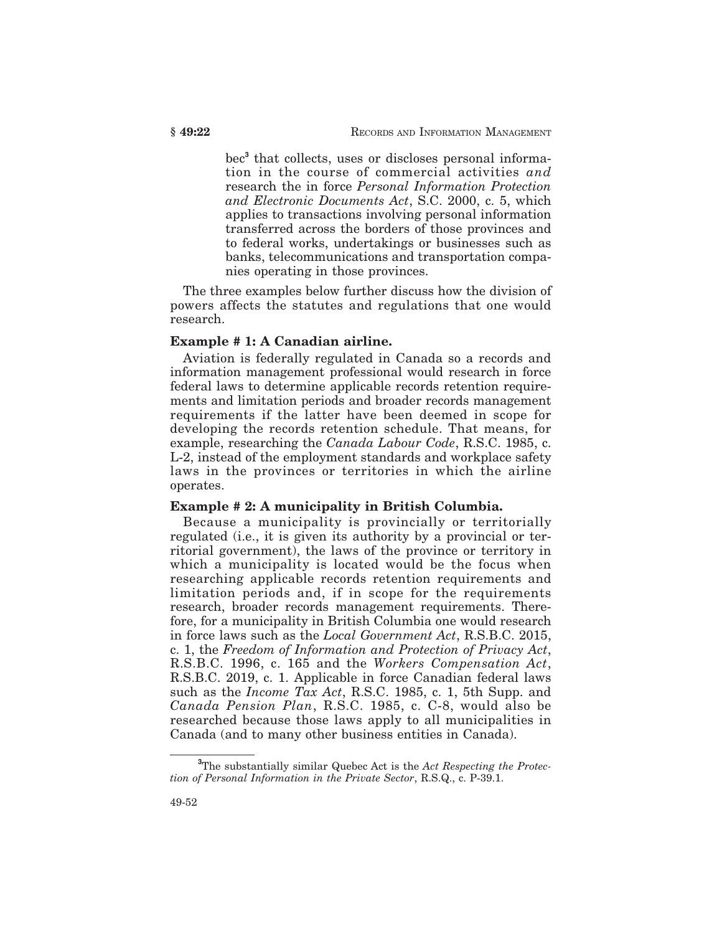bec**<sup>3</sup>** that collects, uses or discloses personal information in the course of commercial activities *and* research the in force *Personal Information Protection and Electronic Documents Act*, S.C. 2000, c. 5, which applies to transactions involving personal information transferred across the borders of those provinces and to federal works, undertakings or businesses such as banks, telecommunications and transportation companies operating in those provinces.

The three examples below further discuss how the division of powers affects the statutes and regulations that one would research.

### **Example # 1: A Canadian airline.**

Aviation is federally regulated in Canada so a records and information management professional would research in force federal laws to determine applicable records retention requirements and limitation periods and broader records management requirements if the latter have been deemed in scope for developing the records retention schedule. That means, for example, researching the *Canada Labour Code*, R.S.C. 1985, c. L-2, instead of the employment standards and workplace safety laws in the provinces or territories in which the airline operates.

### **Example # 2: A municipality in British Columbia.**

Because a municipality is provincially or territorially regulated (i.e., it is given its authority by a provincial or territorial government), the laws of the province or territory in which a municipality is located would be the focus when researching applicable records retention requirements and limitation periods and, if in scope for the requirements research, broader records management requirements. Therefore, for a municipality in British Columbia one would research in force laws such as the *Local Government Act*, R.S.B.C. 2015, c. 1, the *Freedom of Information and Protection of Privacy Act*, R.S.B.C. 1996, c. 165 and the *Workers Compensation Act*, R.S.B.C. 2019, c. 1. Applicable in force Canadian federal laws such as the *Income Tax Act*, R.S.C. 1985, c. 1, 5th Supp. and *Canada Pension Plan*, R.S.C. 1985, c. C-8, would also be researched because those laws apply to all municipalities in Canada (and to many other business entities in Canada).

**<sup>3</sup>** The substantially similar Quebec Act is the *Act Respecting the Protection of Personal Information in the Private Sector*, R.S.Q., c. P-39.1.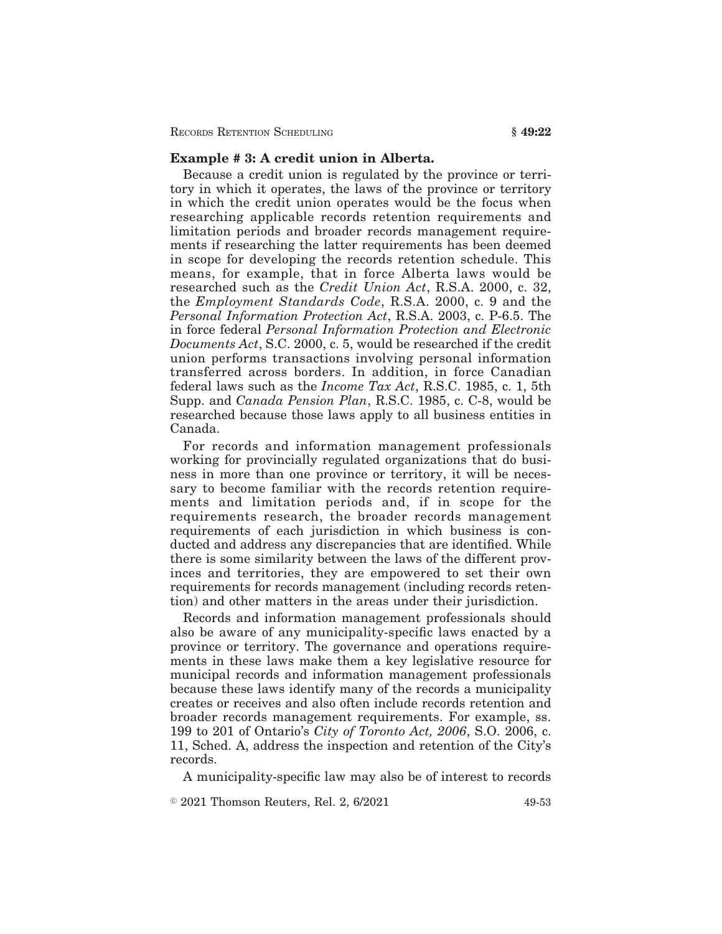### **Example # 3: A credit union in Alberta.**

Because a credit union is regulated by the province or territory in which it operates, the laws of the province or territory in which the credit union operates would be the focus when researching applicable records retention requirements and limitation periods and broader records management requirements if researching the latter requirements has been deemed in scope for developing the records retention schedule. This means, for example, that in force Alberta laws would be researched such as the *Credit Union Act*, R.S.A. 2000, c. 32, the *Employment Standards Code*, R.S.A. 2000, c. 9 and the *Personal Information Protection Act*, R.S.A. 2003, c. P-6.5. The in force federal *Personal Information Protection and Electronic Documents Act*, S.C. 2000, c. 5, would be researched if the credit union performs transactions involving personal information transferred across borders. In addition, in force Canadian federal laws such as the *Income Tax Act*, R.S.C. 1985, c. 1, 5th Supp. and *Canada Pension Plan*, R.S.C. 1985, c. C-8, would be researched because those laws apply to all business entities in Canada.

For records and information management professionals working for provincially regulated organizations that do business in more than one province or territory, it will be necessary to become familiar with the records retention requirements and limitation periods and, if in scope for the requirements research, the broader records management requirements of each jurisdiction in which business is conducted and address any discrepancies that are identified. While there is some similarity between the laws of the different provinces and territories, they are empowered to set their own requirements for records management (including records retention) and other matters in the areas under their jurisdiction.

Records and information management professionals should also be aware of any municipality-specific laws enacted by a province or territory. The governance and operations requirements in these laws make them a key legislative resource for municipal records and information management professionals because these laws identify many of the records a municipality creates or receives and also often include records retention and broader records management requirements. For example, ss. 199 to 201 of Ontario's *City of Toronto Act, 2006*, S.O. 2006, c. 11, Sched. A, address the inspection and retention of the City's records.

A municipality-specific law may also be of interest to records

 $\degree$  2021 Thomson Reuters, Rel. 2, 6/2021 49-53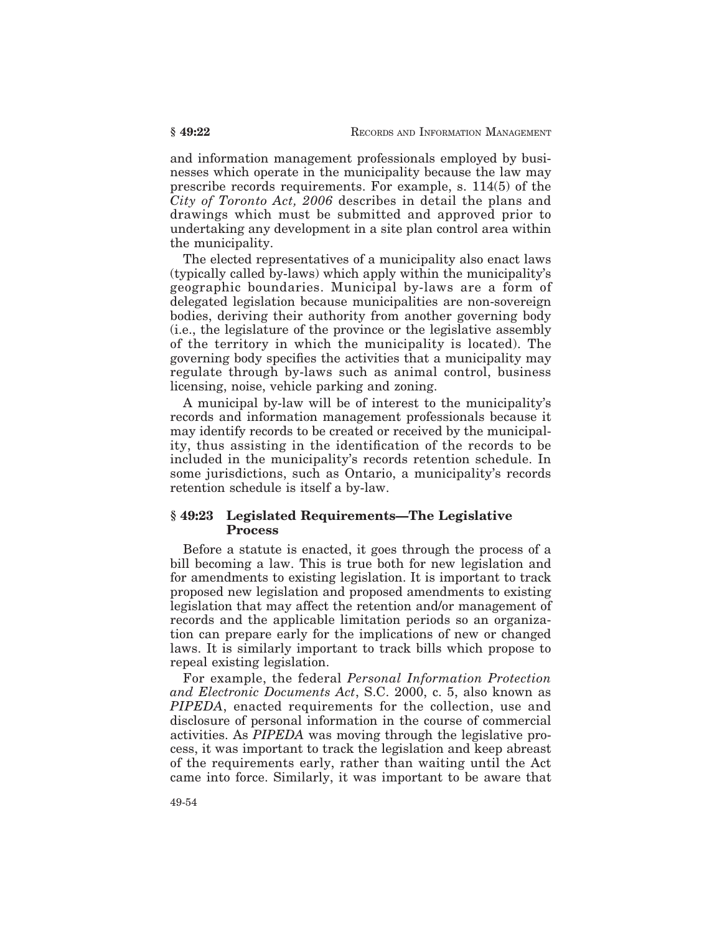and information management professionals employed by businesses which operate in the municipality because the law may prescribe records requirements. For example, s. 114(5) of the *City of Toronto Act, 2006* describes in detail the plans and drawings which must be submitted and approved prior to undertaking any development in a site plan control area within the municipality.

The elected representatives of a municipality also enact laws (typically called by-laws) which apply within the municipality's geographic boundaries. Municipal by-laws are a form of delegated legislation because municipalities are non-sovereign bodies, deriving their authority from another governing body (i.e., the legislature of the province or the legislative assembly of the territory in which the municipality is located). The governing body specifies the activities that a municipality may regulate through by-laws such as animal control, business licensing, noise, vehicle parking and zoning.

A municipal by-law will be of interest to the municipality's records and information management professionals because it may identify records to be created or received by the municipality, thus assisting in the identification of the records to be included in the municipality's records retention schedule. In some jurisdictions, such as Ontario, a municipality's records retention schedule is itself a by-law.

### **§ 49:23 Legislated Requirements—The Legislative Process**

Before a statute is enacted, it goes through the process of a bill becoming a law. This is true both for new legislation and for amendments to existing legislation. It is important to track proposed new legislation and proposed amendments to existing legislation that may affect the retention and/or management of records and the applicable limitation periods so an organization can prepare early for the implications of new or changed laws. It is similarly important to track bills which propose to repeal existing legislation.

For example, the federal *Personal Information Protection and Electronic Documents Act*, S.C. 2000, c. 5, also known as *PIPEDA*, enacted requirements for the collection, use and disclosure of personal information in the course of commercial activities. As *PIPEDA* was moving through the legislative process, it was important to track the legislation and keep abreast of the requirements early, rather than waiting until the Act came into force. Similarly, it was important to be aware that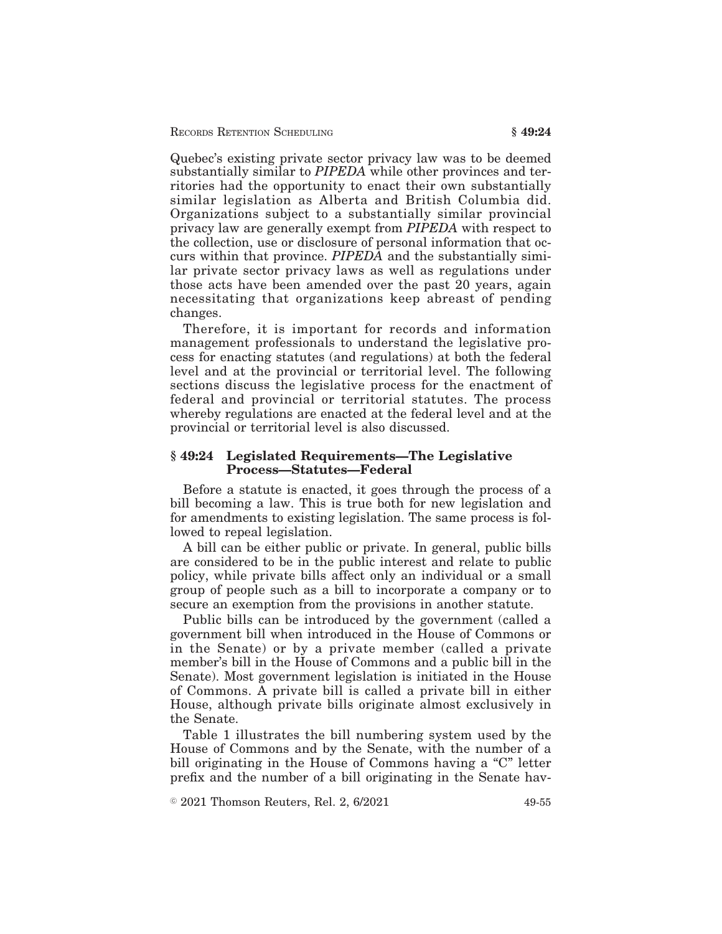Quebec's existing private sector privacy law was to be deemed substantially similar to *PIPEDA* while other provinces and territories had the opportunity to enact their own substantially similar legislation as Alberta and British Columbia did. Organizations subject to a substantially similar provincial privacy law are generally exempt from *PIPEDA* with respect to the collection, use or disclosure of personal information that occurs within that province. *PIPEDA* and the substantially similar private sector privacy laws as well as regulations under those acts have been amended over the past 20 years, again necessitating that organizations keep abreast of pending changes.

Therefore, it is important for records and information management professionals to understand the legislative process for enacting statutes (and regulations) at both the federal level and at the provincial or territorial level. The following sections discuss the legislative process for the enactment of federal and provincial or territorial statutes. The process whereby regulations are enacted at the federal level and at the provincial or territorial level is also discussed.

# **§ 49:24 Legislated Requirements—The Legislative Process—Statutes—Federal**

Before a statute is enacted, it goes through the process of a bill becoming a law. This is true both for new legislation and for amendments to existing legislation. The same process is followed to repeal legislation.

A bill can be either public or private. In general, public bills are considered to be in the public interest and relate to public policy, while private bills affect only an individual or a small group of people such as a bill to incorporate a company or to secure an exemption from the provisions in another statute.

Public bills can be introduced by the government (called a government bill when introduced in the House of Commons or in the Senate) or by a private member (called a private member's bill in the House of Commons and a public bill in the Senate). Most government legislation is initiated in the House of Commons. A private bill is called a private bill in either House, although private bills originate almost exclusively in the Senate.

Table 1 illustrates the bill numbering system used by the House of Commons and by the Senate, with the number of a bill originating in the House of Commons having a "C" letter prefix and the number of a bill originating in the Senate hav-

 $\degree$  2021 Thomson Reuters, Rel. 2, 6/2021 49-55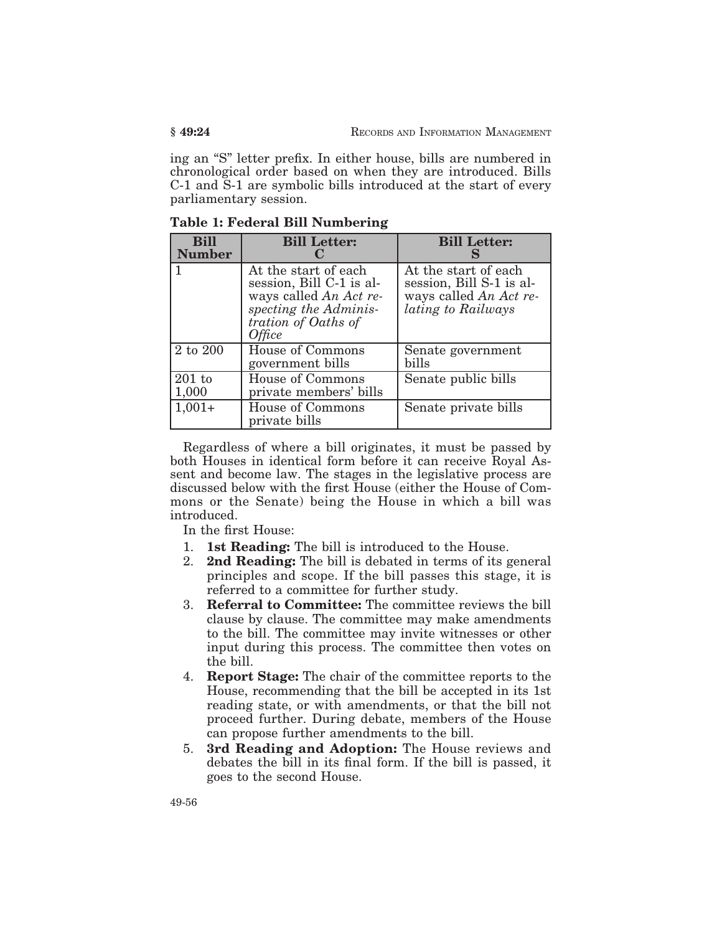ing an "S" letter prefix. In either house, bills are numbered in chronological order based on when they are introduced. Bills C-1 and S-1 are symbolic bills introduced at the start of every parliamentary session.

| <b>Bill</b><br><b>Number</b> | <b>Bill Letter:</b>                                                                                                                         | <b>Bill Letter:</b>                                                                              |
|------------------------------|---------------------------------------------------------------------------------------------------------------------------------------------|--------------------------------------------------------------------------------------------------|
|                              | At the start of each<br>session, Bill C-1 is al-<br>ways called An Act re-<br>specting the Adminis-<br>tration of Oaths of<br><i>Office</i> | At the start of each<br>session, Bill S-1 is al-<br>ways called An Act re-<br>lating to Railways |
| 2 to 200                     | <b>House of Commons</b><br>government bills                                                                                                 | Senate government<br>bills                                                                       |
| $201$ to<br>1,000            | <b>House of Commons</b><br>private members' bills                                                                                           | Senate public bills                                                                              |
| $1,001+$                     | <b>House of Commons</b><br>private bills                                                                                                    | Senate private bills                                                                             |

**Table 1: Federal Bill Numbering**

Regardless of where a bill originates, it must be passed by both Houses in identical form before it can receive Royal Assent and become law. The stages in the legislative process are discussed below with the first House (either the House of Commons or the Senate) being the House in which a bill was introduced.

In the first House:

- 1. **1st Reading:** The bill is introduced to the House.
- 2. **2nd Reading:** The bill is debated in terms of its general principles and scope. If the bill passes this stage, it is referred to a committee for further study.
- 3. **Referral to Committee:** The committee reviews the bill clause by clause. The committee may make amendments to the bill. The committee may invite witnesses or other input during this process. The committee then votes on the bill.
- 4. **Report Stage:** The chair of the committee reports to the House, recommending that the bill be accepted in its 1st reading state, or with amendments, or that the bill not proceed further. During debate, members of the House can propose further amendments to the bill.
- 5. **3rd Reading and Adoption:** The House reviews and debates the bill in its final form. If the bill is passed, it goes to the second House.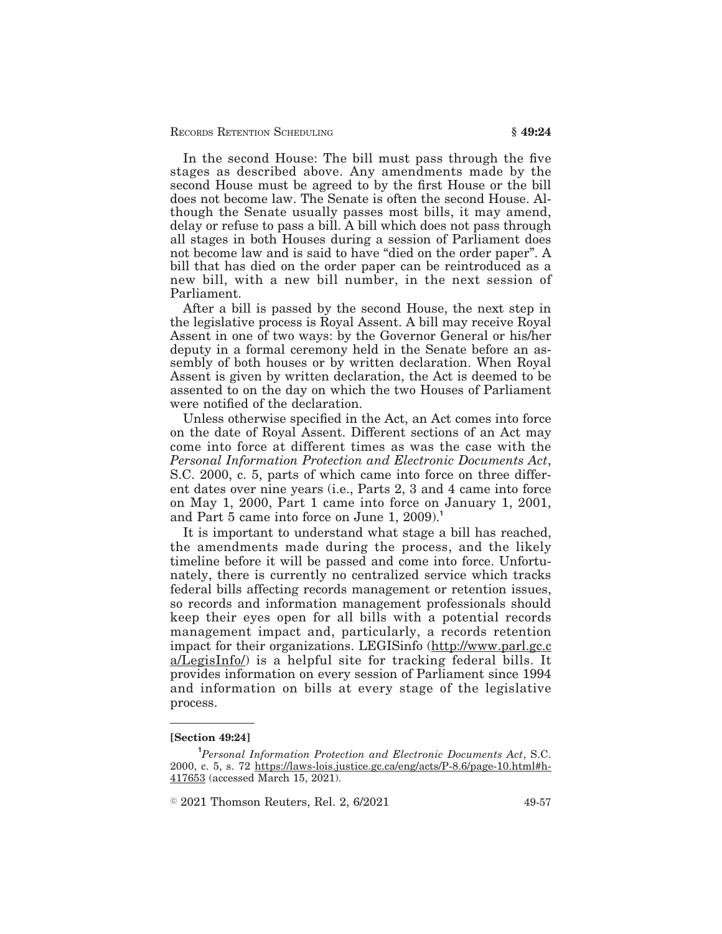In the second House: The bill must pass through the five stages as described above. Any amendments made by the second House must be agreed to by the first House or the bill does not become law. The Senate is often the second House. Although the Senate usually passes most bills, it may amend, delay or refuse to pass a bill. A bill which does not pass through all stages in both Houses during a session of Parliament does not become law and is said to have "died on the order paper". A bill that has died on the order paper can be reintroduced as a new bill, with a new bill number, in the next session of Parliament.

After a bill is passed by the second House, the next step in the legislative process is Royal Assent. A bill may receive Royal Assent in one of two ways: by the Governor General or his/her deputy in a formal ceremony held in the Senate before an assembly of both houses or by written declaration. When Royal Assent is given by written declaration, the Act is deemed to be assented to on the day on which the two Houses of Parliament were notified of the declaration.

Unless otherwise specified in the Act, an Act comes into force on the date of Royal Assent. Different sections of an Act may come into force at different times as was the case with the *Personal Information Protection and Electronic Documents Act*, S.C. 2000, c. 5, parts of which came into force on three different dates over nine years (i.e., Parts 2, 3 and 4 came into force on May 1, 2000, Part 1 came into force on January 1, 2001, and Part 5 came into force on June 1, 2009).**<sup>1</sup>**

It is important to understand what stage a bill has reached, the amendments made during the process, and the likely timeline before it will be passed and come into force. Unfortunately, there is currently no centralized service which tracks federal bills affecting records management or retention issues, so records and information management professionals should keep their eyes open for all bills with a potential records management impact and, particularly, a records retention impact for their organizations. LEGISinfo (http://www.parl.gc.c a/LegisInfo/) is a helpful site for tracking federal bills. It provides information on every session of Parliament since 1994 and information on bills at every stage of the legislative process.

### **[Section 49:24]**

 $\textcircled{\textdegree}$  2021 Thomson Reuters, Rel. 2, 6/2021  $\textcircled{\textdegree}$  49-57

**<sup>1</sup>** *Personal Information Protection and Electronic Documents Act*, S.C. 2000, c. 5, s. 72 https://laws-lois.justice.gc.ca/eng/acts/P-8.6/page-10.html#h-417653 (accessed March 15, 2021).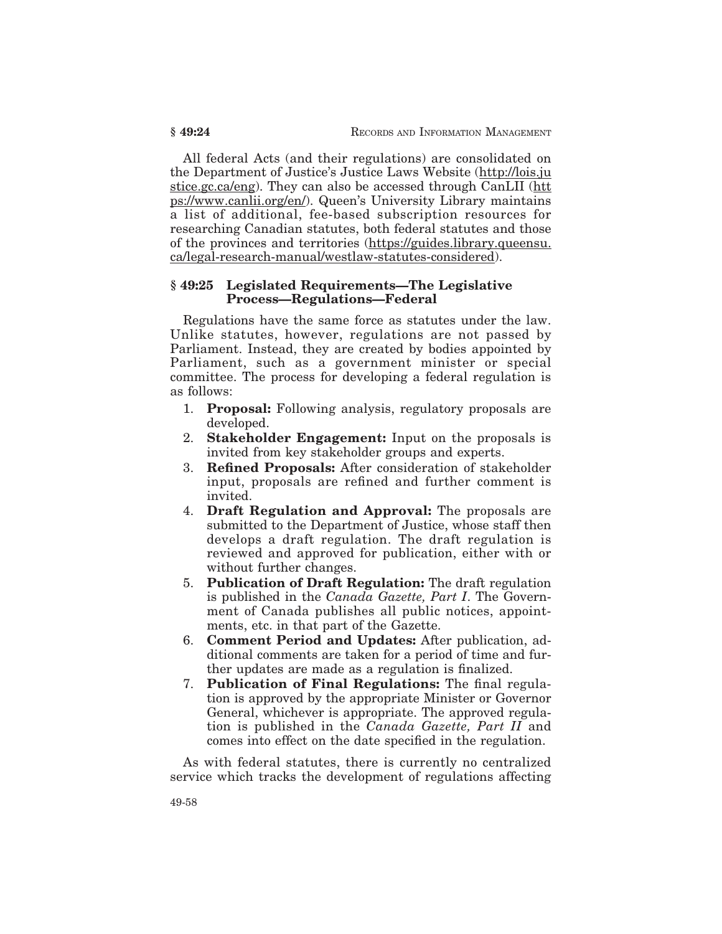All federal Acts (and their regulations) are consolidated on the Department of Justice's Justice Laws Website (http://lois.ju stice.gc.ca/eng). They can also be accessed through CanLII (htt ps://www.canlii.org/en/). Queen's University Library maintains a list of additional, fee-based subscription resources for researching Canadian statutes, both federal statutes and those of the provinces and territories (https://guides.library.queensu. ca/legal-research-manual/westlaw-statutes-considered).

# **§ 49:25 Legislated Requirements—The Legislative Process—Regulations—Federal**

Regulations have the same force as statutes under the law. Unlike statutes, however, regulations are not passed by Parliament. Instead, they are created by bodies appointed by Parliament, such as a government minister or special committee. The process for developing a federal regulation is as follows:

- 1. **Proposal:** Following analysis, regulatory proposals are developed.
- 2. **Stakeholder Engagement:** Input on the proposals is invited from key stakeholder groups and experts.
- 3. **Refined Proposals:** After consideration of stakeholder input, proposals are refined and further comment is invited.
- 4. **Draft Regulation and Approval:** The proposals are submitted to the Department of Justice, whose staff then develops a draft regulation. The draft regulation is reviewed and approved for publication, either with or without further changes.
- 5. **Publication of Draft Regulation:** The draft regulation is published in the *Canada Gazette, Part I*. The Government of Canada publishes all public notices, appointments, etc. in that part of the Gazette.
- 6. **Comment Period and Updates:** After publication, additional comments are taken for a period of time and further updates are made as a regulation is finalized.
- 7. **Publication of Final Regulations:** The final regulation is approved by the appropriate Minister or Governor General, whichever is appropriate. The approved regulation is published in the *Canada Gazette, Part II* and comes into effect on the date specified in the regulation.

As with federal statutes, there is currently no centralized service which tracks the development of regulations affecting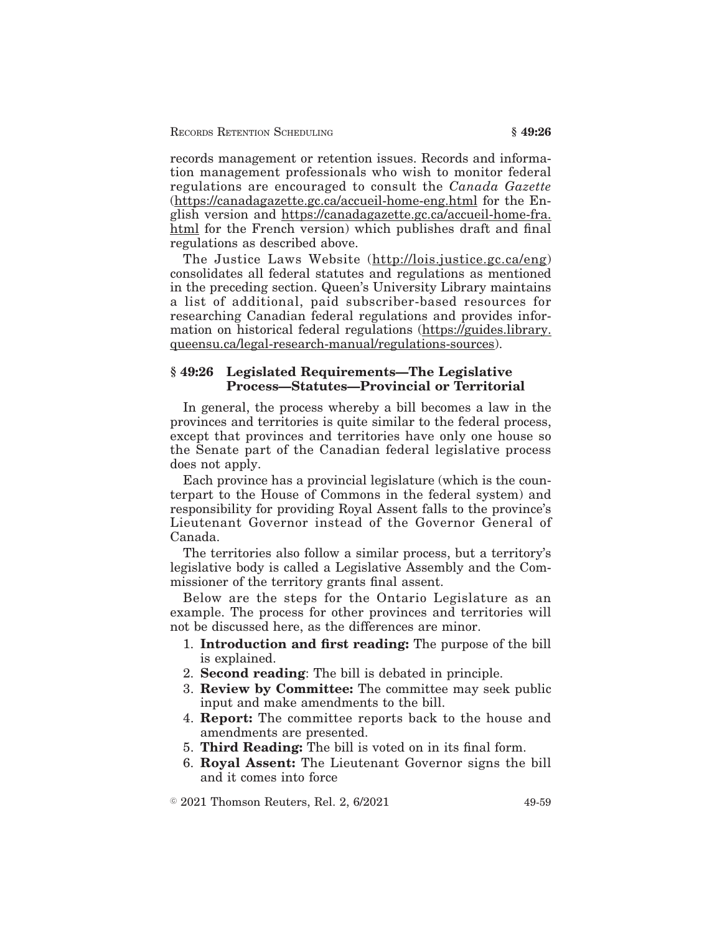records management or retention issues. Records and information management professionals who wish to monitor federal regulations are encouraged to consult the *Canada Gazette* (https://canadagazette.gc.ca/accueil-home-eng.html for the English version and https://canadagazette.gc.ca/accueil-home-fra. html for the French version) which publishes draft and final regulations as described above.

The Justice Laws Website (http://lois.justice.gc.ca/eng) consolidates all federal statutes and regulations as mentioned in the preceding section. Queen's University Library maintains a list of additional, paid subscriber-based resources for researching Canadian federal regulations and provides information on historical federal regulations (https://guides.library. queensu.ca/legal-research-manual/regulations-sources).

### **§ 49:26 Legislated Requirements—The Legislative Process—Statutes—Provincial or Territorial**

In general, the process whereby a bill becomes a law in the provinces and territories is quite similar to the federal process, except that provinces and territories have only one house so the Senate part of the Canadian federal legislative process does not apply.

Each province has a provincial legislature (which is the counterpart to the House of Commons in the federal system) and responsibility for providing Royal Assent falls to the province's Lieutenant Governor instead of the Governor General of Canada.

The territories also follow a similar process, but a territory's legislative body is called a Legislative Assembly and the Commissioner of the territory grants final assent.

Below are the steps for the Ontario Legislature as an example. The process for other provinces and territories will not be discussed here, as the differences are minor.

- 1. **Introduction and first reading:** The purpose of the bill is explained.
- 2. **Second reading**: The bill is debated in principle.
- 3. **Review by Committee:** The committee may seek public input and make amendments to the bill.
- 4. **Report:** The committee reports back to the house and amendments are presented.
- 5. **Third Reading:** The bill is voted on in its final form.
- 6. **Royal Assent:** The Lieutenant Governor signs the bill and it comes into force

 $\textcircled{\textdegree}$  2021 Thomson Reuters, Rel. 2, 6/2021  $\textcircled{\textdegree}$  49-59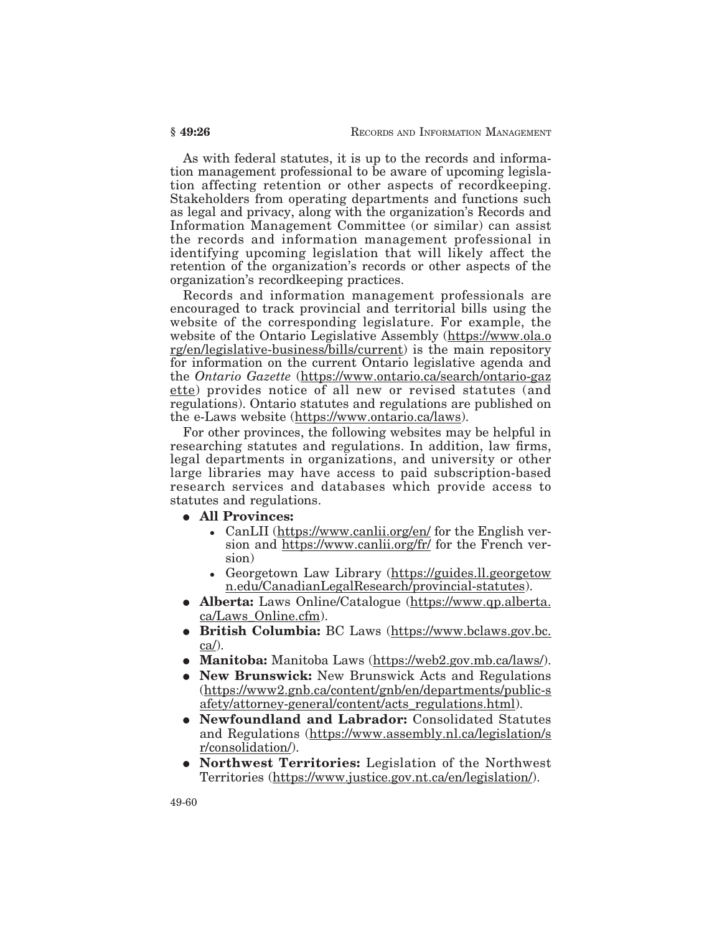As with federal statutes, it is up to the records and information management professional to be aware of upcoming legislation affecting retention or other aspects of recordkeeping. Stakeholders from operating departments and functions such as legal and privacy, along with the organization's Records and Information Management Committee (or similar) can assist the records and information management professional in identifying upcoming legislation that will likely affect the retention of the organization's records or other aspects of the organization's recordkeeping practices.

Records and information management professionals are encouraged to track provincial and territorial bills using the website of the corresponding legislature. For example, the website of the Ontario Legislative Assembly (https://www.ola.o rg/en/legislative-business/bills/current) is the main repository for information on the current Ontario legislative agenda and the *Ontario Gazette* (https://www.ontario.ca/search/ontario-gaz ette) provides notice of all new or revised statutes (and regulations). Ontario statutes and regulations are published on the e-Laws website (https://www.ontario.ca/laws).

For other provinces, the following websites may be helpful in researching statutes and regulations. In addition, law firms, legal departments in organizations, and university or other large libraries may have access to paid subscription-based research services and databases which provide access to statutes and regulations.

- E **All Provinces:**
	- CanLII (https://www.canlii.org/en/ for the English version and https://www.canlii.org/fr/ for the French version)
	- Georgetown Law Library (https://guides.ll.georgetow n.edu/CanadianLegalResearch/provincial-statutes).
- E **Alberta:** Laws Online/Catalogue (https://www.qp.alberta. ca/Laws\_Online.cfm).
- **British Columbia:** BC Laws (https://www.bclaws.gov.bc.) ca/).
- E **Manitoba:** Manitoba Laws (https://web2.gov.mb.ca/laws/).
- **New Brunswick:** New Brunswick Acts and Regulations (https://www2.gnb.ca/content/gnb/en/departments/public-s afety/attorney-general/content/acts\_regulations.html).
- E **Newfoundland and Labrador:** Consolidated Statutes and Regulations (https://www.assembly.nl.ca/legislation/s r/consolidation/).
- **Northwest Territories:** Legislation of the Northwest Territories (https://www.justice.gov.nt.ca/en/legislation/).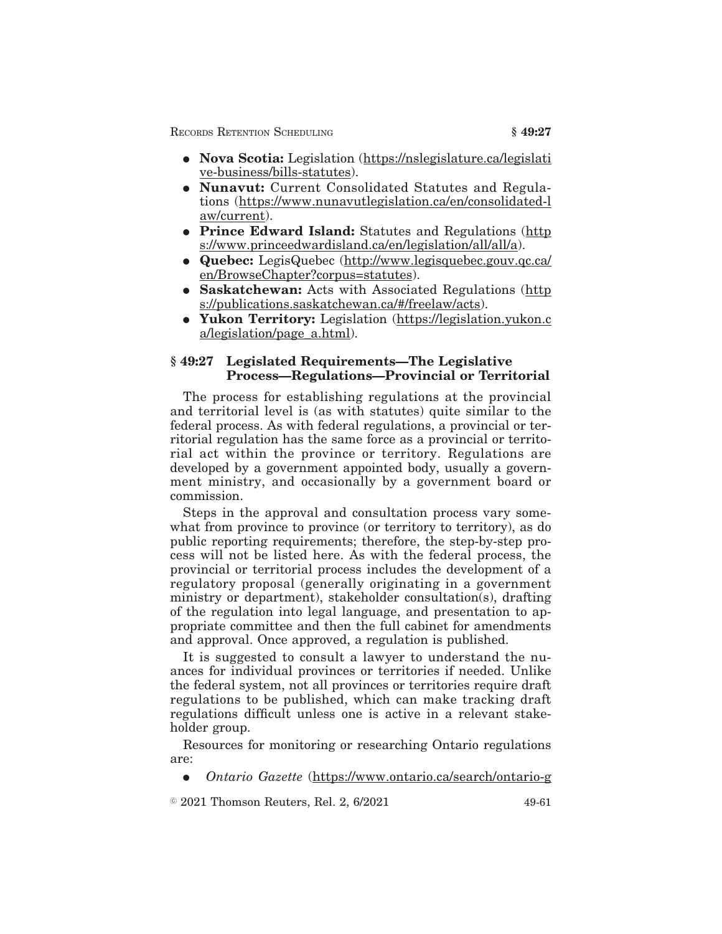- **Nova Scotia:** Legislation (https://nslegislature.ca/legislati ve-business/bills-statutes).
- E **Nunavut:** Current Consolidated Statutes and Regulations (https://www.nunavutlegislation.ca/en/consolidated-l aw/current).
- **Prince Edward Island:** Statutes and Regulations (http s://www.princeedwardisland.ca/en/legislation/all/all/a).
- E **Quebec:** LegisQuebec (http://www.legisquebec.gouv.qc.ca/ en/BrowseChapter?corpus=statutes).
- **Saskatchewan:** Acts with Associated Regulations (http s://publications.saskatchewan.ca/#/freelaw/acts).
- **Yukon Territory:** Legislation (https://legislation.yukon.c a/legislation/page\_a.html).

# **§ 49:27 Legislated Requirements—The Legislative Process—Regulations—Provincial or Territorial**

The process for establishing regulations at the provincial and territorial level is (as with statutes) quite similar to the federal process. As with federal regulations, a provincial or territorial regulation has the same force as a provincial or territorial act within the province or territory. Regulations are developed by a government appointed body, usually a government ministry, and occasionally by a government board or commission.

Steps in the approval and consultation process vary somewhat from province to province (or territory to territory), as do public reporting requirements; therefore, the step-by-step process will not be listed here. As with the federal process, the provincial or territorial process includes the development of a regulatory proposal (generally originating in a government ministry or department), stakeholder consultation(s), drafting of the regulation into legal language, and presentation to appropriate committee and then the full cabinet for amendments and approval. Once approved, a regulation is published.

It is suggested to consult a lawyer to understand the nuances for individual provinces or territories if needed. Unlike the federal system, not all provinces or territories require draft regulations to be published, which can make tracking draft regulations difficult unless one is active in a relevant stakeholder group.

Resources for monitoring or researching Ontario regulations are:

E *Ontario Gazette* (https://www.ontario.ca/search/ontario-g

 $\textcircled{2021}$  Thomson Reuters, Rel. 2, 6/2021 49-61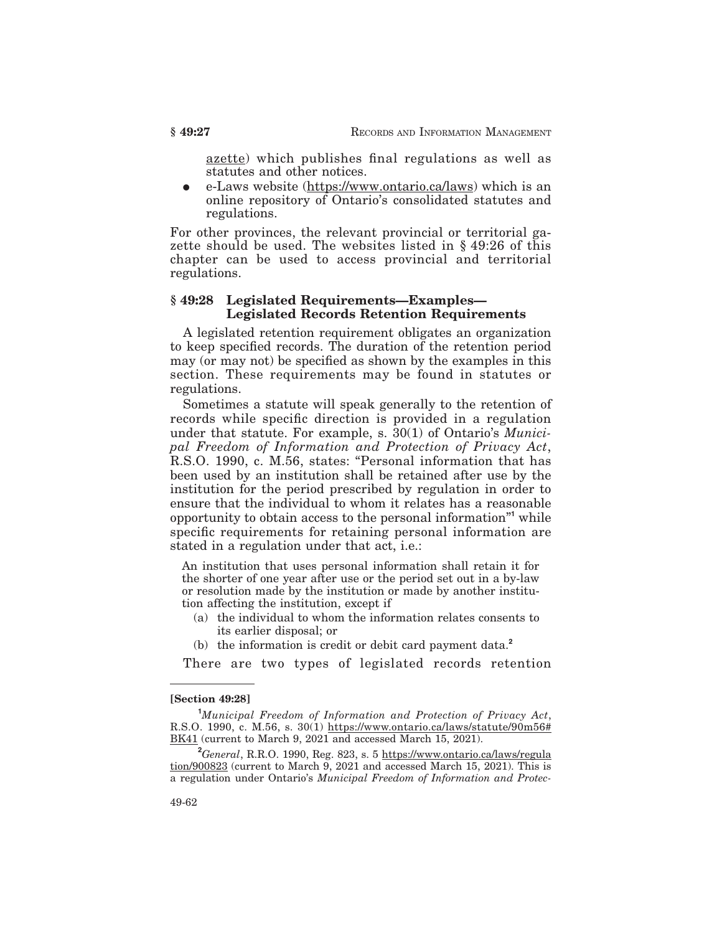azette) which publishes final regulations as well as statutes and other notices.

e-Laws website (https://www.ontario.ca/laws) which is an online repository of Ontario's consolidated statutes and regulations.

For other provinces, the relevant provincial or territorial gazette should be used. The websites listed in § 49:26 of this chapter can be used to access provincial and territorial regulations.

### **§ 49:28 Legislated Requirements—Examples— Legislated Records Retention Requirements**

A legislated retention requirement obligates an organization to keep specified records. The duration of the retention period may (or may not) be specified as shown by the examples in this section. These requirements may be found in statutes or regulations.

Sometimes a statute will speak generally to the retention of records while specific direction is provided in a regulation under that statute. For example, s. 30(1) of Ontario's *Municipal Freedom of Information and Protection of Privacy Act*, R.S.O. 1990, c. M.56, states: "Personal information that has been used by an institution shall be retained after use by the institution for the period prescribed by regulation in order to ensure that the individual to whom it relates has a reasonable opportunity to obtain access to the personal information"**<sup>1</sup>** while specific requirements for retaining personal information are stated in a regulation under that act, i.e.:

An institution that uses personal information shall retain it for the shorter of one year after use or the period set out in a by-law or resolution made by the institution or made by another institution affecting the institution, except if

- (a) the individual to whom the information relates consents to its earlier disposal; or
- (b) the information is credit or debit card payment data.**<sup>2</sup>**

There are two types of legislated records retention

# **[Section 49:28]**

**2** *General*, R.R.O. 1990, Reg. 823, s. 5 https://www.ontario.ca/laws/regula tion/900823 (current to March 9, 2021 and accessed March 15, 2021). This is a regulation under Ontario's *Municipal Freedom of Information and Protec-*

**<sup>1</sup>** *Municipal Freedom of Information and Protection of Privacy Act*, R.S.O. 1990, c. M.56, s. 30(1) https://www.ontario.ca/laws/statute/90m56# BK41 (current to March 9, 2021 and accessed March 15, 2021).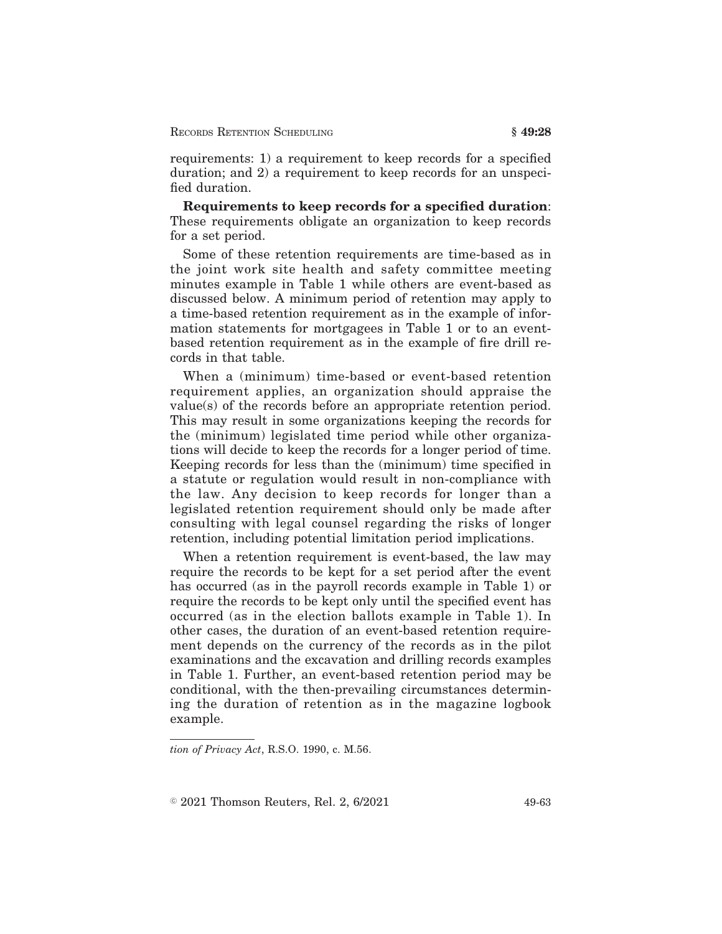requirements: 1) a requirement to keep records for a specified duration; and 2) a requirement to keep records for an unspecified duration.

**Requirements to keep records for a specified duration**: These requirements obligate an organization to keep records for a set period.

Some of these retention requirements are time-based as in the joint work site health and safety committee meeting minutes example in Table 1 while others are event-based as discussed below. A minimum period of retention may apply to a time-based retention requirement as in the example of information statements for mortgagees in Table 1 or to an eventbased retention requirement as in the example of fire drill records in that table.

When a (minimum) time-based or event-based retention requirement applies, an organization should appraise the value(s) of the records before an appropriate retention period. This may result in some organizations keeping the records for the (minimum) legislated time period while other organizations will decide to keep the records for a longer period of time. Keeping records for less than the (minimum) time specified in a statute or regulation would result in non-compliance with the law. Any decision to keep records for longer than a legislated retention requirement should only be made after consulting with legal counsel regarding the risks of longer retention, including potential limitation period implications.

When a retention requirement is event-based, the law may require the records to be kept for a set period after the event has occurred (as in the payroll records example in Table 1) or require the records to be kept only until the specified event has occurred (as in the election ballots example in Table 1). In other cases, the duration of an event-based retention requirement depends on the currency of the records as in the pilot examinations and the excavation and drilling records examples in Table 1. Further, an event-based retention period may be conditional, with the then-prevailing circumstances determining the duration of retention as in the magazine logbook example.

 $\textcircled{\textdegree}$  2021 Thomson Reuters, Rel. 2, 6/2021  $\textcircled{\textdegree}$  49-63

*tion of Privacy Act*, R.S.O. 1990, c. M.56.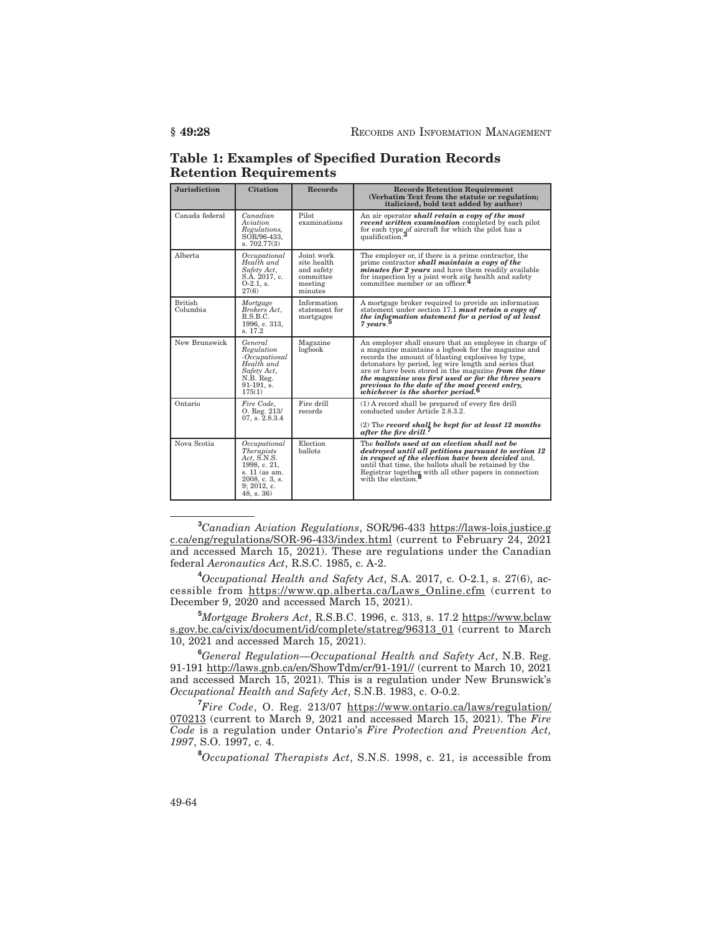| <b>Jurisdiction</b>        | <b>Citation</b>                                                                                                                 | <b>Records</b>                                                             | <b>Records Retention Requirement</b><br>(Verbatim Text from the statute or regulation;<br>italicized, bold text added by author)                                                                                                                                                                                                                                                                                                               |
|----------------------------|---------------------------------------------------------------------------------------------------------------------------------|----------------------------------------------------------------------------|------------------------------------------------------------------------------------------------------------------------------------------------------------------------------------------------------------------------------------------------------------------------------------------------------------------------------------------------------------------------------------------------------------------------------------------------|
| Canada federal             | Canadian<br>Aviation<br>Regulations,<br>SOR/96-433,<br>s. 702.77(3)                                                             | Pilot.<br>examinations                                                     | An air operator shall retain a copy of the most<br><b>recent written examination</b> completed by each pilot<br>for each type of aircraft for which the pilot has a<br>qualification. <sup>3</sup>                                                                                                                                                                                                                                             |
| Alberta                    | Occupational<br>Health and<br>Safety Act,<br>S.A. 2017, c.<br>$O-2.1$ , s.<br>27(6)                                             | Joint work<br>site health<br>and safety<br>committee<br>meeting<br>minutes | The employer or, if there is a prime contractor, the<br>prime contractor shall maintain a copy of the<br><i>minutes for 2 years</i> and have them readily available<br>for inspection by a joint work site health and safety<br>committee member or an officer.                                                                                                                                                                                |
| <b>British</b><br>Columbia | Mortgage<br>Brokers Act.<br>R.S.B.C.<br>1996, c. 313,<br>s. 17.2                                                                | Information<br>statement for<br>mortgagee                                  | A mortgage broker required to provide an information<br>statement under section 17.1 must retain a copy of<br>the information statement for a period of at least<br>$7 \, years.$ <sup>5</sup>                                                                                                                                                                                                                                                 |
| New Brunswick              | General<br>Regulation<br>$-Occupational$<br>Health and<br>Safety Act,<br>N.B. Reg.<br>91-191, s.<br>175(1)                      | Magazine<br>logbook                                                        | An employer shall ensure that an employee in charge of<br>a magazine maintains a logbook for the magazine and<br>records the amount of blasting explosives by type,<br>detonators by period, leg wire length and series that<br>are or have been stored in the magazine from the time<br>the magazine was first used or for the three years<br>previous to the date of the most recent entry,<br>whichever is the shorter period. <sup>b</sup> |
| Ontario                    | Fire Code,<br>$O.$ Reg. $213/$<br>07, s. 2.8.3.4                                                                                | Fire drill<br>records                                                      | (1) A record shall be prepared of every fire drill<br>conducted under Article 2.8.3.2.<br>$(2)$ The record shall be kept for at least 12 months<br>after the fire drill.                                                                                                                                                                                                                                                                       |
| Nova Scotia                | Occupational<br><i>Therapists</i><br>Act, S.N.S.<br>1998, c. 21,<br>s. 11 (as am.<br>2008, c. 3, s.<br>9; 2012, c.<br>48, s. 36 | Election<br>ballots                                                        | The <b>ballots</b> used at an election shall not be<br>destroyed until all petitions pursuant to section 12<br>in respect of the election have been decided and,<br>until that time, the ballots shall be retained by the<br>Registrar together with all other papers in connection<br>with the election. <sup>8</sup>                                                                                                                         |

# **Table 1: Examples of Specified Duration Records Retention Requirements**

**3** *Canadian Aviation Regulations*, SOR/96-433 https://laws-lois.justice.g c.ca/eng/regulations/SOR-96-433/index.html (current to February 24, 2021 and accessed March 15, 2021). These are regulations under the Canadian federal *Aeronautics Act*, R.S.C. 1985, c. A-2.

**4** *Occupational Health and Safety Act*, S.A. 2017, c. O-2.1, s. 27(6), accessible from https://www.qp.alberta.ca/Laws\_Online.cfm (current to December 9, 2020 and accessed March 15, 2021).

**5** *Mortgage Brokers Act*, R.S.B.C. 1996, c. 313, s. 17.2 https://www.bclaw s.gov.bc.ca/civix/document/id/complete/statreg/96313\_01 (current to March 10, 2021 and accessed March 15, 2021).

**6** *General Regulation—Occupational Health and Safety Act*, N.B. Reg. 91-191 http://laws.gnb.ca/en/ShowTdm/cr/91-191// (current to March 10, 2021 and accessed March 15, 2021). This is a regulation under New Brunswick's *Occupational Health and Safety Act*, S.N.B. 1983, c. O-0.2.

**7** *Fire Code*, O. Reg. 213/07 https://www.ontario.ca/laws/regulation/ 070213 (current to March 9, 2021 and accessed March 15, 2021). The *Fire Code* is a regulation under Ontario's *Fire Protection and Prevention Act, 1997*, S.O. 1997, c. 4.

**8** *Occupational Therapists Act*, S.N.S. 1998, c. 21, is accessible from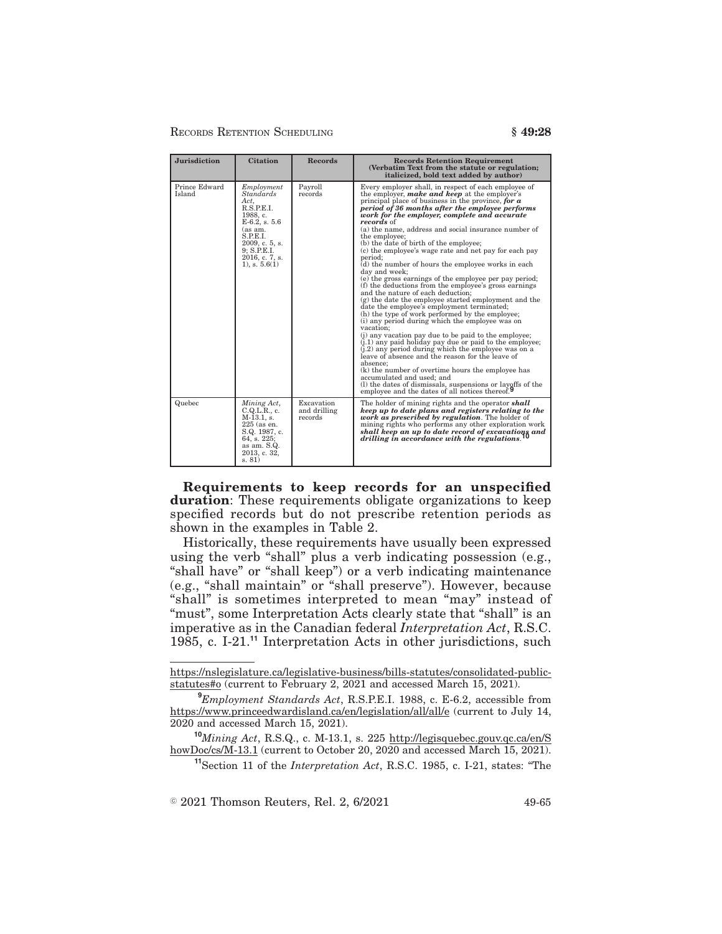| <b>Jurisdiction</b>     | <b>Citation</b>                                                                                                                                                                   | <b>Records</b>                        | <b>Records Retention Requirement</b><br>(Verbatim Text from the statute or regulation;<br>italicized, bold text added by author)                                                                                                                                                                                                                                                                                                                                                                                                                                                                                                                                                                                                                                                                                                                                                                                                                                                                                                                                                                                                                                                                                                                                                                                                                                                     |
|-------------------------|-----------------------------------------------------------------------------------------------------------------------------------------------------------------------------------|---------------------------------------|--------------------------------------------------------------------------------------------------------------------------------------------------------------------------------------------------------------------------------------------------------------------------------------------------------------------------------------------------------------------------------------------------------------------------------------------------------------------------------------------------------------------------------------------------------------------------------------------------------------------------------------------------------------------------------------------------------------------------------------------------------------------------------------------------------------------------------------------------------------------------------------------------------------------------------------------------------------------------------------------------------------------------------------------------------------------------------------------------------------------------------------------------------------------------------------------------------------------------------------------------------------------------------------------------------------------------------------------------------------------------------------|
| Prince Edward<br>Island | Employment<br><i>Standards</i><br>Act,<br>R.S.P.E.I.<br>1988, c.<br>$E-6.2$ , s. $5.6$<br>(as am.<br>S.P.E.I.<br>2009, c. 5, s.<br>9; S.P.E.I.<br>2016, c. 7, s.<br>1), s. 5.6(1) | Payroll<br>records                    | Every employer shall, in respect of each employee of<br>the employer, <i>make and keep</i> at the employer's<br>principal place of business in the province, for $a$<br>period of 36 months after the employee performs<br>work for the employer, complete and accurate<br>records of<br>(a) the name, address and social insurance number of<br>the employee;<br>(b) the date of birth of the employee;<br>(c) the employee's wage rate and net pay for each pay<br>period:<br>(d) the number of hours the employee works in each<br>day and week;<br>(e) the gross earnings of the employee per pay period;<br>(f) the deductions from the employee's gross earnings<br>and the nature of each deduction:<br>$(g)$ the date the employee started employment and the<br>date the employee's employment terminated;<br>(h) the type of work performed by the employee;<br>(i) any period during which the employee was on<br>vacation:<br>(j) any vacation pay due to be paid to the employee;<br>(j.1) any paid holiday pay due or paid to the employee;<br>$(i.2)$ any period during which the employee was on a<br>leave of absence and the reason for the leave of<br>absence:<br>(k) the number of overtime hours the employee has<br>accumulated and used; and<br>(l) the dates of dismissals, suspensions or layoffs of the<br>employee and the dates of all notices thereof. |
| Quebec                  | Mining Act,<br>C.Q.L.R., c.<br>M-13.1, s.<br>225 (as en.<br>S.Q. 1987, c.<br>64, s. 225;<br>as am. S.Q.<br>2013, c. 32,<br>s. 81                                                  | Excavation<br>and drilling<br>records | The holder of mining rights and the operator <b>shall</b><br>keep up to date plans and registers relating to the<br>work as prescribed by regulation. The holder of<br>mining rights who performs any other exploration work<br>shall keep an up to date record of excavations and<br>drilling in accordance with the regulations. $10$                                                                                                                                                                                                                                                                                                                                                                                                                                                                                                                                                                                                                                                                                                                                                                                                                                                                                                                                                                                                                                              |

**Requirements to keep records for an unspecified duration**: These requirements obligate organizations to keep specified records but do not prescribe retention periods as shown in the examples in Table 2.

Historically, these requirements have usually been expressed using the verb "shall" plus a verb indicating possession (e.g., "shall have" or "shall keep") or a verb indicating maintenance (e.g., "shall maintain" or "shall preserve"). However, because "shall" is sometimes interpreted to mean "may" instead of "must", some Interpretation Acts clearly state that "shall" is an imperative as in the Canadian federal *Interpretation Act*, R.S.C. 1985, c. I-21.**<sup>11</sup>** Interpretation Acts in other jurisdictions, such

**<sup>10</sup>***Mining Act*, R.S.Q., c. M-13.1, s. 225 http://legisquebec.gouv.qc.ca/en/S howDoc/cs/M-13.1 (current to October 20, 2020 and accessed March 15, 2021).

**<sup>11</sup>**Section 11 of the *Interpretation Act*, R.S.C. 1985, c. I-21, states: "The

 $\textdegree$  2021 Thomson Reuters, Rel. 2, 6/2021 49-65

https://nslegislature.ca/legislative-business/bills-statutes/consolidated-publicstatutes#o (current to February 2, 2021 and accessed March 15, 2021).

**<sup>9</sup>** *Employment Standards Act*, R.S.P.E.I. 1988, c. E-6.2, accessible from https://www.princeedwardisland.ca/en/legislation/all/all/e (current to July 14, 2020 and accessed March 15, 2021).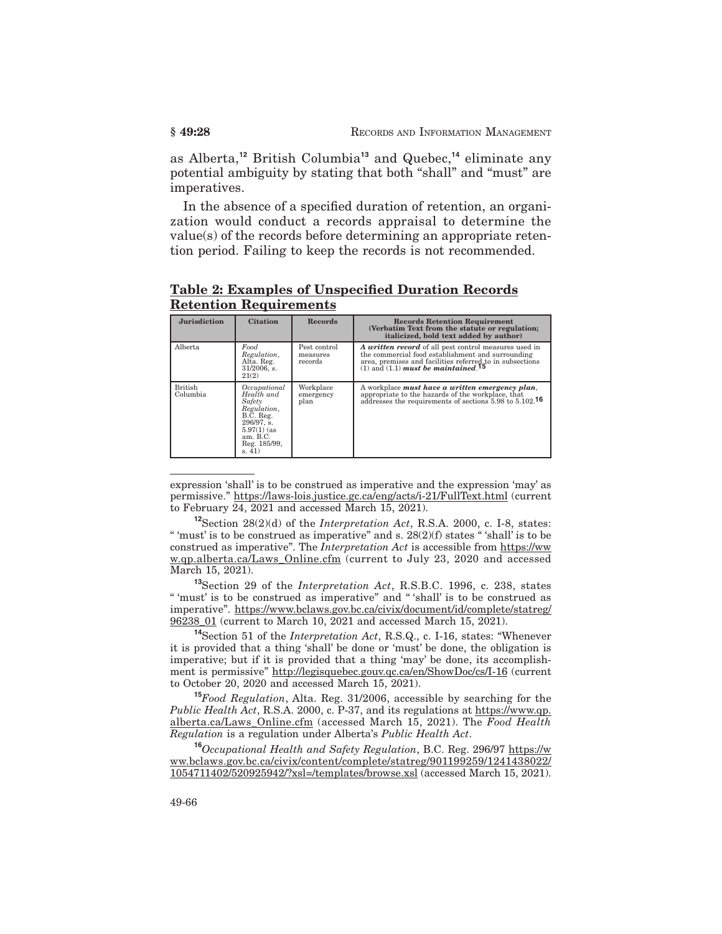as Alberta,**<sup>12</sup>** British Columbia**<sup>13</sup>** and Quebec,**<sup>14</sup>** eliminate any potential ambiguity by stating that both "shall" and "must" are imperatives.

In the absence of a specified duration of retention, an organization would conduct a records appraisal to determine the value(s) of the records before determining an appropriate retention period. Failing to keep the records is not recommended.

| <b>Jurisdiction</b><br><b>Citation</b><br><b>Records</b><br><b>Records Retention Requirement</b> |                                                                                                                                        |                                     |                                                                                                                                                                                                                               |
|--------------------------------------------------------------------------------------------------|----------------------------------------------------------------------------------------------------------------------------------------|-------------------------------------|-------------------------------------------------------------------------------------------------------------------------------------------------------------------------------------------------------------------------------|
|                                                                                                  |                                                                                                                                        |                                     | (Verbatim Text from the statute or regulation;<br>italicized, bold text added by author)                                                                                                                                      |
| Alberta                                                                                          | Food.<br>Regulation,<br>Alta, Reg.<br>$31/2006$ , s.<br>21(2)                                                                          | Pest control<br>measures<br>records | A written record of all pest control measures used in<br>the commercial food establishment and surrounding<br>area, premises and facilities referred to in subsections (1) and (1.1) <b>must be maintained.</b> <sup>15</sup> |
| <b>British</b><br>Columbia                                                                       | Occupational<br>Health and<br>Safety<br>Regulation,<br>B.C. Reg.<br>$296/97.$ s.<br>$5.97(1)$ (as<br>am. B.C.<br>Reg. 185/99.<br>s. 41 | Workplace<br>emergency<br>plan      | A workplace must have a written emergency plan.<br>appropriate to the hazards of the workplace, that<br>addresses the requirements of sections 5.98 to 5.102.16                                                               |

**Table 2: Examples of Unspecified Duration Records Retention Requirements**

expression 'shall' is to be construed as imperative and the expression 'may' as permissive." https://laws-lois.justice.gc.ca/eng/acts/i-21/FullText.html (current to February 24, 2021 and accessed March 15, 2021).

**<sup>12</sup>**Section 28(2)(d) of the *Interpretation Act*, R.S.A. 2000, c. I-8, states: '' 'must' is to be construed as imperative" and s. 28(2)(f) states '' 'shall' is to be construed as imperative". The *Interpretation Act* is accessible from https://ww w.qp.alberta.ca/Laws\_Online.cfm (current to July 23, 2020 and accessed March 15, 2021).

**<sup>13</sup>**Section 29 of the *Interpretation Act*, R.S.B.C. 1996, c. 238, states '' 'must' is to be construed as imperative" and '' 'shall' is to be construed as imperative". https://www.bclaws.gov.bc.ca/civix/document/id/complete/statreg/ 96238\_01 (current to March 10, 2021 and accessed March 15, 2021).

**<sup>14</sup>**Section 51 of the *Interpretation Act*, R.S.Q., c. I-16, states: "Whenever it is provided that a thing 'shall' be done or 'must' be done, the obligation is imperative; but if it is provided that a thing 'may' be done, its accomplishment is permissive" http://legisquebec.gouv.qc.ca/en/ShowDoc/cs/I-16 (current to October 20, 2020 and accessed March 15, 2021).

**<sup>15</sup>***Food Regulation*, Alta. Reg. 31/2006, accessible by searching for the *Public Health Act*, R.S.A. 2000, c. P-37, and its regulations at https://www.qp. alberta.ca/Laws\_Online.cfm (accessed March 15, 2021). The *Food Health Regulation* is a regulation under Alberta's *Public Health Act*.

**<sup>16</sup>***Occupational Health and Safety Regulation*, B.C. Reg. 296/97 https://w ww.bclaws.gov.bc.ca/civix/content/complete/statreg/901199259/1241438022/ 1054711402/520925942/?xsl=/templates/browse.xsl (accessed March 15, 2021).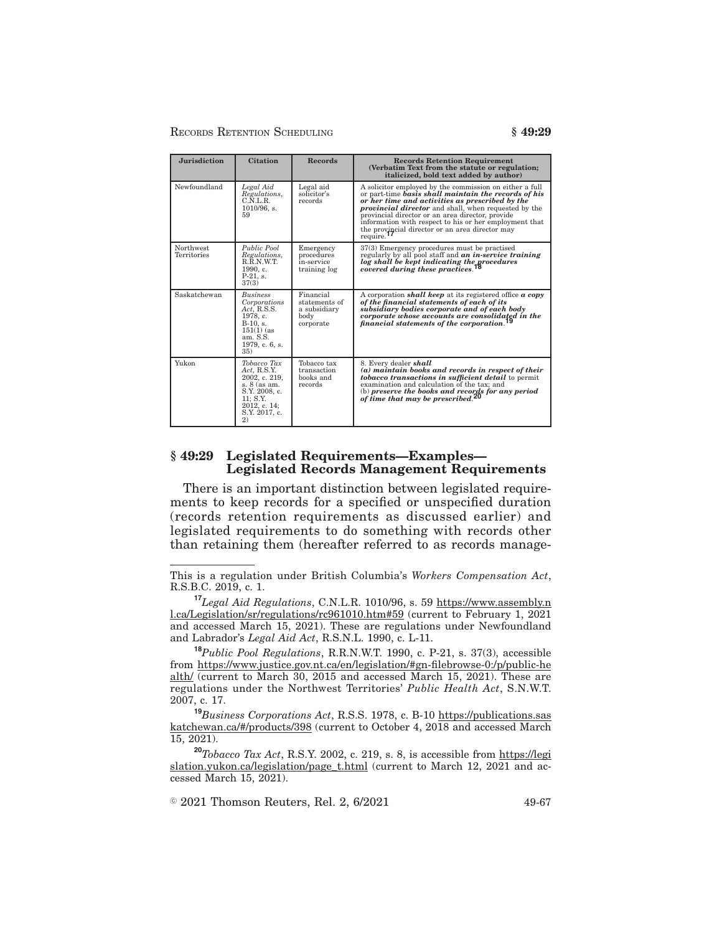| <b>Jurisdiction</b>      | <b>Citation</b>                                                                                                                 | <b>Records</b>                                                  | <b>Records Retention Requirement</b><br>(Verbatim Text from the statute or regulation;<br>italicized, bold text added by author)                                                                                                                                                                                                                                                                               |
|--------------------------|---------------------------------------------------------------------------------------------------------------------------------|-----------------------------------------------------------------|----------------------------------------------------------------------------------------------------------------------------------------------------------------------------------------------------------------------------------------------------------------------------------------------------------------------------------------------------------------------------------------------------------------|
| Newfoundland             | Legal Aid<br>Regulations,<br>C.N.L.R.<br>$1010/96$ , s.<br>59                                                                   | Legal aid<br>solicitor's<br>records                             | A solicitor employed by the commission on either a full<br>or part-time basis shall maintain the records of his<br>or her time and activities as prescribed by the<br><b>provincial director</b> and shall, when requested by the<br>provincial director or an area director, provide<br>information with respect to his or her employment that<br>the provincial director or an area director may<br>require. |
| Northwest<br>Territories | Public Pool<br>Regulations,<br>R.R.N.W.T.<br>1990, c.<br>$P-21. s.$<br>37(3)                                                    | Emergency<br>procedures<br>in-service<br>training log           | $37(3)$ Emergency procedures must be practised<br>regularly by all pool staff and <b>an in-service training</b><br>log shall be kept indicating the procedures<br>covered during these practices. <sup>10</sup>                                                                                                                                                                                                |
| Saskatchewan             | <b>Business</b><br>Corporations<br>Act, R.S.S.<br>1978, c.<br>$B-10$ , s.<br>$151(1)$ (as<br>am. S.S.<br>1979, c. 6, s.<br>35)  | Financial<br>statements of<br>a subsidiary<br>body<br>corporate | A corporation <i>shall keep</i> at its registered office a copy<br>of the financial statements of each of its<br>subsidiary bodies corporate and of each body<br>corporate whose accounts are consolidated in the<br>financial statements of the corporation.                                                                                                                                                  |
| Yukon                    | Tobacco Tax<br>Act, R.S.Y.<br>2002, c. 219,<br>s. 8 (as am.<br>S.Y. 2008, c.<br>11; S.Y.<br>2012, c. 14;<br>S.Y. 2017, c.<br>2) | Tobacco tax<br>transaction<br>books and<br>records              | 8. Every dealer shall<br>(a) maintain books and records in respect of their<br><i>tobacco transactions in sufficient detail to permit</i><br>examination and calculation of the tax; and<br>(b) preserve the books and records for any period<br>of time that may be prescribed. <sup>2</sup>                                                                                                                  |

# **§ 49:29 Legislated Requirements—Examples— Legislated Records Management Requirements**

There is an important distinction between legislated requirements to keep records for a specified or unspecified duration (records retention requirements as discussed earlier) and legislated requirements to do something with records other than retaining them (hereafter referred to as records manage-

 $\textdegree$  2021 Thomson Reuters, Rel. 2, 6/2021 49-67

This is a regulation under British Columbia's *Workers Compensation Act*, R.S.B.C. 2019, c. 1.

**<sup>17</sup>***Legal Aid Regulations*, C.N.L.R. 1010/96, s. 59 https://www.assembly.n l.ca/Legislation/sr/regulations/rc961010.htm#59 (current to February 1, 2021 and accessed March 15, 2021). These are regulations under Newfoundland and Labrador's *Legal Aid Act*, R.S.N.L. 1990, c. L-11.

**<sup>18</sup>***Public Pool Regulations*, R.R.N.W.T. 1990, c. P-21, s. 37(3), accessible from https://www.justice.gov.nt.ca/en/legislation/#gn-filebrowse-0:/p/public-he alth/ (current to March 30, 2015 and accessed March 15, 2021). These are regulations under the Northwest Territories' *Public Health Act*, S.N.W.T. 2007, c. 17.

**<sup>19</sup>***Business Corporations Act*, R.S.S. 1978, c. B-10 https://publications.sas katchewan.ca/#/products/398 (current to October 4, 2018 and accessed March 15, 2021).

**<sup>20</sup>***Tobacco Tax Act*, R.S.Y. 2002, c. 219, s. 8, is accessible from https://legi slation.yukon.ca/legislation/page\_t.html (current to March 12, 2021 and accessed March 15, 2021).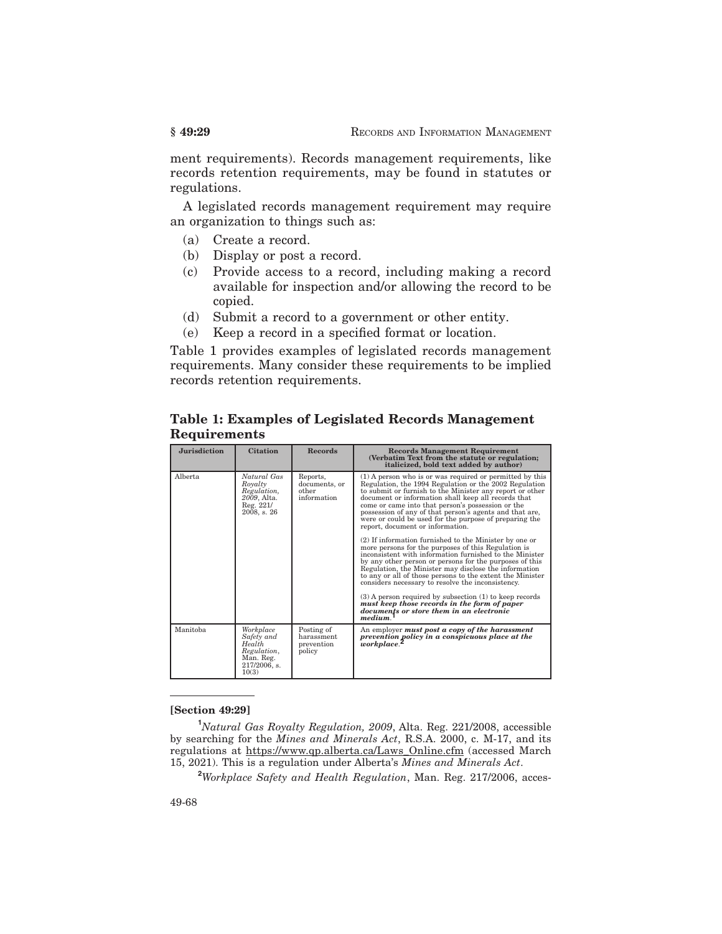ment requirements). Records management requirements, like records retention requirements, may be found in statutes or regulations.

A legislated records management requirement may require an organization to things such as:

- (a) Create a record.
- (b) Display or post a record.
- (c) Provide access to a record, including making a record available for inspection and/or allowing the record to be copied.
- (d) Submit a record to a government or other entity.
- (e) Keep a record in a specified format or location.

Table 1 provides examples of legislated records management requirements. Many consider these requirements to be implied records retention requirements.

# **Table 1: Examples of Legislated Records Management Requirements**

| <b>Jurisdiction</b> | <b>Citation</b>                                                                         | <b>Records</b>                                    | <b>Records Management Requirement</b><br>(Verbatim Text from the statute or regulation;<br>italicized, bold text added by author)                                                                                                                                                                                                                                                                                                                                                                                                                                                                                                                                                                                                                                                                                                                                                                                                                                                                                                             |
|---------------------|-----------------------------------------------------------------------------------------|---------------------------------------------------|-----------------------------------------------------------------------------------------------------------------------------------------------------------------------------------------------------------------------------------------------------------------------------------------------------------------------------------------------------------------------------------------------------------------------------------------------------------------------------------------------------------------------------------------------------------------------------------------------------------------------------------------------------------------------------------------------------------------------------------------------------------------------------------------------------------------------------------------------------------------------------------------------------------------------------------------------------------------------------------------------------------------------------------------------|
| Alberta             | Natural Gas<br>Royalty<br>Regulation,<br>2009, Alta.<br>Reg. 221/<br>2008, s. 26        | Reports,<br>documents, or<br>other<br>information | $(1)$ A person who is or was required or permitted by this<br>Regulation, the 1994 Regulation or the 2002 Regulation<br>to submit or furnish to the Minister any report or other<br>document or information shall keep all records that<br>come or came into that person's possession or the<br>possession of any of that person's agents and that are,<br>were or could be used for the purpose of preparing the<br>report, document or information.<br>(2) If information furnished to the Minister by one or<br>more persons for the purposes of this Regulation is<br>inconsistent with information furnished to the Minister<br>by any other person or persons for the purposes of this<br>Regulation, the Minister may disclose the information<br>to any or all of those persons to the extent the Minister<br>considers necessary to resolve the inconsistency.<br>$(3)$ A person required by subsection $(1)$ to keep records<br>must keep those records in the form of paper<br>documents or store them in an electronic<br>medium. |
| Manitoba            | Workplace<br>Safety and<br>Health.<br>Regulation,<br>Man. Reg.<br>217/2006, s.<br>10(3) | Posting of<br>harassment<br>prevention<br>policy  | An employer must post a copy of the harassment<br>prevention policy in a conspicuous place at the<br>workplace. <sup>2</sup>                                                                                                                                                                                                                                                                                                                                                                                                                                                                                                                                                                                                                                                                                                                                                                                                                                                                                                                  |

### **[Section 49:29]**

**1** *Natural Gas Royalty Regulation, 2009*, Alta. Reg. 221/2008, accessible by searching for the *Mines and Minerals Act*, R.S.A. 2000, c. M-17, and its regulations at https://www.qp.alberta.ca/Laws\_Online.cfm (accessed March 15, 2021). This is a regulation under Alberta's *Mines and Minerals Act*.

**2** *Workplace Safety and Health Regulation*, Man. Reg. 217/2006, acces-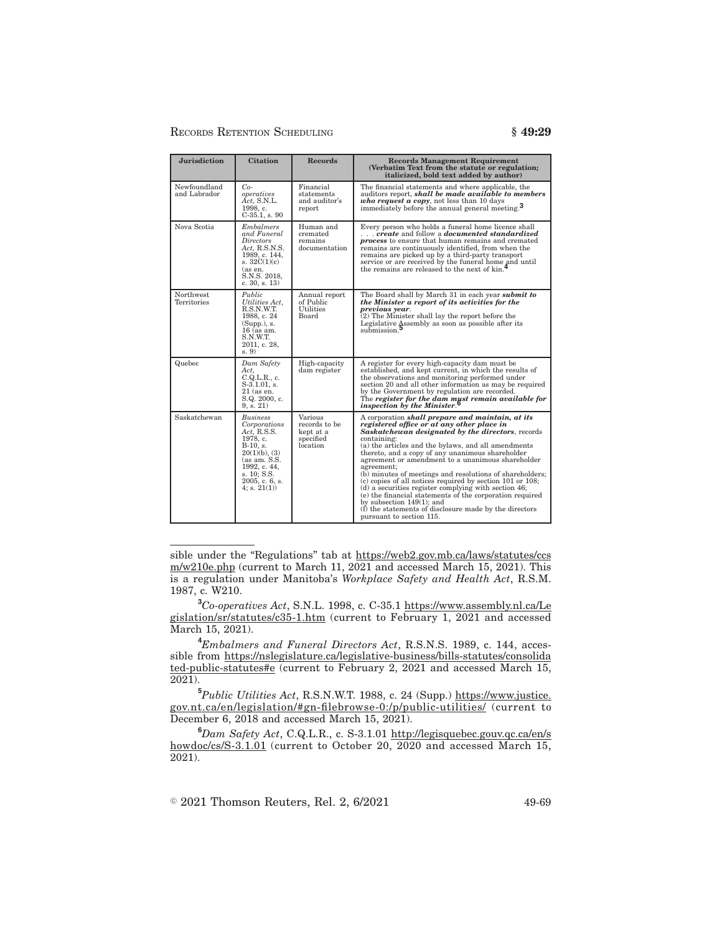| <b>Jurisdiction</b>             | <b>Citation</b>                                                                                                                                                                   | <b>Records</b>                                                 | <b>Records Management Requirement</b><br>(Verbatim Text from the statute or regulation;<br>italicized, bold text added by author)                                                                                                                                                                                                                                                                                                                                                                                                                                                                                                                                                                                   |
|---------------------------------|-----------------------------------------------------------------------------------------------------------------------------------------------------------------------------------|----------------------------------------------------------------|---------------------------------------------------------------------------------------------------------------------------------------------------------------------------------------------------------------------------------------------------------------------------------------------------------------------------------------------------------------------------------------------------------------------------------------------------------------------------------------------------------------------------------------------------------------------------------------------------------------------------------------------------------------------------------------------------------------------|
| Newfoundland<br>and Labrador    | $Co-$<br>operatives<br>$Act$ , S.N.L.<br>1998, c.<br>$C-35.1$ , s. 90                                                                                                             | Financial<br>statements<br>and auditor's<br>report             | The financial statements and where applicable, the<br>auditors report, shall be made available to members<br>who request a copy, not less than 10 days<br>immediately before the annual general meeting. <sup>3</sup>                                                                                                                                                                                                                                                                                                                                                                                                                                                                                               |
| Nova Scotia                     | Embalmers<br>and Funeral<br><i>Directors</i><br>Act, R.S.N.S.<br>1989, c. 144,<br>s. $32C(1)(c)$<br>(as en.<br>S.N.S. 2018,<br>c. 30. s. 13                                       | Human and<br>cremated<br>remains<br>documentation              | Every person who holds a funeral home licence shall<br>create and follow a <i>documented standardized</i><br><b>process</b> to ensure that human remains and cremated<br>remains are continuously identified, from when the<br>remains are picked up by a third-party transport<br>service or are received by the funeral home and until<br>the remains are released to the next of kin. <sup>4</sup>                                                                                                                                                                                                                                                                                                               |
| <b>Northwest</b><br>Territories | Public<br>Utilities Act,<br>R.S.N.W.T.<br>1988, c. 24<br>(Supp.), s.<br>$16$ (as am.<br>S.N.W.T.<br>2011, c. 28,<br>(s, 9)                                                        | Annual report<br>of Public<br><b>Utilities</b><br>Board        | The Board shall by March 31 in each year submit to<br>the Minister a report of its activities for the<br>previous year.<br>$(2)$ The Minister shall lay the report before the<br>Legislative Assembly as soon as possible after its<br>submission. <sup>5</sup>                                                                                                                                                                                                                                                                                                                                                                                                                                                     |
| Quebec                          | Dam Safety<br>Act,<br>C.Q.L.R., c.<br>$S-3.1.01$ . s.<br>$21$ (as en.<br>S.Q. 2000, c.<br>9, s. 21)                                                                               | High-capacity<br>dam register                                  | A register for every high-capacity dam must be<br>established, and kept current, in which the results of<br>the observations and monitoring performed under<br>section 20 and all other information as may be required<br>by the Government by regulation are recorded.<br>The register for the dam myst remain available for<br>inspection by the Minister. <sup>b</sup>                                                                                                                                                                                                                                                                                                                                           |
| Saskatchewan                    | <b>Business</b><br>Corporations<br>Act, R.S.S.<br>1978, c.<br>$B-10$ , s.<br>$20(1)(b)$ , (3)<br>(as am. S.S.<br>1992, c. 44,<br>s. 10; S.S.<br>2005, c. 6, s.<br>4; s. $21(1)$ ) | Various<br>records to be<br>kept at a<br>specified<br>location | A corporation shall prepare and maintain, at its<br>registered office or at any other place in<br>Saskatchewan designated by the directors, records<br>containing:<br>(a) the articles and the bylaws, and all amendments<br>thereto, and a copy of any unanimous shareholder<br>agreement or amendment to a unanimous shareholder<br>agreement;<br>(b) minutes of meetings and resolutions of shareholders;<br>(c) copies of all notices required by section 101 or 108;<br>(d) a securities register complying with section 46;<br>(e) the financial statements of the corporation required<br>by subsection $149(1)$ ; and<br>(f) the statements of disclosure made by the directors<br>pursuant to section 115. |

sible under the "Regulations" tab at https://web2.gov.mb.ca/laws/statutes/ccs m/w210e.php (current to March 11, 2021 and accessed March 15, 2021). This is a regulation under Manitoba's *Workplace Safety and Health Act*, R.S.M. 1987, c. W210.

**3** *Co-operatives Act*, S.N.L. 1998, c. C-35.1 https://www.assembly.nl.ca/Le gislation/sr/statutes/c35-1.htm (current to February 1, 2021 and accessed March 15, 2021).

**4** *Embalmers and Funeral Directors Act*, R.S.N.S. 1989, c. 144, accessible from https://nslegislature.ca/legislative-business/bills-statutes/consolida ted-public-statutes#e (current to February 2, 2021 and accessed March 15,  $2021$ ).

**5** *Public Utilities Act*, R.S.N.W.T. 1988, c. 24 (Supp.) https://www.justice. gov.nt.ca/en/legislation/#gn-filebrowse-0:/p/public-utilities/ (current to December 6, 2018 and accessed March 15, 2021).

**6** *Dam Safety Act*, C.Q.L.R., c. S-3.1.01 http://legisquebec.gouv.qc.ca/en/s howdoc/cs/S-3.1.01 (current to October 20, 2020 and accessed March 15, 2021).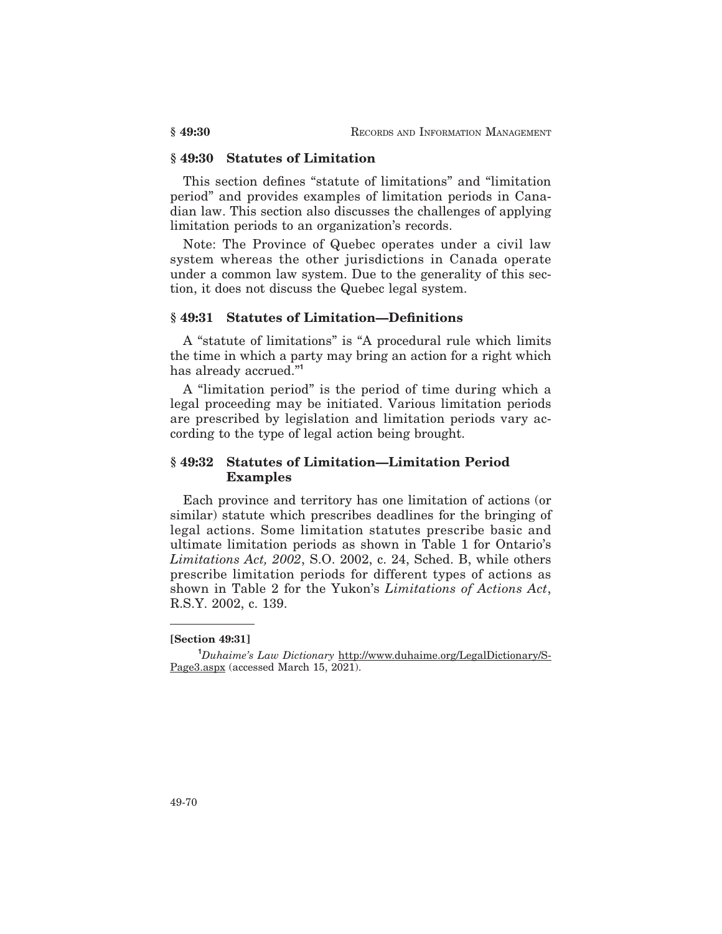### **§ 49:30 Statutes of Limitation**

This section defines "statute of limitations" and "limitation period" and provides examples of limitation periods in Canadian law. This section also discusses the challenges of applying limitation periods to an organization's records.

Note: The Province of Quebec operates under a civil law system whereas the other jurisdictions in Canada operate under a common law system. Due to the generality of this section, it does not discuss the Quebec legal system.

### **§ 49:31 Statutes of Limitation—Definitions**

A "statute of limitations" is "A procedural rule which limits the time in which a party may bring an action for a right which has already accrued."**<sup>1</sup>**

A "limitation period" is the period of time during which a legal proceeding may be initiated. Various limitation periods are prescribed by legislation and limitation periods vary according to the type of legal action being brought.

# **§ 49:32 Statutes of Limitation—Limitation Period Examples**

Each province and territory has one limitation of actions (or similar) statute which prescribes deadlines for the bringing of legal actions. Some limitation statutes prescribe basic and ultimate limitation periods as shown in Table 1 for Ontario's *Limitations Act, 2002*, S.O. 2002, c. 24, Sched. B, while others prescribe limitation periods for different types of actions as shown in Table 2 for the Yukon's *Limitations of Actions Act*, R.S.Y. 2002, c. 139.

### **[Section 49:31]**

**<sup>1</sup>** *Duhaime's Law Dictionary* http://www.duhaime.org/LegalDictionary/S-Page3.aspx (accessed March 15, 2021).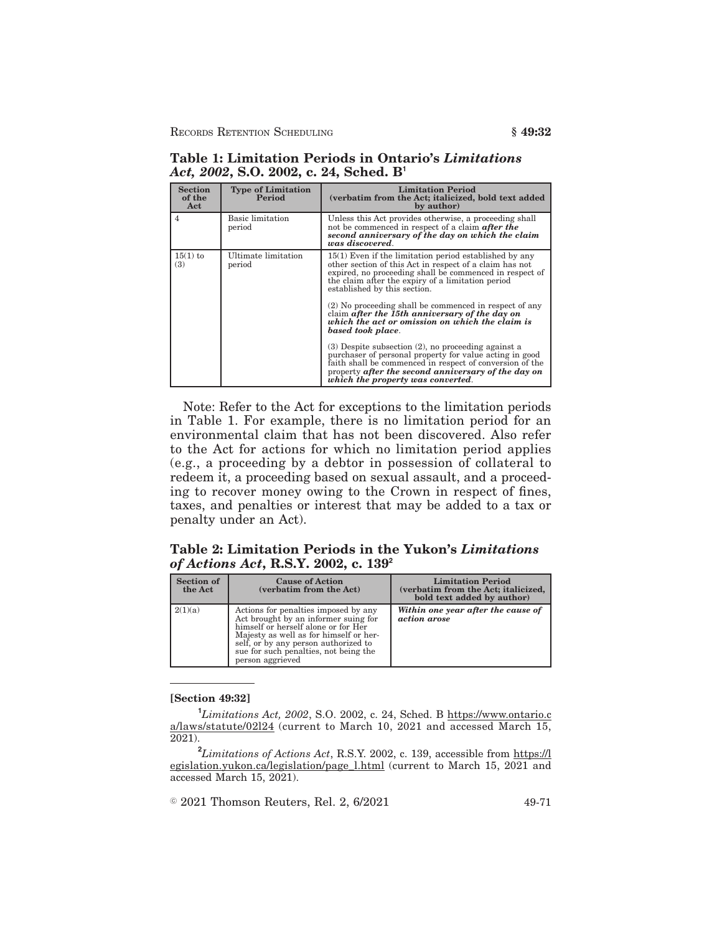| <b>Section</b><br>of the<br>Act | <b>Type of Limitation</b><br>Period | <b>Limitation Period</b><br>(verbatim from the Act; italicized, bold text added<br>by author                                                                                                                                                                                |
|---------------------------------|-------------------------------------|-----------------------------------------------------------------------------------------------------------------------------------------------------------------------------------------------------------------------------------------------------------------------------|
| $\overline{4}$                  | <b>Basic limitation</b><br>period   | Unless this Act provides otherwise, a proceeding shall<br>not be commenced in respect of a claim <b>after the</b><br>second anniversary of the day on which the claim<br>was discovered.                                                                                    |
| $15(1)$ to<br>(3)               | Ultimate limitation<br>period       | $15(1)$ Even if the limitation period established by any<br>other section of this Act in respect of a claim has not<br>expired, no proceeding shall be commenced in respect of<br>the claim after the expiry of a limitation period<br>established by this section.         |
|                                 |                                     | (2) No proceeding shall be commenced in respect of any<br>claim after the 15th anniversary of the day on<br>which the act or omission on which the claim is<br>based took place.                                                                                            |
|                                 |                                     | $(3)$ Despite subsection $(2)$ , no proceeding against a<br>purchaser of personal property for value acting in good<br>faith shall be commenced in respect of conversion of the<br>property after the second anniversary of the day on<br>which the property was converted. |

**Table 1: Limitation Periods in Ontario's** *Limitations Act, 2002***, S.O. 2002, c. 24, Sched. B<sup>1</sup>**

Note: Refer to the Act for exceptions to the limitation periods in Table 1. For example, there is no limitation period for an environmental claim that has not been discovered. Also refer to the Act for actions for which no limitation period applies (e.g., a proceeding by a debtor in possession of collateral to redeem it, a proceeding based on sexual assault, and a proceeding to recover money owing to the Crown in respect of fines, taxes, and penalties or interest that may be added to a tax or penalty under an Act).

# **Table 2: Limitation Periods in the Yukon's** *Limitations of Actions Act***, R.S.Y. 2002, c. 139<sup>2</sup>**

| Section of<br>the Act | <b>Cause of Action</b><br>(verbatim from the Act)                                                                                                                                                                                                                  | <b>Limitation Period</b><br>(verbatim from the Act; italicized,<br>bold text added by author) |
|-----------------------|--------------------------------------------------------------------------------------------------------------------------------------------------------------------------------------------------------------------------------------------------------------------|-----------------------------------------------------------------------------------------------|
| 2(1)(a)               | Actions for penalties imposed by any<br>Act brought by an informer suing for<br>himself or herself alone or for Her<br>Majesty as well as for himself or her-<br>self, or by any person authorized to<br>sue for such penalties, not being the<br>person aggrieved | Within one year after the cause of<br><i>action arose</i>                                     |

### **[Section 49:32]**

**1** *Limitations Act, 2002*, S.O. 2002, c. 24, Sched. B https://www.ontario.c a/laws/statute/02l24 (current to March 10, 2021 and accessed March 15, 2021).

**2** *Limitations of Actions Act*, R.S.Y. 2002, c. 139, accessible from https://l egislation.yukon.ca/legislation/page\_l.html (current to March 15, 2021 and accessed March 15, 2021).

 $\textdegree$  2021 Thomson Reuters, Rel. 2, 6/2021 49-71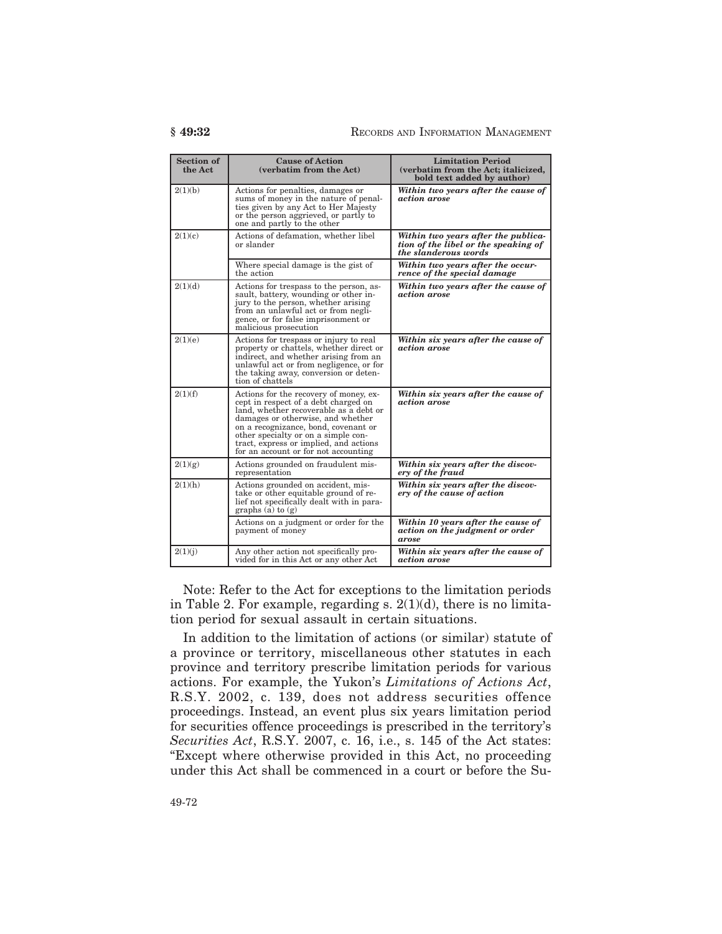| <b>Section of</b><br>the Act | <b>Cause of Action</b><br>(verbatim from the Act)                                                                                                                                                                                                                                                                              | <b>Limitation Period</b><br>(verbatim from the Act; italicized,<br>bold text added by author)       |
|------------------------------|--------------------------------------------------------------------------------------------------------------------------------------------------------------------------------------------------------------------------------------------------------------------------------------------------------------------------------|-----------------------------------------------------------------------------------------------------|
| 2(1)(b)                      | Actions for penalties, damages or<br>sums of money in the nature of penal-<br>ties given by any Act to Her Majesty<br>or the person aggrieved, or partly to<br>one and partly to the other                                                                                                                                     | Within two years after the cause of<br><i>action arose</i>                                          |
| 2(1)(c)                      | Actions of defamation, whether libel<br>or slander                                                                                                                                                                                                                                                                             | Within two years after the publica-<br>tion of the libel or the speaking of<br>the slanderous words |
|                              | Where special damage is the gist of<br>the action                                                                                                                                                                                                                                                                              | Within two years after the occur-<br>rence of the special damage                                    |
| 2(1)(d)                      | Actions for trespass to the person, as-<br>sault, battery, wounding or other in-<br>jury to the person, whether arising<br>from an unlawful act or from negli-<br>gence, or for false imprisonment or<br>malicious prosecution                                                                                                 | Within two years after the cause of<br>action arose                                                 |
| 2(1)(e)                      | Actions for trespass or injury to real<br>property or chattels, whether direct or<br>indirect, and whether arising from an<br>unlawful act or from negligence, or for<br>the taking away, conversion or deten-<br>tion of chattels                                                                                             | Within six years after the cause of<br><i>action arose</i>                                          |
| 2(1)(f)                      | Actions for the recovery of money, ex-<br>cept in respect of a debt charged on<br>land, whether recoverable as a debt or<br>damages or otherwise, and whether<br>on a recognizance, bond, covenant or<br>other specialty or on a simple con-<br>tract, express or implied, and actions<br>for an account or for not accounting | Within six years after the cause of<br><i>action arose</i>                                          |
| 2(1)(g)                      | Actions grounded on fraudulent mis-<br>representation                                                                                                                                                                                                                                                                          | Within six years after the discov-<br>ery of the fraud                                              |
| 2(1)(h)                      | Actions grounded on accident, mis-<br>take or other equitable ground of re-<br>lief not specifically dealt with in para-<br>graphs $(a)$ to $(g)$                                                                                                                                                                              | Within six years after the discov-<br>ery of the cause of action                                    |
|                              | Actions on a judgment or order for the<br>payment of money                                                                                                                                                                                                                                                                     | Within 10 years after the cause of<br>action on the judgment or order<br>arose                      |
| 2(1)(j)                      | Any other action not specifically pro-<br>vided for in this Act or any other Act                                                                                                                                                                                                                                               | Within six years after the cause of<br>action arose                                                 |

Note: Refer to the Act for exceptions to the limitation periods in Table 2. For example, regarding s.  $2(1)(d)$ , there is no limitation period for sexual assault in certain situations.

In addition to the limitation of actions (or similar) statute of a province or territory, miscellaneous other statutes in each province and territory prescribe limitation periods for various actions. For example, the Yukon's *Limitations of Actions Act*, R.S.Y. 2002, c. 139, does not address securities offence proceedings. Instead, an event plus six years limitation period for securities offence proceedings is prescribed in the territory's *Securities Act*, R.S.Y. 2007, c. 16, i.e., s. 145 of the Act states: "Except where otherwise provided in this Act, no proceeding under this Act shall be commenced in a court or before the Su-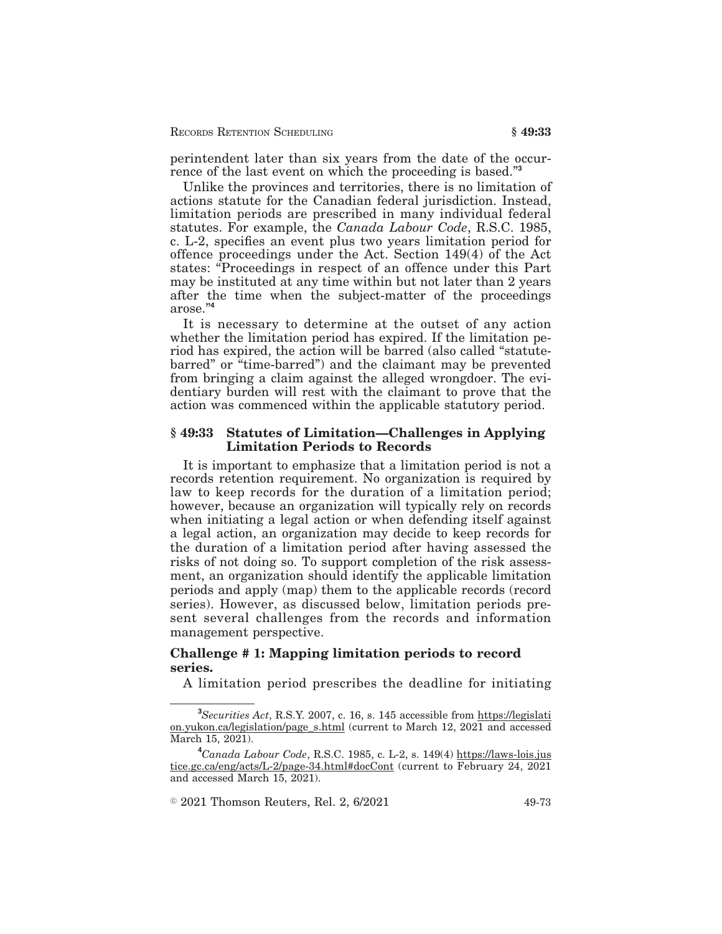perintendent later than six years from the date of the occurrence of the last event on which the proceeding is based."**<sup>3</sup>**

Unlike the provinces and territories, there is no limitation of actions statute for the Canadian federal jurisdiction. Instead, limitation periods are prescribed in many individual federal statutes. For example, the *Canada Labour Code*, R.S.C. 1985, c. L-2, specifies an event plus two years limitation period for offence proceedings under the Act. Section 149(4) of the Act states: "Proceedings in respect of an offence under this Part may be instituted at any time within but not later than 2 years after the time when the subject-matter of the proceedings arose."**<sup>4</sup>**

It is necessary to determine at the outset of any action whether the limitation period has expired. If the limitation period has expired, the action will be barred (also called "statutebarred" or "time-barred") and the claimant may be prevented from bringing a claim against the alleged wrongdoer. The evidentiary burden will rest with the claimant to prove that the action was commenced within the applicable statutory period.

#### **§ 49:33 Statutes of Limitation—Challenges in Applying Limitation Periods to Records**

It is important to emphasize that a limitation period is not a records retention requirement. No organization is required by law to keep records for the duration of a limitation period; however, because an organization will typically rely on records when initiating a legal action or when defending itself against a legal action, an organization may decide to keep records for the duration of a limitation period after having assessed the risks of not doing so. To support completion of the risk assessment, an organization should identify the applicable limitation periods and apply (map) them to the applicable records (record series). However, as discussed below, limitation periods present several challenges from the records and information management perspective.

## **Challenge # 1: Mapping limitation periods to record series.**

A limitation period prescribes the deadline for initiating

 $\degree$  2021 Thomson Reuters, Rel. 2, 6/2021 49-73

**<sup>3</sup>** *Securities Act*, R.S.Y. 2007, c. 16, s. 145 accessible from https://legislati on.yukon.ca/legislation/page\_s.html (current to March 12, 2021 and accessed March 15, 2021).

**<sup>4</sup>** *Canada Labour Code*, R.S.C. 1985, c. L-2, s. 149(4) https://laws-lois.jus tice.gc.ca/eng/acts/L-2/page-34.html#docCont (current to February 24, 2021 and accessed March 15, 2021).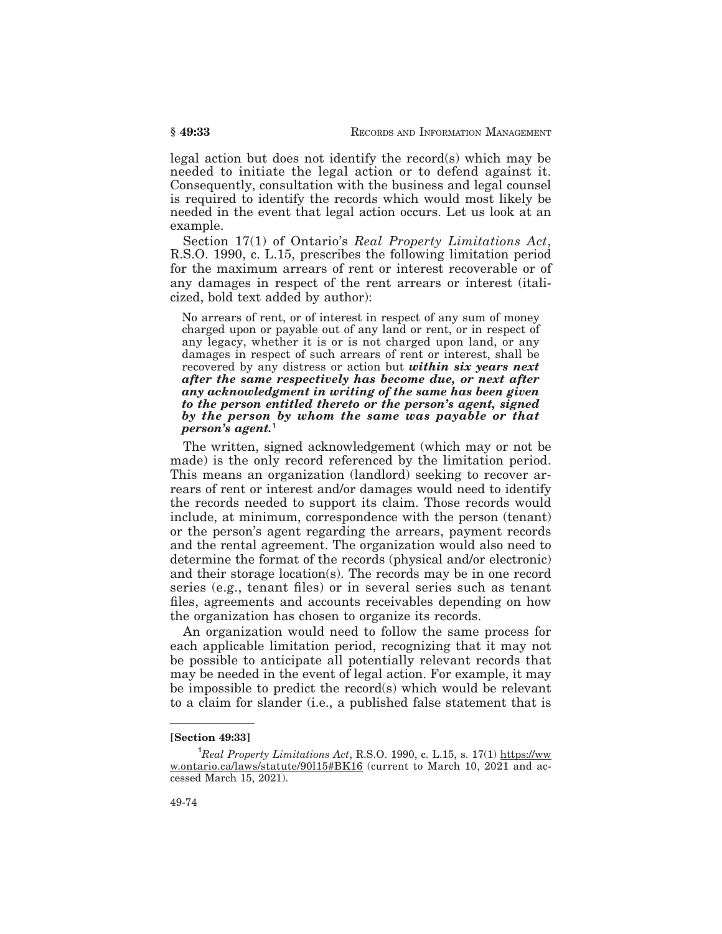legal action but does not identify the record(s) which may be needed to initiate the legal action or to defend against it. Consequently, consultation with the business and legal counsel is required to identify the records which would most likely be needed in the event that legal action occurs. Let us look at an example.

Section 17(1) of Ontario's *Real Property Limitations Act*, R.S.O. 1990, c. L.15, prescribes the following limitation period for the maximum arrears of rent or interest recoverable or of any damages in respect of the rent arrears or interest (italicized, bold text added by author):

No arrears of rent, or of interest in respect of any sum of money charged upon or payable out of any land or rent, or in respect of any legacy, whether it is or is not charged upon land, or any damages in respect of such arrears of rent or interest, shall be recovered by any distress or action but *within six years next after the same respectively has become due, or next after any acknowledgment in writing of the same has been given to the person entitled thereto or the person's agent, signed by the person by whom the same was payable or that person's agent.***<sup>1</sup>**

The written, signed acknowledgement (which may or not be made) is the only record referenced by the limitation period. This means an organization (landlord) seeking to recover arrears of rent or interest and/or damages would need to identify the records needed to support its claim. Those records would include, at minimum, correspondence with the person (tenant) or the person's agent regarding the arrears, payment records and the rental agreement. The organization would also need to determine the format of the records (physical and/or electronic) and their storage location(s). The records may be in one record series (e.g., tenant files) or in several series such as tenant files, agreements and accounts receivables depending on how the organization has chosen to organize its records.

An organization would need to follow the same process for each applicable limitation period, recognizing that it may not be possible to anticipate all potentially relevant records that may be needed in the event of legal action. For example, it may be impossible to predict the record(s) which would be relevant to a claim for slander (i.e., a published false statement that is

**<sup>[</sup>Section 49:33]**

**<sup>1</sup>** *Real Property Limitations Act*, R.S.O. 1990, c. L.15, s. 17(1) https://ww w.ontario.ca/laws/statute/90l15#BK16 (current to March 10, 2021 and accessed March 15, 2021).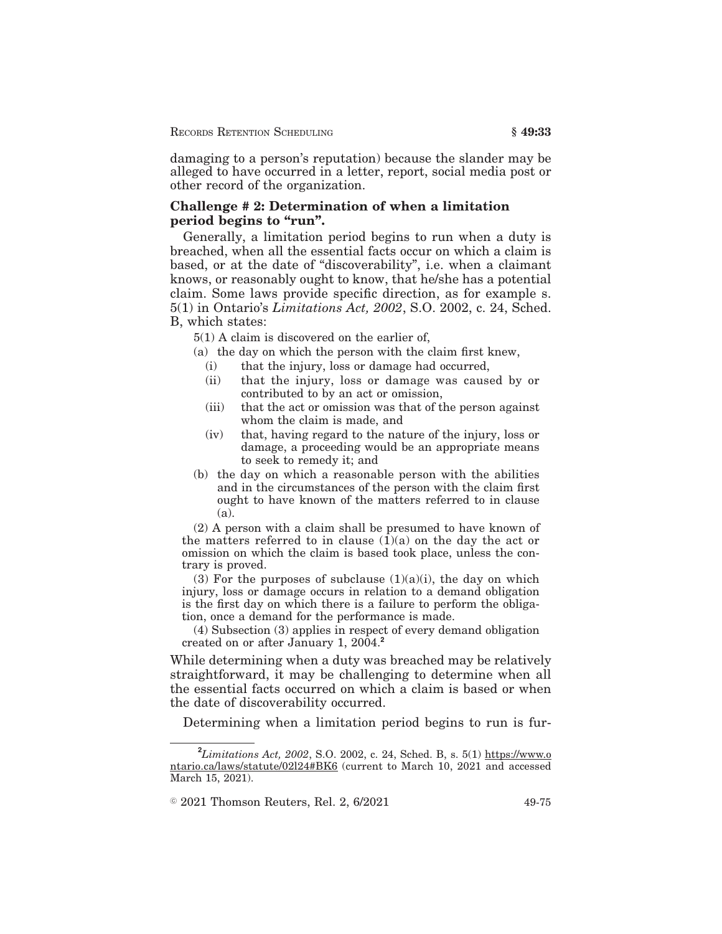RECORDS RETENTION SCHEDULING **§ 49:33**

damaging to a person's reputation) because the slander may be alleged to have occurred in a letter, report, social media post or other record of the organization.

## **Challenge # 2: Determination of when a limitation period begins to "run".**

Generally, a limitation period begins to run when a duty is breached, when all the essential facts occur on which a claim is based, or at the date of "discoverability", i.e. when a claimant knows, or reasonably ought to know, that he/she has a potential claim. Some laws provide specific direction, as for example s. 5(1) in Ontario's *Limitations Act, 2002*, S.O. 2002, c. 24, Sched. B, which states:

5(1) A claim is discovered on the earlier of,

- (a) the day on which the person with the claim first knew,
	- (i) that the injury, loss or damage had occurred,
	- (ii) that the injury, loss or damage was caused by or contributed to by an act or omission,
	- (iii) that the act or omission was that of the person against whom the claim is made, and
	- (iv) that, having regard to the nature of the injury, loss or damage, a proceeding would be an appropriate means to seek to remedy it; and
- (b) the day on which a reasonable person with the abilities and in the circumstances of the person with the claim first ought to have known of the matters referred to in clause (a).

(2) A person with a claim shall be presumed to have known of the matters referred to in clause  $(1)(a)$  on the day the act or omission on which the claim is based took place, unless the contrary is proved.

(3) For the purposes of subclause  $(1)(a)(i)$ , the day on which injury, loss or damage occurs in relation to a demand obligation is the first day on which there is a failure to perform the obligation, once a demand for the performance is made.

(4) Subsection (3) applies in respect of every demand obligation created on or after January 1, 2004.**<sup>2</sup>**

While determining when a duty was breached may be relatively straightforward, it may be challenging to determine when all the essential facts occurred on which a claim is based or when the date of discoverability occurred.

Determining when a limitation period begins to run is fur-

**<sup>2</sup>** *Limitations Act, 2002*, S.O. 2002, c. 24, Sched. B, s. 5(1) https://www.o ntario.ca/laws/statute/02l24#BK6 (current to March 10, 2021 and accessed March 15, 2021).

 $\textdegree$  2021 Thomson Reuters, Rel. 2, 6/2021  $\textdegree$  49-75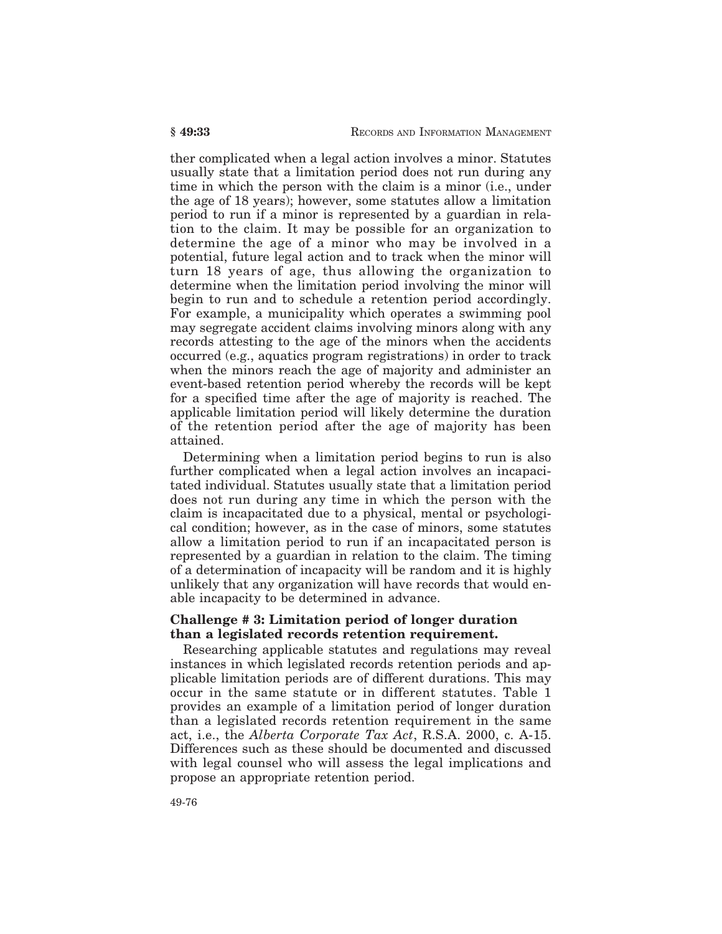ther complicated when a legal action involves a minor. Statutes usually state that a limitation period does not run during any time in which the person with the claim is a minor (i.e., under the age of 18 years); however, some statutes allow a limitation period to run if a minor is represented by a guardian in relation to the claim. It may be possible for an organization to determine the age of a minor who may be involved in a potential, future legal action and to track when the minor will turn 18 years of age, thus allowing the organization to determine when the limitation period involving the minor will begin to run and to schedule a retention period accordingly. For example, a municipality which operates a swimming pool may segregate accident claims involving minors along with any records attesting to the age of the minors when the accidents occurred (e.g., aquatics program registrations) in order to track when the minors reach the age of majority and administer an event-based retention period whereby the records will be kept for a specified time after the age of majority is reached. The applicable limitation period will likely determine the duration of the retention period after the age of majority has been attained.

Determining when a limitation period begins to run is also further complicated when a legal action involves an incapacitated individual. Statutes usually state that a limitation period does not run during any time in which the person with the claim is incapacitated due to a physical, mental or psychological condition; however, as in the case of minors, some statutes allow a limitation period to run if an incapacitated person is represented by a guardian in relation to the claim. The timing of a determination of incapacity will be random and it is highly unlikely that any organization will have records that would enable incapacity to be determined in advance.

## **Challenge # 3: Limitation period of longer duration than a legislated records retention requirement.**

Researching applicable statutes and regulations may reveal instances in which legislated records retention periods and applicable limitation periods are of different durations. This may occur in the same statute or in different statutes. Table 1 provides an example of a limitation period of longer duration than a legislated records retention requirement in the same act, i.e., the *Alberta Corporate Tax Act*, R.S.A. 2000, c. A-15. Differences such as these should be documented and discussed with legal counsel who will assess the legal implications and propose an appropriate retention period.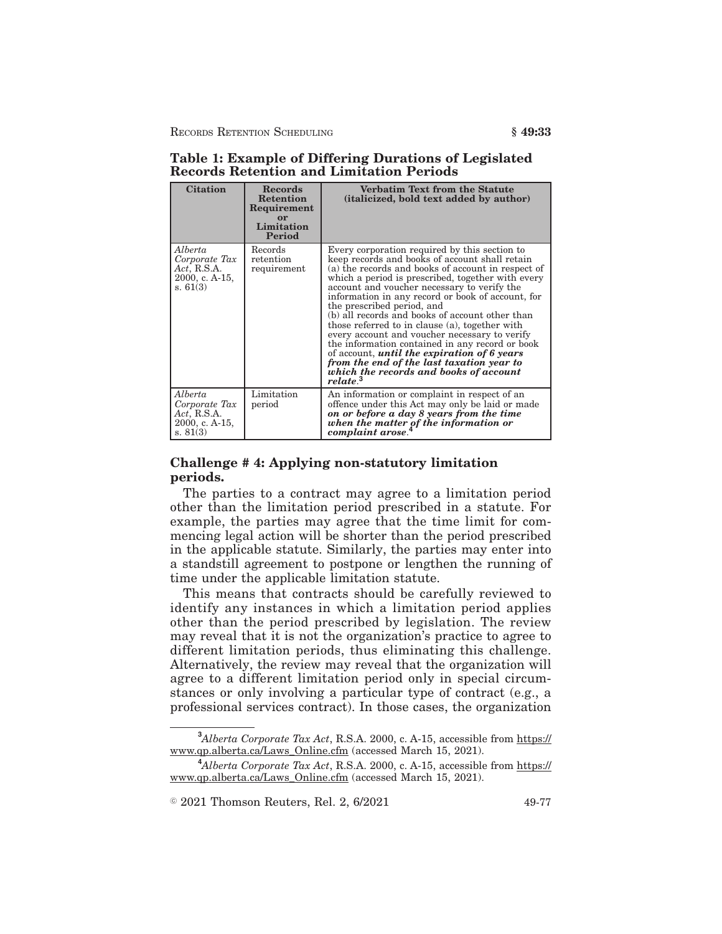| <b>Citation</b>                                                                | <b>Records</b><br><b>Retention</b><br>Requirement<br>or<br>Limitation<br><b>Period</b> | <b>Verbatim Text from the Statute</b><br>(italicized, bold text added by author)                                                                                                                                                                                                                                                                                                                                                                                                                                                                                                                                                                                                                                    |
|--------------------------------------------------------------------------------|----------------------------------------------------------------------------------------|---------------------------------------------------------------------------------------------------------------------------------------------------------------------------------------------------------------------------------------------------------------------------------------------------------------------------------------------------------------------------------------------------------------------------------------------------------------------------------------------------------------------------------------------------------------------------------------------------------------------------------------------------------------------------------------------------------------------|
| <i>Alberta</i><br>Corporate Tax<br>Act, R.S.A.<br>$2000, c. A-15,$<br>s.61(3)  | Records<br>retention<br>requirement                                                    | Every corporation required by this section to<br>keep records and books of account shall retain<br>(a) the records and books of account in respect of<br>which a period is prescribed, together with every<br>account and voucher necessary to verify the<br>information in any record or book of account, for<br>the prescribed period, and<br>(b) all records and books of account other than<br>those referred to in clause (a), together with<br>every account and voucher necessary to verify<br>the information contained in any record or book<br>of account, until the expiration of 6 years<br>from the end of the last taxation year to<br>which the records and books of account<br>relate. <sup>3</sup> |
| <i>Alberta</i><br>Corporate Tax<br>Act, R.S.A.<br>$2000, c. A-15,$<br>s. 81(3) | Limitation<br>period                                                                   | An information or complaint in respect of an<br>offence under this Act may only be laid or made<br>on or before a day 8 years from the time<br>when the matter of the information or<br>complaint arose. <sup>4</sup>                                                                                                                                                                                                                                                                                                                                                                                                                                                                                               |

**Table 1: Example of Differing Durations of Legislated Records Retention and Limitation Periods**

# **Challenge # 4: Applying non-statutory limitation periods.**

The parties to a contract may agree to a limitation period other than the limitation period prescribed in a statute. For example, the parties may agree that the time limit for commencing legal action will be shorter than the period prescribed in the applicable statute. Similarly, the parties may enter into a standstill agreement to postpone or lengthen the running of time under the applicable limitation statute.

This means that contracts should be carefully reviewed to identify any instances in which a limitation period applies other than the period prescribed by legislation. The review may reveal that it is not the organization's practice to agree to different limitation periods, thus eliminating this challenge. Alternatively, the review may reveal that the organization will agree to a different limitation period only in special circumstances or only involving a particular type of contract (e.g., a professional services contract). In those cases, the organization

**<sup>3</sup>** *Alberta Corporate Tax Act*, R.S.A. 2000, c. A-15, accessible from https:// www.qp.alberta.ca/Laws\_Online.cfm (accessed March 15, 2021).

**<sup>4</sup>** *Alberta Corporate Tax Act*, R.S.A. 2000, c. A-15, accessible from https:// www.qp.alberta.ca/Laws\_Online.cfm (accessed March 15, 2021).

 $\textdegree$  2021 Thomson Reuters, Rel. 2, 6/2021 49-77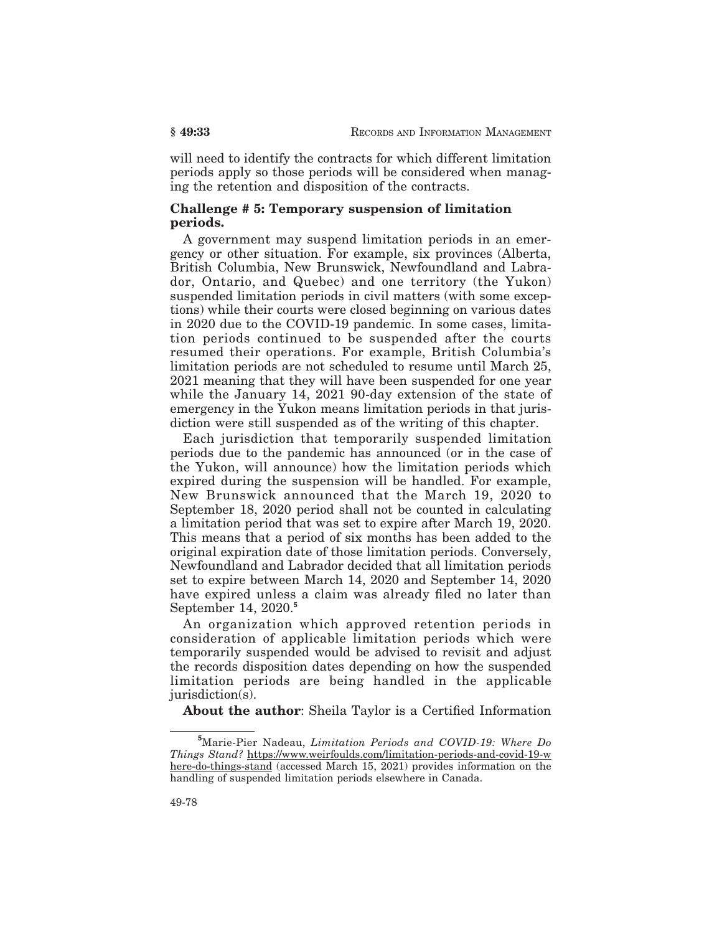will need to identify the contracts for which different limitation periods apply so those periods will be considered when managing the retention and disposition of the contracts.

#### **Challenge # 5: Temporary suspension of limitation periods.**

A government may suspend limitation periods in an emergency or other situation. For example, six provinces (Alberta, British Columbia, New Brunswick, Newfoundland and Labrador, Ontario, and Quebec) and one territory (the Yukon) suspended limitation periods in civil matters (with some exceptions) while their courts were closed beginning on various dates in 2020 due to the COVID-19 pandemic. In some cases, limitation periods continued to be suspended after the courts resumed their operations. For example, British Columbia's limitation periods are not scheduled to resume until March 25, 2021 meaning that they will have been suspended for one year while the January 14, 2021 90-day extension of the state of emergency in the Yukon means limitation periods in that jurisdiction were still suspended as of the writing of this chapter.

Each jurisdiction that temporarily suspended limitation periods due to the pandemic has announced (or in the case of the Yukon, will announce) how the limitation periods which expired during the suspension will be handled. For example, New Brunswick announced that the March 19, 2020 to September 18, 2020 period shall not be counted in calculating a limitation period that was set to expire after March 19, 2020. This means that a period of six months has been added to the original expiration date of those limitation periods. Conversely, Newfoundland and Labrador decided that all limitation periods set to expire between March 14, 2020 and September 14, 2020 have expired unless a claim was already filed no later than September 14, 2020.**<sup>5</sup>**

An organization which approved retention periods in consideration of applicable limitation periods which were temporarily suspended would be advised to revisit and adjust the records disposition dates depending on how the suspended limitation periods are being handled in the applicable jurisdiction(s).

**About the author**: Sheila Taylor is a Certified Information

**<sup>5</sup>** Marie-Pier Nadeau, *Limitation Periods and COVID-19: Where Do Things Stand?* https://www.weirfoulds.com/limitation-periods-and-covid-19-w here-do-things-stand (accessed March 15, 2021) provides information on the handling of suspended limitation periods elsewhere in Canada.